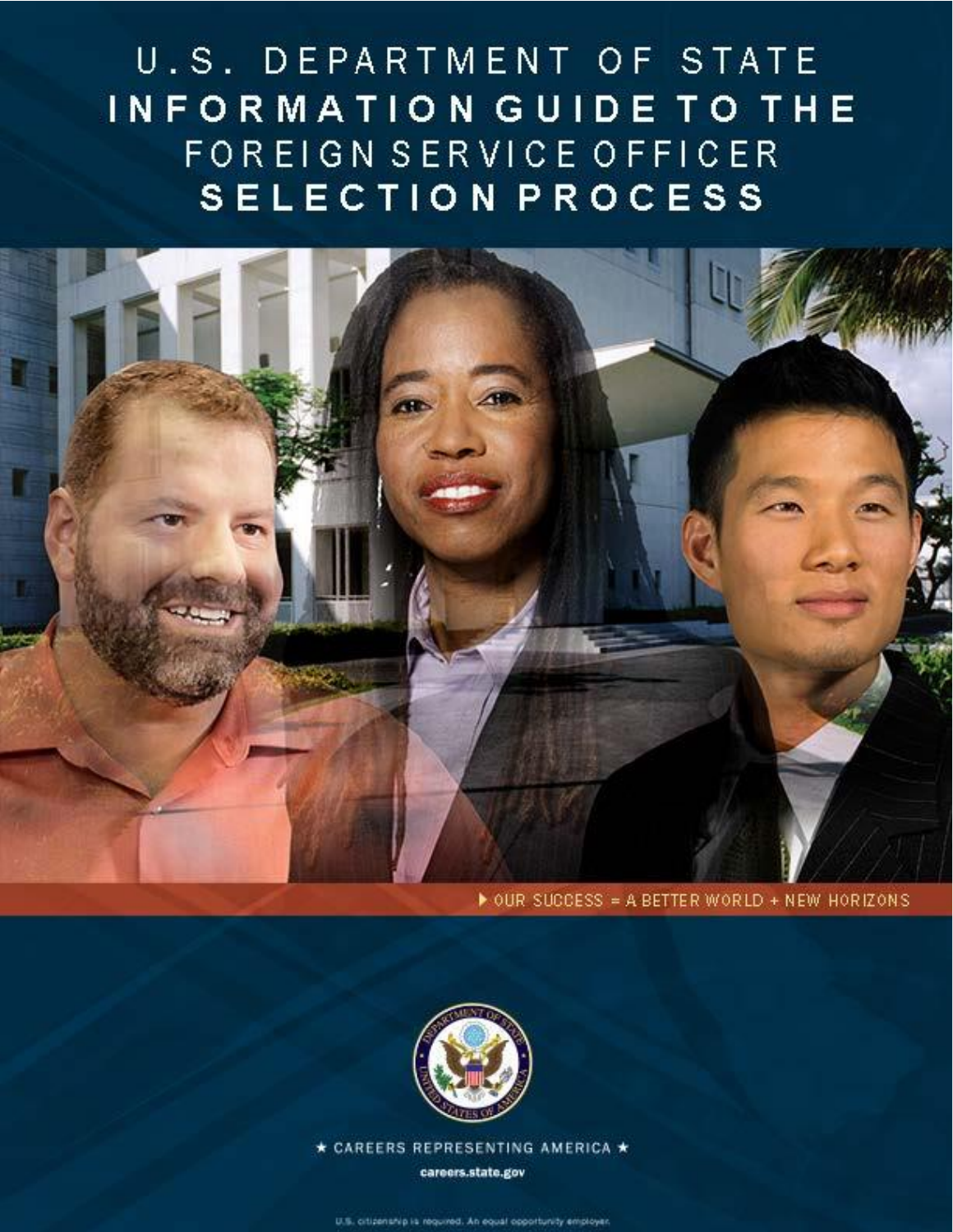U.S. DEPARTMENT OF STATE INFORMATION GUIDE TO THE FOREIGN SERVICE OFFICER SELECTION PROCESS



OUR SUCCESS = A BETTER WORLD + NEW HORIZONS



\* CAREERS REPRESENTING AMERICA \*

careers.state.gov

U.S. citizenship is required. An equal opportunity employer.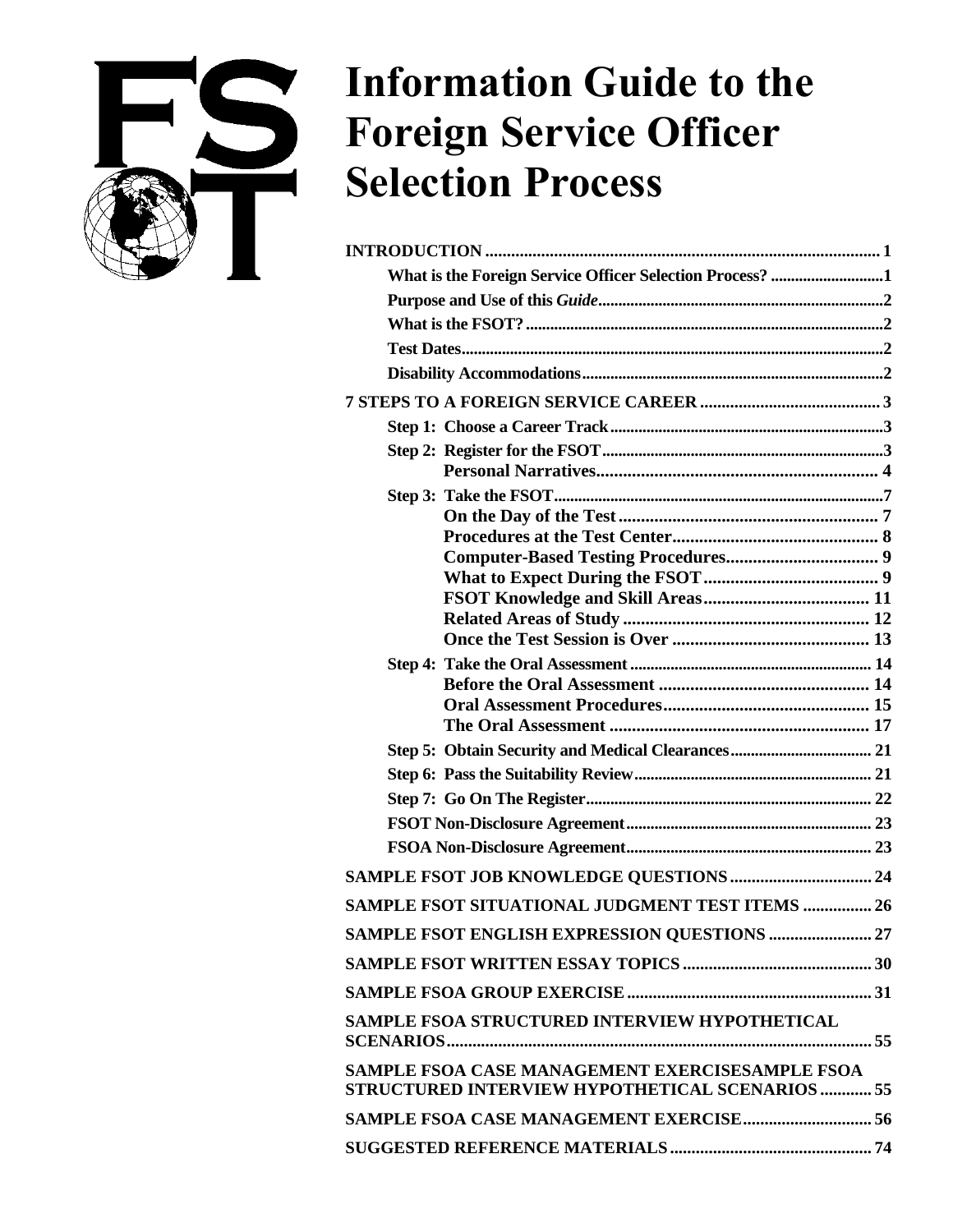

# **Information Guide to the Foreign Service Officer Selection Process**

| What is the Foreign Service Officer Selection Process? 1                                           |
|----------------------------------------------------------------------------------------------------|
|                                                                                                    |
|                                                                                                    |
|                                                                                                    |
|                                                                                                    |
|                                                                                                    |
|                                                                                                    |
|                                                                                                    |
|                                                                                                    |
|                                                                                                    |
|                                                                                                    |
|                                                                                                    |
|                                                                                                    |
|                                                                                                    |
|                                                                                                    |
|                                                                                                    |
|                                                                                                    |
|                                                                                                    |
|                                                                                                    |
|                                                                                                    |
|                                                                                                    |
|                                                                                                    |
|                                                                                                    |
|                                                                                                    |
| SAMPLE FSOT SITUATIONAL JUDGMENT TEST ITEMS  26                                                    |
|                                                                                                    |
|                                                                                                    |
|                                                                                                    |
|                                                                                                    |
| SAMPLE FSOA STRUCTURED INTERVIEW HYPOTHETICAL                                                      |
| SAMPLE FSOA CASE MANAGEMENT EXERCISESAMPLE FSOA<br>STRUCTURED INTERVIEW HYPOTHETICAL SCENARIOS  55 |
|                                                                                                    |
|                                                                                                    |
|                                                                                                    |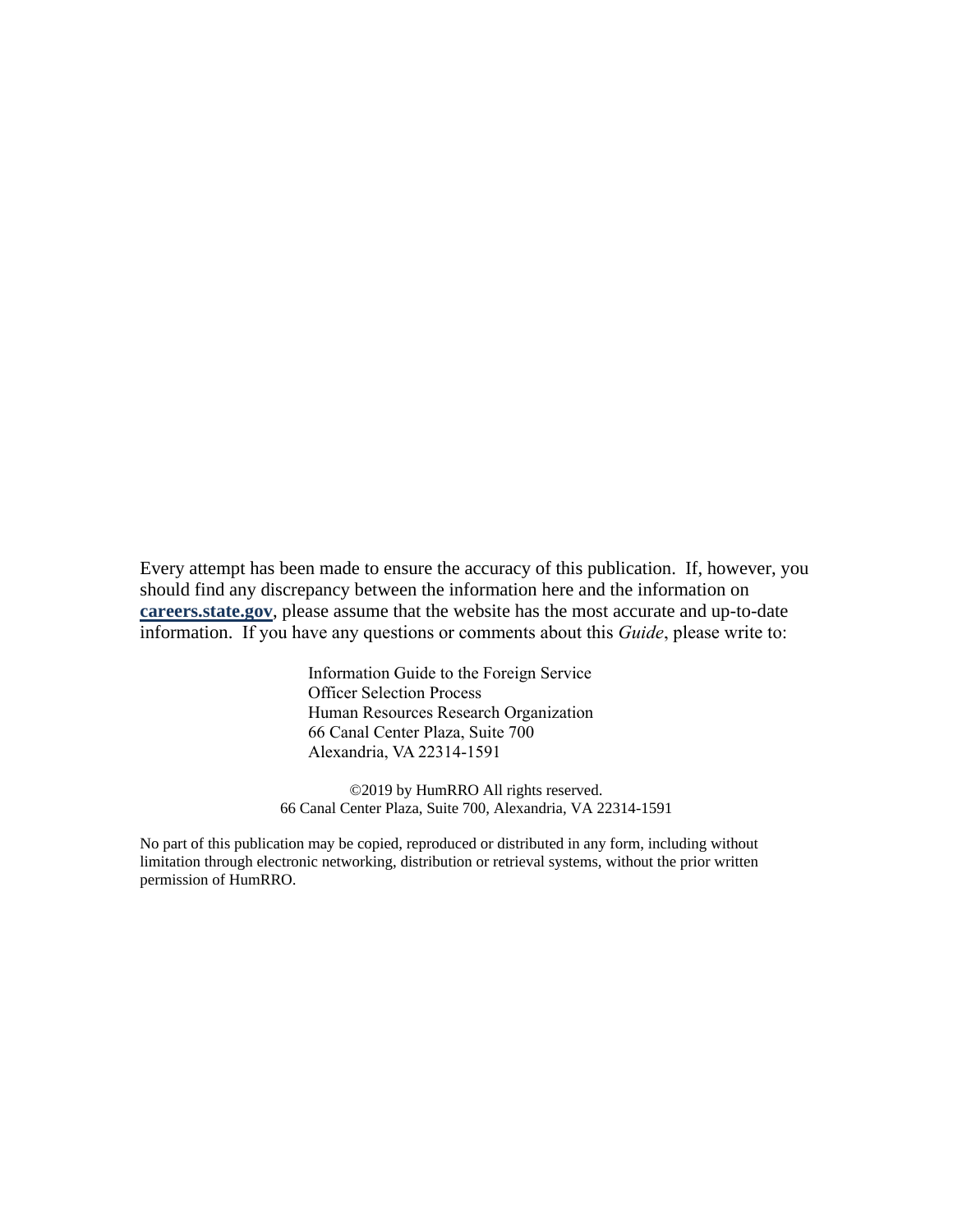Every attempt has been made to ensure the accuracy of this publication. If, however, you should find any discrepancy between the information here and the information on **[careers.state.gov](https://careers.state.gov/)**, please assume that the website has the most accurate and up-to-date information. If you have any questions or comments about this *Guide*, please write to:

> Information Guide to the Foreign Service Officer Selection Process Human Resources Research Organization 66 Canal Center Plaza, Suite 700 Alexandria, VA 22314-1591

©2019 by HumRRO All rights reserved. 66 Canal Center Plaza, Suite 700, Alexandria, VA 22314-1591

No part of this publication may be copied, reproduced or distributed in any form, including without limitation through electronic networking, distribution or retrieval systems, without the prior written permission of HumRRO.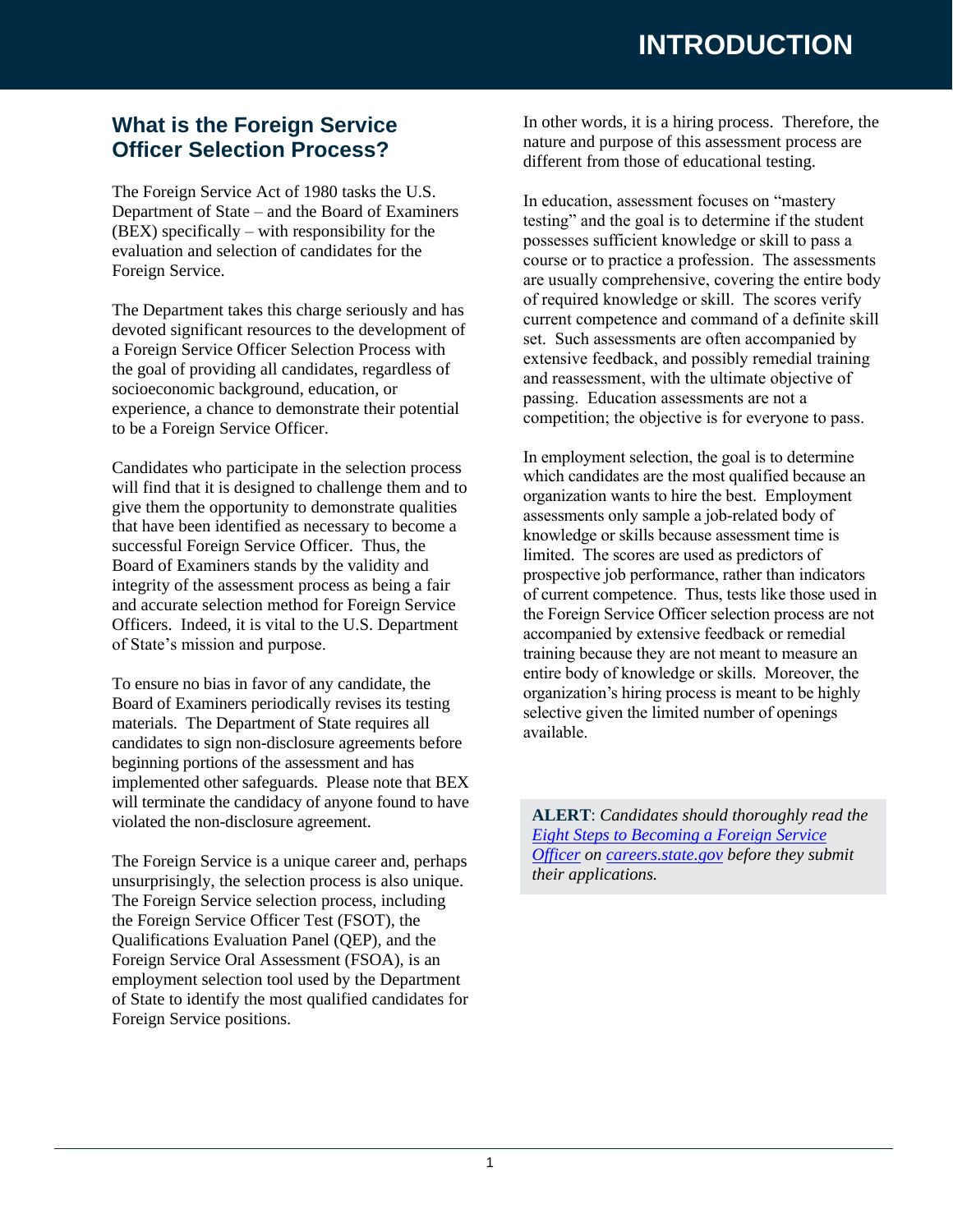### <span id="page-3-0"></span>**What is the Foreign Service Officer Selection Process?**

The Foreign Service Act of 1980 tasks the U.S. Department of State – and the Board of Examiners (BEX) specifically – with responsibility for the evaluation and selection of candidates for the Foreign Service.

The Department takes this charge seriously and has devoted significant resources to the development of a Foreign Service Officer Selection Process with the goal of providing all candidates, regardless of socioeconomic background, education, or experience, a chance to demonstrate their potential to be a Foreign Service Officer.

Candidates who participate in the selection process will find that it is designed to challenge them and to give them the opportunity to demonstrate qualities that have been identified as necessary to become a successful Foreign Service Officer. Thus, the Board of Examiners stands by the validity and integrity of the assessment process as being a fair and accurate selection method for Foreign Service Officers. Indeed, it is vital to the U.S. Department of State's mission and purpose.

To ensure no bias in favor of any candidate, the Board of Examiners periodically revises its testing materials. The Department of State requires all candidates to sign non-disclosure agreements before beginning portions of the assessment and has implemented other safeguards. Please note that BEX will terminate the candidacy of anyone found to have violated the non-disclosure agreement.

The Foreign Service is a unique career and, perhaps unsurprisingly, the selection process is also unique. The Foreign Service selection process, including the Foreign Service Officer Test (FSOT), the Qualifications Evaluation Panel (QEP), and the Foreign Service Oral Assessment (FSOA), is an employment selection tool used by the Department of State to identify the most qualified candidates for Foreign Service positions.

In other words, it is a hiring process. Therefore, the nature and purpose of this assessment process are different from those of educational testing.

In education, assessment focuses on "mastery testing" and the goal is to determine if the student possesses sufficient knowledge or skill to pass a course or to practice a profession. The assessments are usually comprehensive, covering the entire body of required knowledge or skill. The scores verify current competence and command of a definite skill set. Such assessments are often accompanied by extensive feedback, and possibly remedial training and reassessment, with the ultimate objective of passing. Education assessments are not a competition; the objective is for everyone to pass.

In employment selection, the goal is to determine which candidates are the most qualified because an organization wants to hire the best. Employment assessments only sample a job-related body of knowledge or skills because assessment time is limited. The scores are used as predictors of prospective job performance, rather than indicators of current competence. Thus, tests like those used in the Foreign Service Officer selection process are not accompanied by extensive feedback or remedial training because they are not meant to measure an entire body of knowledge or skills. Moreover, the organization's hiring process is meant to be highly selective given the limited number of openings available.

**ALERT**: *Candidates should thoroughly read the [Eight Steps to Becoming a Foreign](https://careers.state.gov/work/foreign-service/officer/test-process/) Service [Officer](https://careers.state.gov/work/foreign-service/officer/test-process/) on [careers.state.gov](https://careers.state.gov/) before they submit their applications.*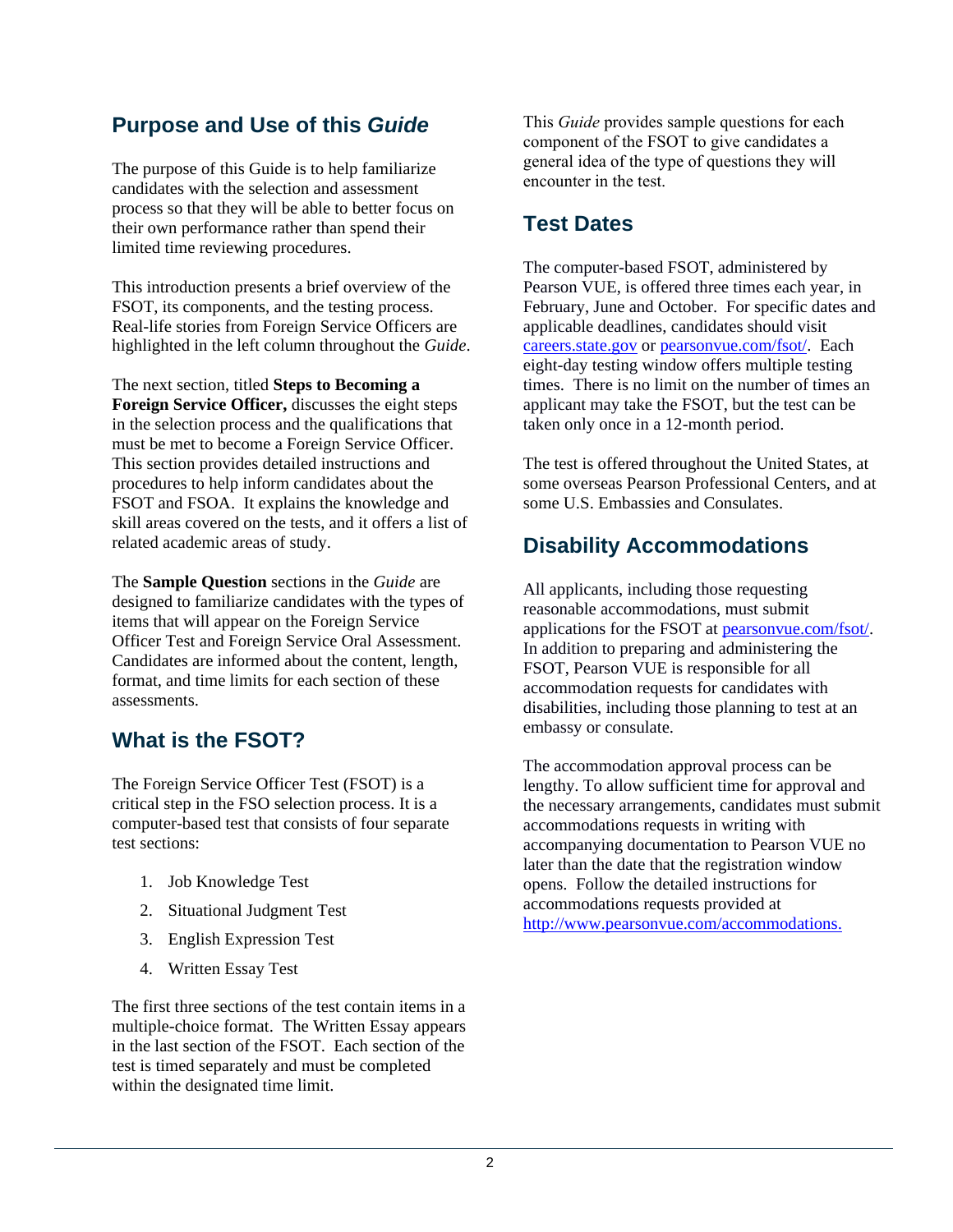### <span id="page-4-0"></span>**Purpose and Use of this** *Guide*

The purpose of this Guide is to help familiarize candidates with the selection and assessment process so that they will be able to better focus on their own performance rather than spend their limited time reviewing procedures.

This introduction presents a brief overview of the FSOT, its components, and the testing process. Real-life stories from Foreign Service Officers are highlighted in the left column throughout the *Guide*.

The next section, titled **Steps to Becoming a Foreign Service Officer,** discusses the eight steps in the selection process and the qualifications that must be met to become a Foreign Service Officer. This section provides detailed instructions and procedures to help inform candidates about the FSOT and FSOA. It explains the knowledge and skill areas covered on the tests, and it offers a list of related academic areas of study.

The **Sample Question** sections in the *Guide* are designed to familiarize candidates with the types of items that will appear on the Foreign Service Officer Test and Foreign Service Oral Assessment. Candidates are informed about the content, length, format, and time limits for each section of these assessments.

### <span id="page-4-1"></span>**What is the FSOT?**

The Foreign Service Officer Test (FSOT) is a critical step in the FSO selection process. It is a computer-based test that consists of four separate test sections:

- 1. Job Knowledge Test
- 2. Situational Judgment Test
- 3. English Expression Test
- 4. Written Essay Test

The first three sections of the test contain items in a multiple-choice format. The Written Essay appears in the last section of the FSOT. Each section of the test is timed separately and must be completed within the designated time limit.

This *Guide* provides sample questions for each component of the FSOT to give candidates a general idea of the type of questions they will encounter in the test.

### <span id="page-4-2"></span>**Test Dates**

The computer-based FSOT, administered by Pearson VUE, is offered three times each year, in February, June and October. For specific dates and applicable deadlines, candidates should visit [careers.state.gov](http://www.careers.state.gov/work/foreign-service/officer/test-process) or [pearsonvue.com/fsot/.](http://pearsonvue.com/fsot/) Each eight-day testing window offers multiple testing times. There is no limit on the number of times an applicant may take the FSOT, but the test can be taken only once in a 12-month period.

The test is offered throughout the United States, at some overseas Pearson Professional Centers, and at some U.S. Embassies and Consulates.

### <span id="page-4-3"></span>**Disability Accommodations**

All applicants, including those requesting reasonable accommodations, must submit applications for the FSOT at [pearsonvue.com/fsot/.](http://pearsonvue.com/fsot/) In addition to preparing and administering the FSOT, Pearson VUE is responsible for all accommodation requests for candidates with disabilities, including those planning to test at an embassy or consulate.

The accommodation approval process can be lengthy. To allow sufficient time for approval and the necessary arrangements, candidates must submit accommodations requests in writing with accompanying documentation to Pearson VUE no later than the date that the registration window opens. Follow the detailed instructions for accommodations requests provided at <http://www.pearsonvue.com/accommodations.>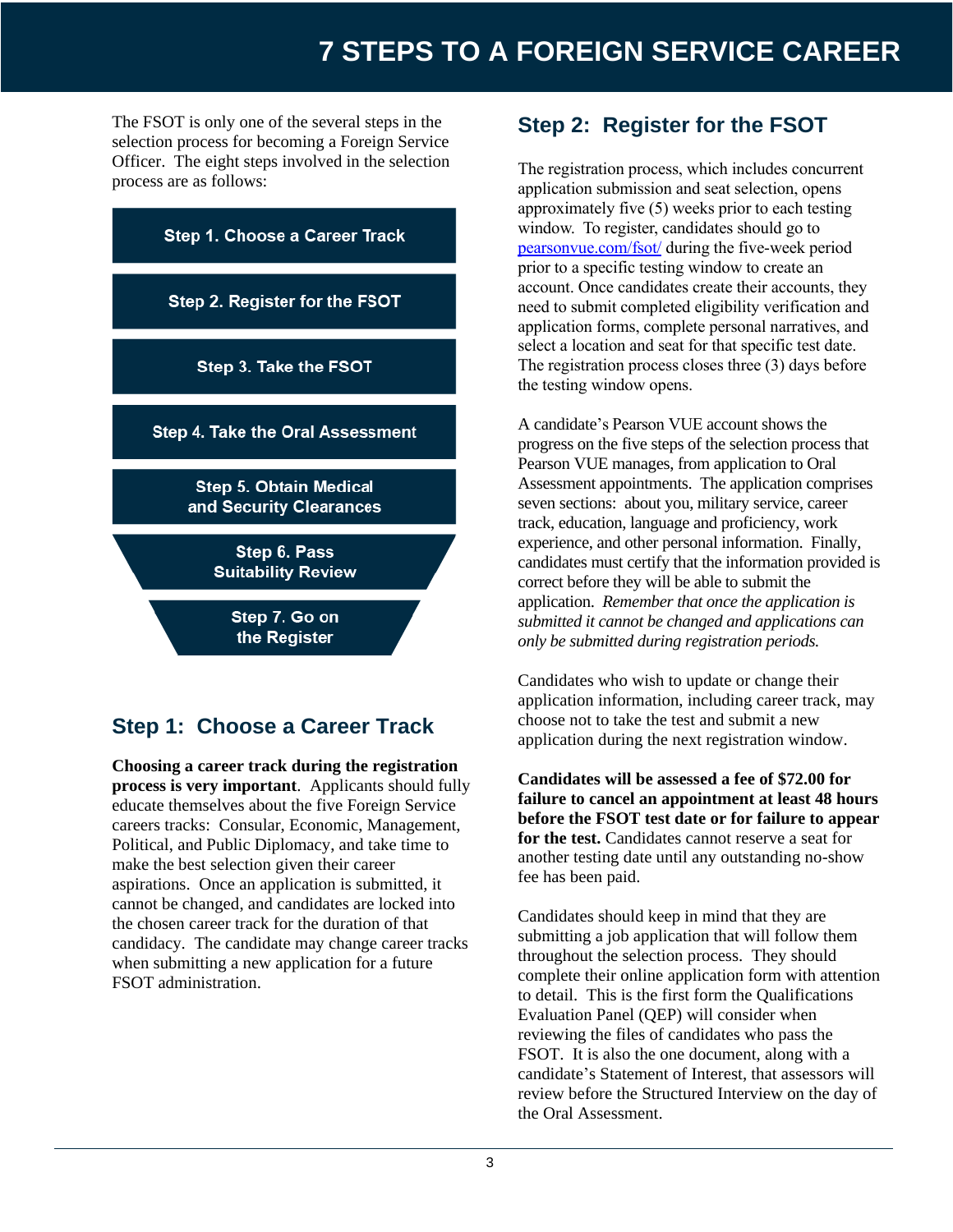The FSOT is only one of the several steps in the selection process for becoming a Foreign Service Officer. The eight steps involved in the selection process are as follows:



### <span id="page-5-0"></span>**Step 1: Choose a Career Track**

**Choosing a career track during the registration process is very important**. Applicants should fully educate themselves about the five Foreign Service careers tracks: Consular, Economic, Management, Political, and Public Diplomacy, and take time to make the best selection given their career aspirations. Once an application is submitted, it cannot be changed, and candidates are locked into the chosen career track for the duration of that candidacy. The candidate may change career tracks when submitting a new application for a future FSOT administration.

### <span id="page-5-1"></span>**Step 2: Register for the FSOT**

The registration process, which includes concurrent application submission and seat selection, opens approximately five (5) weeks prior to each testing window. To register, candidates should go to [pearsonvue.com/fsot/](http://pearsonvue.com/fsot/) during the five-week period prior to a specific testing window to create an account. Once candidates create their accounts, they need to submit completed eligibility verification and application forms, complete personal narratives, and select a location and seat for that specific test date. The registration process closes three (3) days before the testing window opens.

A candidate's Pearson VUE account shows the progress on the five steps of the selection process that Pearson VUE manages, from application to Oral Assessment appointments. The application comprises seven sections: about you, military service, career track, education, language and proficiency, work experience, and other personal information. Finally, candidates must certify that the information provided is correct before they will be able to submit the application. *Remember that once the application is submitted it cannot be changed and applications can only be submitted during registration periods.*

Candidates who wish to update or change their application information, including career track, may choose not to take the test and submit a new application during the next registration window.

**Candidates will be assessed a fee of \$72.00 for failure to cancel an appointment at least 48 hours before the FSOT test date or for failure to appear**  for the test. Candidates cannot reserve a seat for another testing date until any outstanding no-show fee has been paid.

Candidates should keep in mind that they are submitting a job application that will follow them throughout the selection process. They should complete their online application form with attention to detail. This is the first form the Qualifications Evaluation Panel (QEP) will consider when reviewing the files of candidates who pass the FSOT. It is also the one document, along with a candidate's Statement of Interest, that assessors will review before the Structured Interview on the day of the Oral Assessment.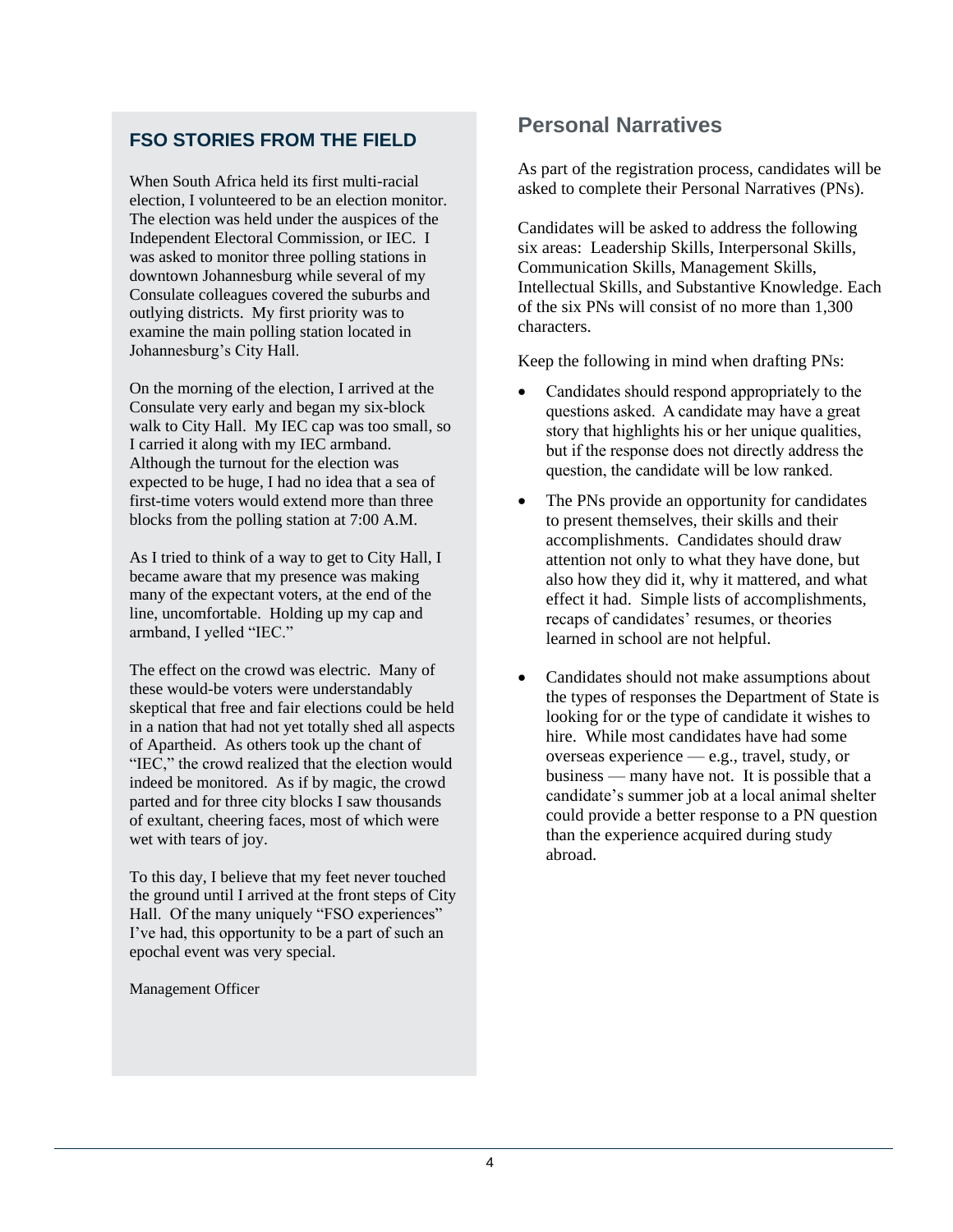When South Africa held its first multi-racial election, I volunteered to be an election monitor. The election was held under the auspices of the Independent Electoral Commission, or IEC. I was asked to monitor three polling stations in downtown Johannesburg while several of my Consulate colleagues covered the suburbs and outlying districts. My first priority was to examine the main polling station located in Johannesburg's City Hall.

On the morning of the election, I arrived at the Consulate very early and began my six-block walk to City Hall. My IEC cap was too small, so I carried it along with my IEC armband. Although the turnout for the election was expected to be huge, I had no idea that a sea of first-time voters would extend more than three blocks from the polling station at 7:00 A.M.

As I tried to think of a way to get to City Hall, I became aware that my presence was making many of the expectant voters, at the end of the line, uncomfortable. Holding up my cap and armband, I yelled "IEC."

The effect on the crowd was electric. Many of these would-be voters were understandably skeptical that free and fair elections could be held in a nation that had not yet totally shed all aspects of Apartheid. As others took up the chant of "IEC," the crowd realized that the election would indeed be monitored. As if by magic, the crowd parted and for three city blocks I saw thousands of exultant, cheering faces, most of which were wet with tears of joy.

To this day, I believe that my feet never touched the ground until I arrived at the front steps of City Hall. Of the many uniquely "FSO experiences" I've had, this opportunity to be a part of such an epochal event was very special.

Management Officer

### <span id="page-6-0"></span>**Personal Narratives**

As part of the registration process, candidates will be asked to complete their Personal Narratives (PNs).

Candidates will be asked to address the following six areas: Leadership Skills, Interpersonal Skills, Communication Skills, Management Skills, Intellectual Skills, and Substantive Knowledge. Each of the six PNs will consist of no more than 1,300 characters.

Keep the following in mind when drafting PNs:

- Candidates should respond appropriately to the questions asked. A candidate may have a great story that highlights his or her unique qualities, but if the response does not directly address the question, the candidate will be low ranked.
- The PNs provide an opportunity for candidates to present themselves, their skills and their accomplishments. Candidates should draw attention not only to what they have done, but also how they did it, why it mattered, and what effect it had. Simple lists of accomplishments, recaps of candidates' resumes, or theories learned in school are not helpful.
- Candidates should not make assumptions about the types of responses the Department of State is looking for or the type of candidate it wishes to hire. While most candidates have had some overseas experience — e.g., travel, study, or business — many have not. It is possible that a candidate's summer job at a local animal shelter could provide a better response to a PN question than the experience acquired during study abroad.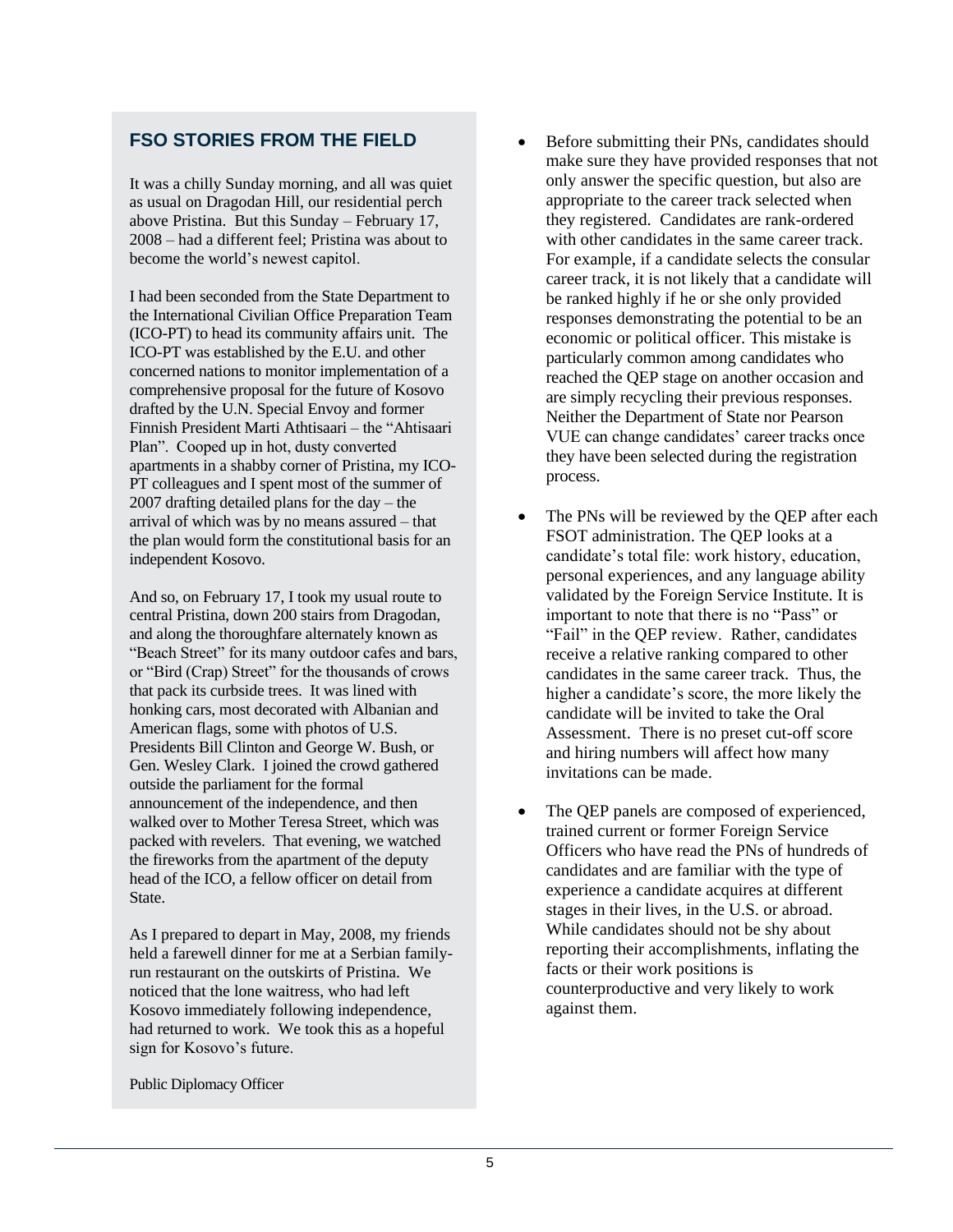It was a chilly Sunday morning, and all was quiet as usual on Dragodan Hill, our residential perch above Pristina. But this Sunday – February 17, 2008 – had a different feel; Pristina was about to become the world's newest capitol.

I had been seconded from the State Department to the International Civilian Office Preparation Team (ICO-PT) to head its community affairs unit. The ICO-PT was established by the E.U. and other concerned nations to monitor implementation of a comprehensive proposal for the future of Kosovo drafted by the U.N. Special Envoy and former Finnish President Marti Athtisaari – the "Ahtisaari Plan". Cooped up in hot, dusty converted apartments in a shabby corner of Pristina, my ICO-PT colleagues and I spent most of the summer of 2007 drafting detailed plans for the day – the arrival of which was by no means assured – that the plan would form the constitutional basis for an independent Kosovo.

And so, on February 17, I took my usual route to central Pristina, down 200 stairs from Dragodan, and along the thoroughfare alternately known as "Beach Street" for its many outdoor cafes and bars, or "Bird (Crap) Street" for the thousands of crows that pack its curbside trees. It was lined with honking cars, most decorated with Albanian and American flags, some with photos of U.S. Presidents Bill Clinton and George W. Bush, or Gen. Wesley Clark. I joined the crowd gathered outside the parliament for the formal announcement of the independence, and then walked over to Mother Teresa Street, which was packed with revelers. That evening, we watched the fireworks from the apartment of the deputy head of the ICO, a fellow officer on detail from State.

As I prepared to depart in May, 2008, my friends held a farewell dinner for me at a Serbian familyrun restaurant on the outskirts of Pristina. We noticed that the lone waitress, who had left Kosovo immediately following independence, had returned to work. We took this as a hopeful sign for Kosovo's future.

- Before submitting their PNs, candidates should make sure they have provided responses that not only answer the specific question, but also are appropriate to the career track selected when they registered. Candidates are rank-ordered with other candidates in the same career track. For example, if a candidate selects the consular career track, it is not likely that a candidate will be ranked highly if he or she only provided responses demonstrating the potential to be an economic or political officer. This mistake is particularly common among candidates who reached the QEP stage on another occasion and are simply recycling their previous responses. Neither the Department of State nor Pearson VUE can change candidates' career tracks once they have been selected during the registration process.
- The PNs will be reviewed by the QEP after each FSOT administration. The QEP looks at a candidate's total file: work history, education, personal experiences, and any language ability validated by the Foreign Service Institute. It is important to note that there is no "Pass" or "Fail" in the QEP review. Rather, candidates receive a relative ranking compared to other candidates in the same career track. Thus, the higher a candidate's score, the more likely the candidate will be invited to take the Oral Assessment. There is no preset cut-off score and hiring numbers will affect how many invitations can be made.
- The QEP panels are composed of experienced, trained current or former Foreign Service Officers who have read the PNs of hundreds of candidates and are familiar with the type of experience a candidate acquires at different stages in their lives, in the U.S. or abroad. While candidates should not be shy about reporting their accomplishments, inflating the facts or their work positions is counterproductive and very likely to work against them.

Public Diplomacy Officer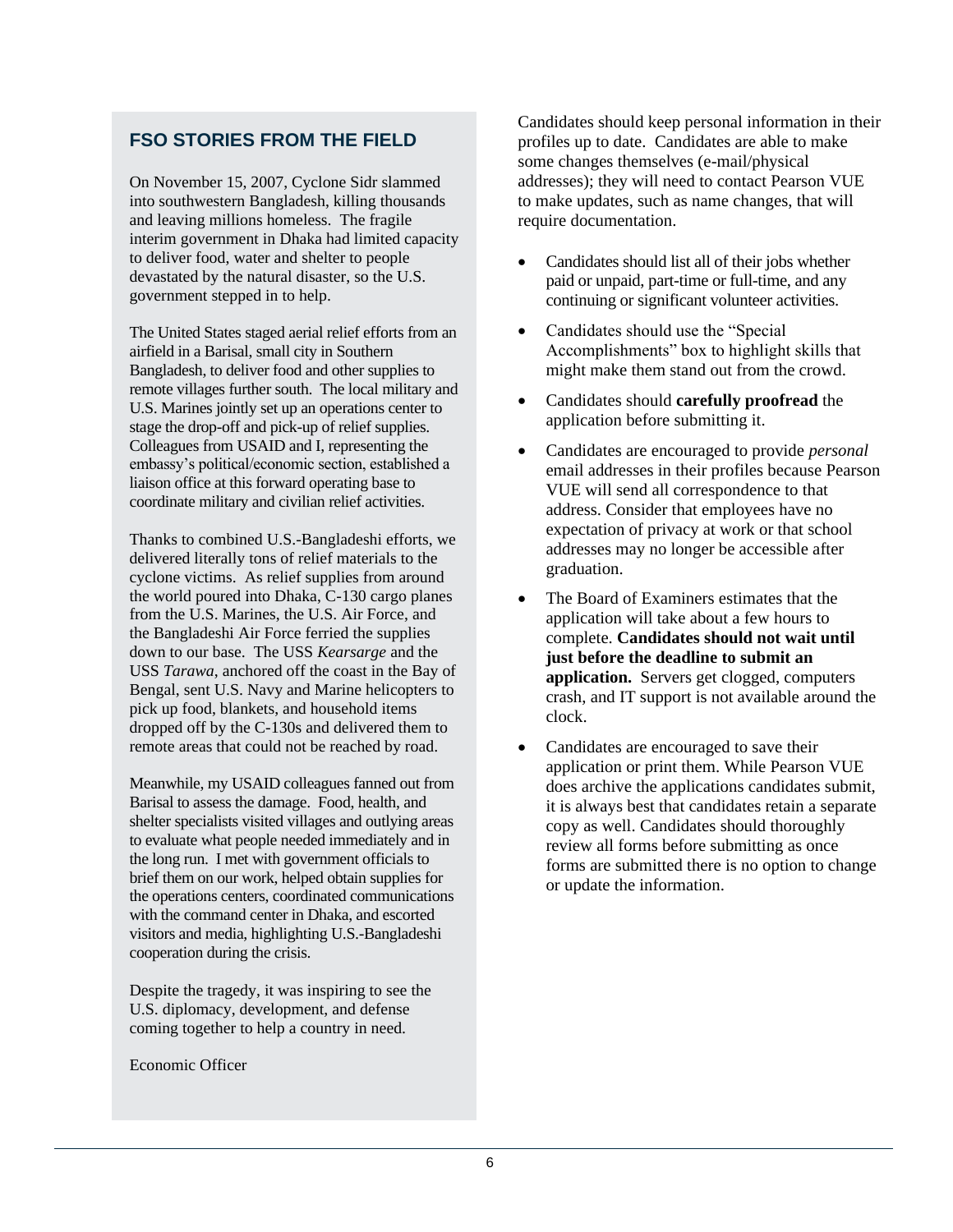On November 15, 2007, Cyclone Sidr slammed into southwestern Bangladesh, killing thousands and leaving millions homeless. The fragile interim government in Dhaka had limited capacity to deliver food, water and shelter to people devastated by the natural disaster, so the U.S. government stepped in to help.

The United States staged aerial relief efforts from an airfield in a Barisal, small city in Southern Bangladesh, to deliver food and other supplies to remote villages further south. The local military and U.S. Marines jointly set up an operations center to stage the drop-off and pick-up of relief supplies. Colleagues from USAID and I, representing the embassy's political/economic section, established a liaison office at this forward operating base to coordinate military and civilian relief activities.

Thanks to combined U.S.-Bangladeshi efforts, we delivered literally tons of relief materials to the cyclone victims. As relief supplies from around the world poured into Dhaka, C-130 cargo planes from the U.S. Marines, the U.S. Air Force, and the Bangladeshi Air Force ferried the supplies down to our base. The USS *Kearsarge* and the USS *Tarawa*, anchored off the coast in the Bay of Bengal, sent U.S. Navy and Marine helicopters to pick up food, blankets, and household items dropped off by the C-130s and delivered them to remote areas that could not be reached by road.

Meanwhile, my USAID colleagues fanned out from Barisal to assess the damage. Food, health, and shelter specialists visited villages and outlying areas to evaluate what people needed immediately and in the long run. I met with government officials to brief them on our work, helped obtain supplies for the operations centers, coordinated communications with the command center in Dhaka, and escorted visitors and media, highlighting U.S.-Bangladeshi cooperation during the crisis.

Despite the tragedy, it was inspiring to see the U.S. diplomacy, development, and defense coming together to help a country in need.

Economic Officer

Candidates should keep personal information in their profiles up to date. Candidates are able to make some changes themselves (e-mail/physical addresses); they will need to contact Pearson VUE to make updates, such as name changes, that will require documentation.

- Candidates should list all of their jobs whether paid or unpaid, part-time or full-time, and any continuing or significant volunteer activities.
- Candidates should use the "Special" Accomplishments" box to highlight skills that might make them stand out from the crowd.
- Candidates should **carefully proofread** the application before submitting it.
- Candidates are encouraged to provide *personal* email addresses in their profiles because Pearson VUE will send all correspondence to that address. Consider that employees have no expectation of privacy at work or that school addresses may no longer be accessible after graduation.
- The Board of Examiners estimates that the application will take about a few hours to complete. **Candidates should not wait until just before the deadline to submit an application.** Servers get clogged, computers crash, and IT support is not available around the clock.
- Candidates are encouraged to save their application or print them. While Pearson VUE does archive the applications candidates submit, it is always best that candidates retain a separate copy as well. Candidates should thoroughly review all forms before submitting as once forms are submitted there is no option to change or update the information.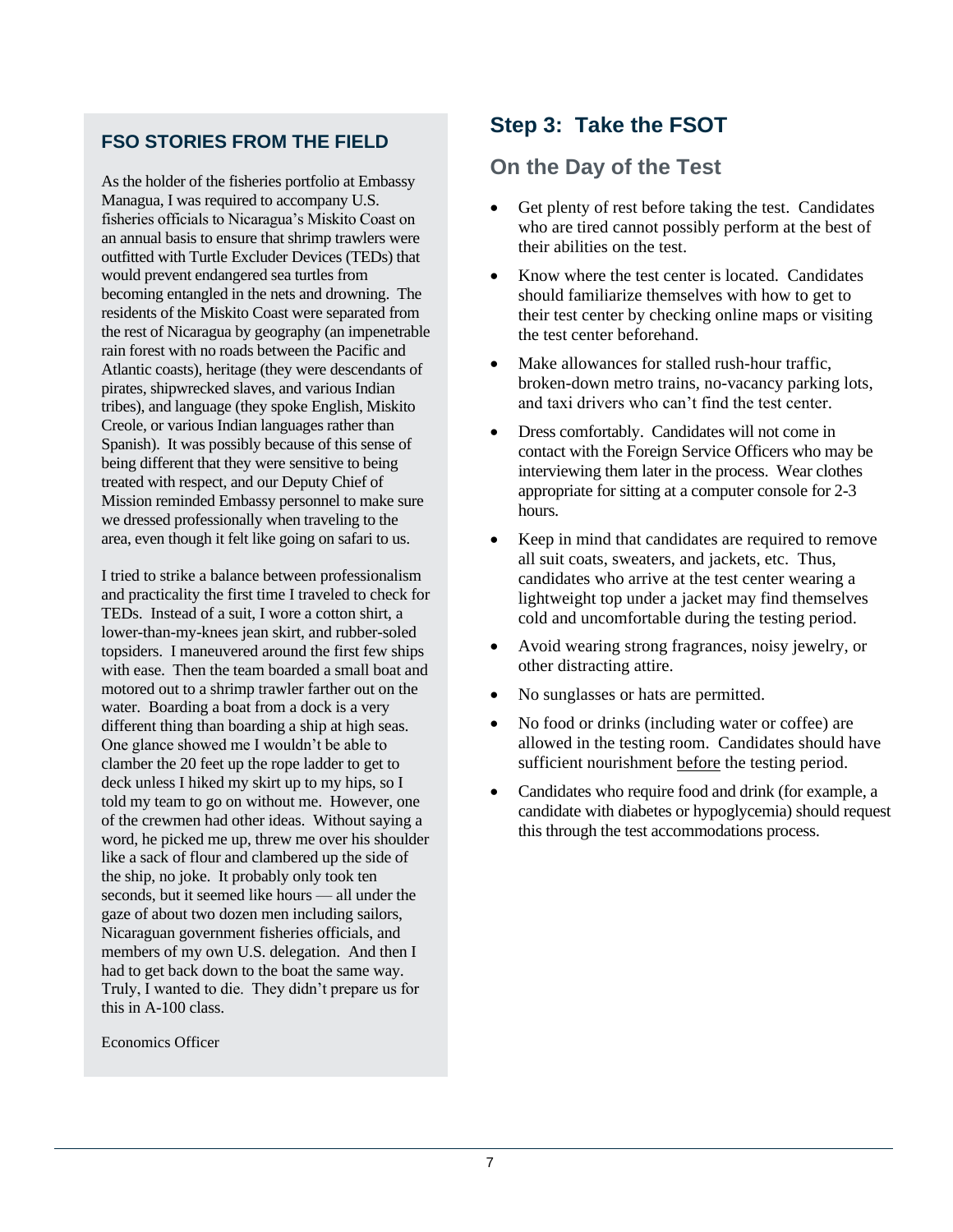As the holder of the fisheries portfolio at Embassy Managua, I was required to accompany U.S. fisheries officials to Nicaragua's Miskito Coast on an annual basis to ensure that shrimp trawlers were outfitted with Turtle Excluder Devices (TEDs) that would prevent endangered sea turtles from becoming entangled in the nets and drowning. The residents of the Miskito Coast were separated from the rest of Nicaragua by geography (an impenetrable rain forest with no roads between the Pacific and Atlantic coasts), heritage (they were descendants of pirates, shipwrecked slaves, and various Indian tribes), and language (they spoke English, Miskito Creole, or various Indian languages rather than Spanish). It was possibly because of this sense of being different that they were sensitive to being treated with respect, and our Deputy Chief of Mission reminded Embassy personnel to make sure we dressed professionally when traveling to the area, even though it felt like going on safari to us.

I tried to strike a balance between professionalism and practicality the first time I traveled to check for TEDs. Instead of a suit, I wore a cotton shirt, a lower-than-my-knees jean skirt, and rubber-soled topsiders. I maneuvered around the first few ships with ease. Then the team boarded a small boat and motored out to a shrimp trawler farther out on the water. Boarding a boat from a dock is a very different thing than boarding a ship at high seas. One glance showed me I wouldn't be able to clamber the 20 feet up the rope ladder to get to deck unless I hiked my skirt up to my hips, so I told my team to go on without me. However, one of the crewmen had other ideas. Without saying a word, he picked me up, threw me over his shoulder like a sack of flour and clambered up the side of the ship, no joke. It probably only took ten seconds, but it seemed like hours — all under the gaze of about two dozen men including sailors, Nicaraguan government fisheries officials, and members of my own U.S. delegation. And then I had to get back down to the boat the same way. Truly, I wanted to die. They didn't prepare us for this in A-100 class.

Economics Officer

### <span id="page-9-0"></span>**Step 3: Take the FSOT**

### <span id="page-9-1"></span>**On the Day of the Test**

- Get plenty of rest before taking the test. Candidates who are tired cannot possibly perform at the best of their abilities on the test.
- Know where the test center is located. Candidates should familiarize themselves with how to get to their test center by checking online maps or visiting the test center beforehand.
- Make allowances for stalled rush-hour traffic, broken-down metro trains, no-vacancy parking lots, and taxi drivers who can't find the test center.
- Dress comfortably. Candidates will not come in contact with the Foreign Service Officers who may be interviewing them later in the process. Wear clothes appropriate for sitting at a computer console for 2-3 hours.
- Keep in mind that candidates are required to remove all suit coats, sweaters, and jackets, etc. Thus, candidates who arrive at the test center wearing a lightweight top under a jacket may find themselves cold and uncomfortable during the testing period.
- Avoid wearing strong fragrances, noisy jewelry, or other distracting attire.
- No sunglasses or hats are permitted.
- No food or drinks (including water or coffee) are allowed in the testing room. Candidates should have sufficient nourishment before the testing period.
- Candidates who require food and drink (for example, a candidate with diabetes or hypoglycemia) should request this through the test accommodations process.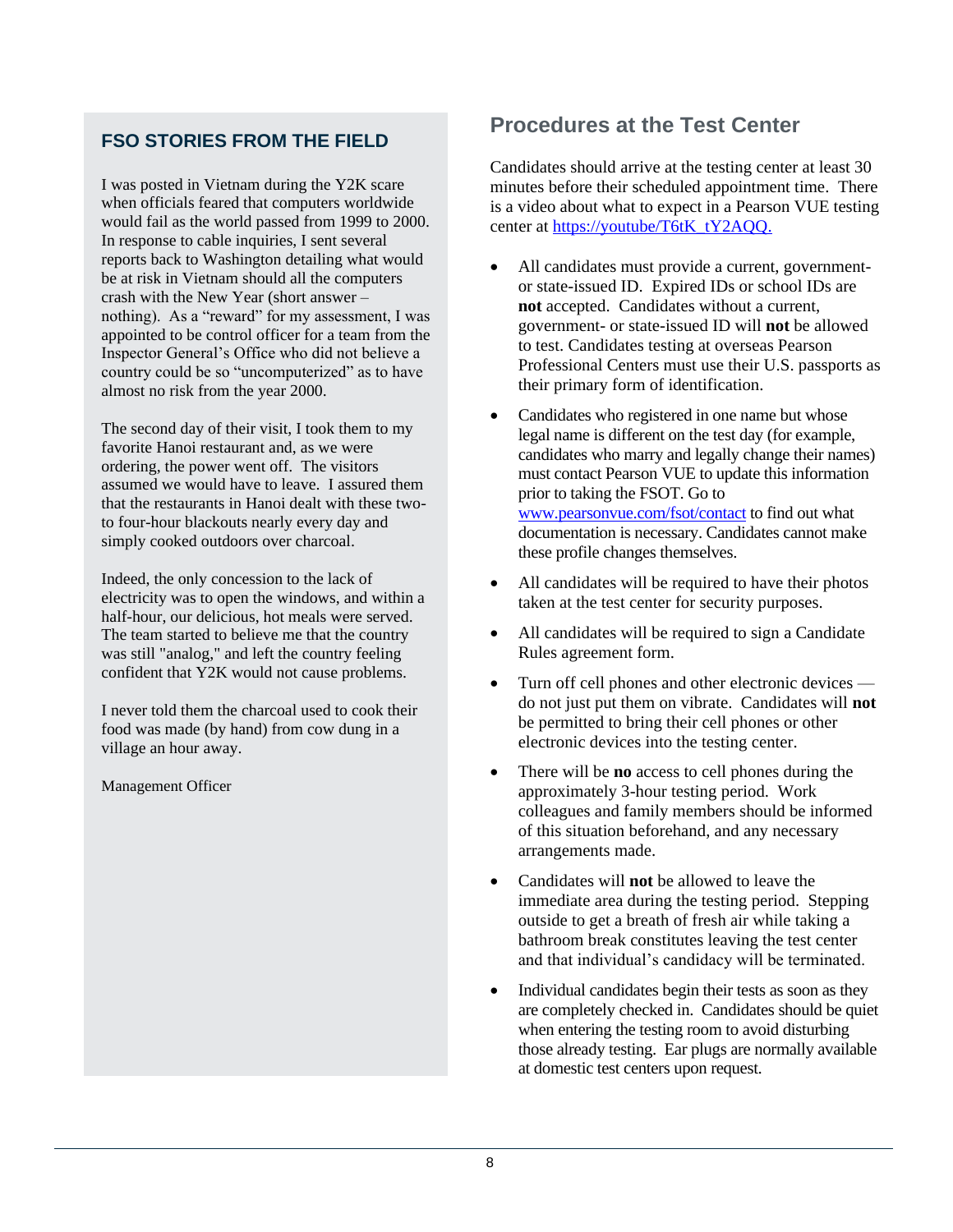<span id="page-10-0"></span>I was posted in Vietnam during the Y2K scare when officials feared that computers worldwide would fail as the world passed from 1999 to 2000. In response to cable inquiries, I sent several reports back to Washington detailing what would be at risk in Vietnam should all the computers crash with the New Year (short answer – nothing). As a "reward" for my assessment, I was appointed to be control officer for a team from the Inspector General's Office who did not believe a country could be so "uncomputerized" as to have almost no risk from the year 2000.

The second day of their visit, I took them to my favorite Hanoi restaurant and, as we were ordering, the power went off. The visitors assumed we would have to leave. I assured them that the restaurants in Hanoi dealt with these twoto four-hour blackouts nearly every day and simply cooked outdoors over charcoal.

Indeed, the only concession to the lack of electricity was to open the windows, and within a half-hour, our delicious, hot meals were served. The team started to believe me that the country was still "analog," and left the country feeling confident that Y2K would not cause problems.

I never told them the charcoal used to cook their food was made (by hand) from cow dung in a village an hour away.

Management Officer

### **Procedures at the Test Center**

Candidates should arrive at the testing center at least 30 minutes before their scheduled appointment time. There is a video about what to expect in a Pearson VUE testing center at [https://youtube/T6tK\\_tY2AQQ.](https://youtube/T6tK_tY2AQQ)

- All candidates must provide a current, governmentor state-issued ID. Expired IDs or school IDs are **not** accepted. Candidates without a current, government- or state-issued ID will **not** be allowed to test. Candidates testing at overseas Pearson Professional Centers must use their U.S. passports as their primary form of identification.
- Candidates who registered in one name but whose legal name is different on the test day (for example, candidates who marry and legally change their names) must contact Pearson VUE to update this information prior to taking the FSOT. Go to [www.pearsonvue.com/fsot/contact](http://www.pearsonvue.com/fsot/contact) to find out what documentation is necessary. Candidates cannot make these profile changes themselves.
- All candidates will be required to have their photos taken at the test center for security purposes.
- All candidates will be required to sign a Candidate Rules agreement form.
- Turn off cell phones and other electronic devices do not just put them on vibrate. Candidates will **not** be permitted to bring their cell phones or other electronic devices into the testing center.
- There will be **no** access to cell phones during the approximately 3-hour testing period. Work colleagues and family members should be informed of this situation beforehand, and any necessary arrangements made.
- Candidates will **not** be allowed to leave the immediate area during the testing period. Stepping outside to get a breath of fresh air while taking a bathroom break constitutes leaving the test center and that individual's candidacy will be terminated.
- Individual candidates begin their tests as soon as they are completely checked in. Candidates should be quiet when entering the testing room to avoid disturbing those already testing. Ear plugs are normally available at domestic test centers upon request.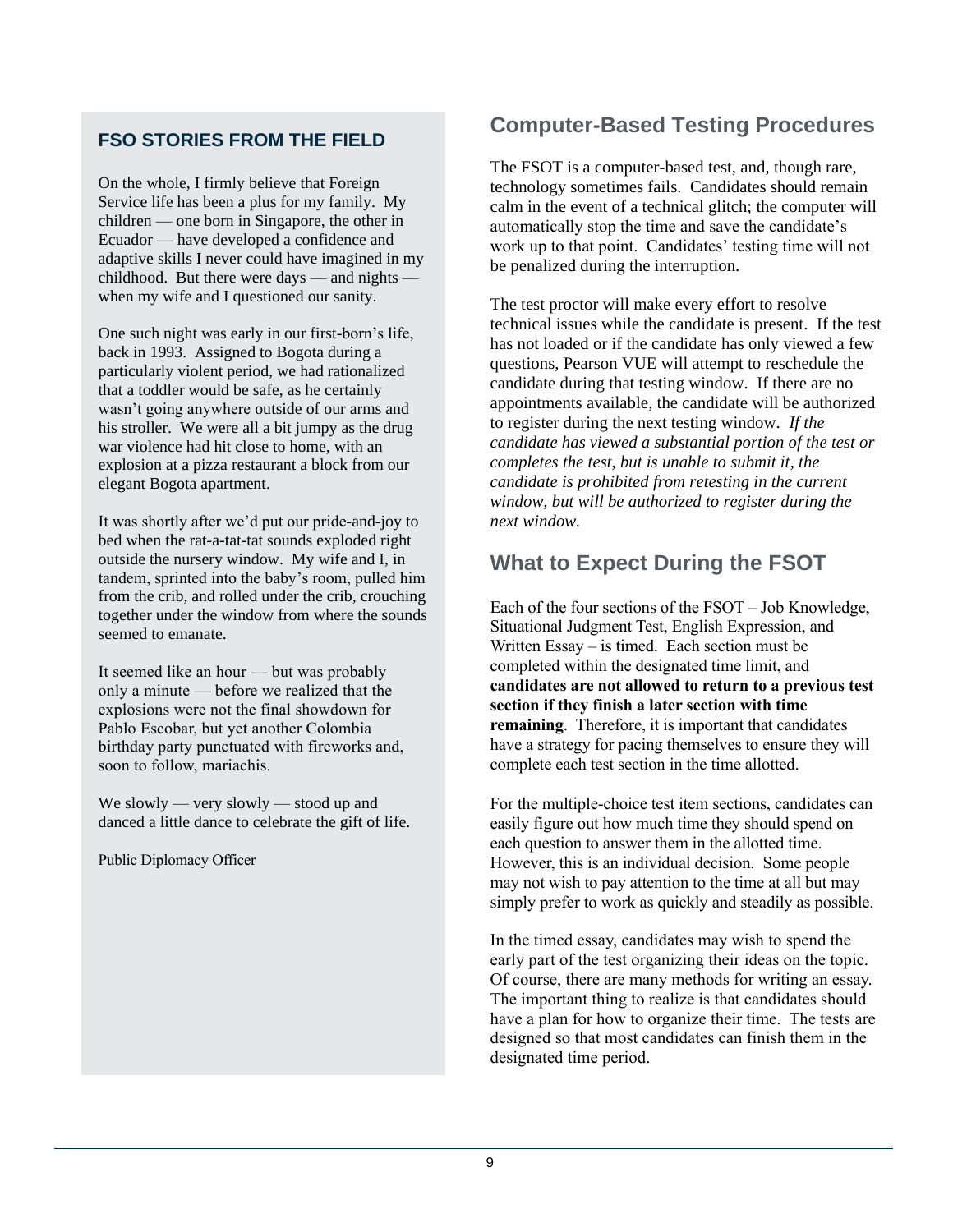<span id="page-11-0"></span>On the whole, I firmly believe that Foreign Service life has been a plus for my family. My children — one born in Singapore, the other in Ecuador — have developed a confidence and adaptive skills I never could have imagined in my childhood. But there were days — and nights when my wife and I questioned our sanity.

One such night was early in our first-born's life, back in 1993. Assigned to Bogota during a particularly violent period, we had rationalized that a toddler would be safe, as he certainly wasn't going anywhere outside of our arms and his stroller. We were all a bit jumpy as the drug war violence had hit close to home, with an explosion at a pizza restaurant a block from our elegant Bogota apartment.

It was shortly after we'd put our pride-and-joy to bed when the rat-a-tat-tat sounds exploded right outside the nursery window. My wife and I, in tandem, sprinted into the baby's room, pulled him from the crib, and rolled under the crib, crouching together under the window from where the sounds seemed to emanate.

It seemed like an hour — but was probably only a minute — before we realized that the explosions were not the final showdown for Pablo Escobar, but yet another Colombia birthday party punctuated with fireworks and, soon to follow, mariachis.

We slowly — very slowly — stood up and danced a little dance to celebrate the gift of life.

Public Diplomacy Officer

### **Computer-Based Testing Procedures**

The FSOT is a computer-based test, and, though rare, technology sometimes fails. Candidates should remain calm in the event of a technical glitch; the computer will automatically stop the time and save the candidate's work up to that point. Candidates' testing time will not be penalized during the interruption.

The test proctor will make every effort to resolve technical issues while the candidate is present. If the test has not loaded or if the candidate has only viewed a few questions, Pearson VUE will attempt to reschedule the candidate during that testing window. If there are no appointments available, the candidate will be authorized to register during the next testing window. *If the candidate has viewed a substantial portion of the test or completes the test, but is unable to submit it, the candidate is prohibited from retesting in the current window, but will be authorized to register during the next window.*

### <span id="page-11-1"></span>**What to Expect During the FSOT**

Each of the four sections of the FSOT – Job Knowledge, Situational Judgment Test, English Expression, and Written Essay – is timed. Each section must be completed within the designated time limit, and **candidates are not allowed to return to a previous test section if they finish a later section with time remaining**. Therefore, it is important that candidates have a strategy for pacing themselves to ensure they will complete each test section in the time allotted.

For the multiple-choice test item sections, candidates can easily figure out how much time they should spend on each question to answer them in the allotted time. However, this is an individual decision. Some people may not wish to pay attention to the time at all but may simply prefer to work as quickly and steadily as possible.

In the timed essay, candidates may wish to spend the early part of the test organizing their ideas on the topic. Of course, there are many methods for writing an essay. The important thing to realize is that candidates should have a plan for how to organize their time. The tests are designed so that most candidates can finish them in the designated time period.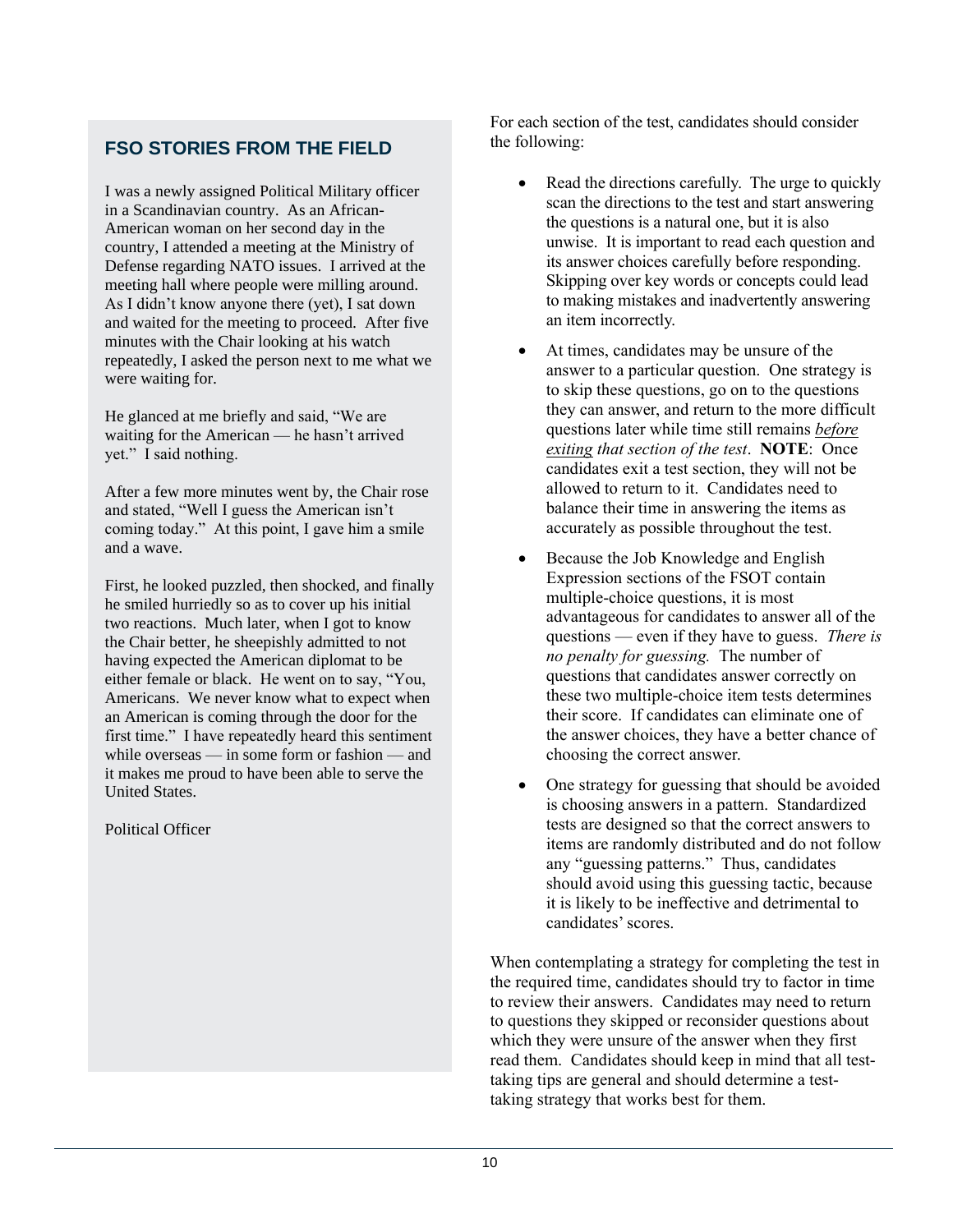I was a newly assigned Political Military officer in a Scandinavian country. As an African-American woman on her second day in the country, I attended a meeting at the Ministry of Defense regarding NATO issues. I arrived at the meeting hall where people were milling around. As I didn't know anyone there (yet), I sat down and waited for the meeting to proceed. After five minutes with the Chair looking at his watch repeatedly, I asked the person next to me what we were waiting for.

He glanced at me briefly and said, "We are waiting for the American — he hasn't arrived yet." I said nothing.

After a few more minutes went by, the Chair rose and stated, "Well I guess the American isn't coming today." At this point, I gave him a smile and a wave.

First, he looked puzzled, then shocked, and finally he smiled hurriedly so as to cover up his initial two reactions. Much later, when I got to know the Chair better, he sheepishly admitted to not having expected the American diplomat to be either female or black. He went on to say, "You, Americans. We never know what to expect when an American is coming through the door for the first time." I have repeatedly heard this sentiment while overseas — in some form or fashion — and it makes me proud to have been able to serve the United States.

Political Officer

For each section of the test, candidates should consider the following:

- Read the directions carefully. The urge to quickly scan the directions to the test and start answering the questions is a natural one, but it is also unwise. It is important to read each question and its answer choices carefully before responding. Skipping over key words or concepts could lead to making mistakes and inadvertently answering an item incorrectly.
- At times, candidates may be unsure of the answer to a particular question. One strategy is to skip these questions, go on to the questions they can answer, and return to the more difficult questions later while time still remains *before exiting that section of the test*. **NOTE**: Once candidates exit a test section, they will not be allowed to return to it. Candidates need to balance their time in answering the items as accurately as possible throughout the test.
- Because the Job Knowledge and English Expression sections of the FSOT contain multiple-choice questions, it is most advantageous for candidates to answer all of the questions — even if they have to guess. *There is no penalty for guessing.* The number of questions that candidates answer correctly on these two multiple-choice item tests determines their score. If candidates can eliminate one of the answer choices, they have a better chance of choosing the correct answer.
- One strategy for guessing that should be avoided is choosing answers in a pattern. Standardized tests are designed so that the correct answers to items are randomly distributed and do not follow any "guessing patterns." Thus, candidates should avoid using this guessing tactic, because it is likely to be ineffective and detrimental to candidates' scores.

When contemplating a strategy for completing the test in the required time, candidates should try to factor in time to review their answers. Candidates may need to return to questions they skipped or reconsider questions about which they were unsure of the answer when they first read them. Candidates should keep in mind that all testtaking tips are general and should determine a testtaking strategy that works best for them.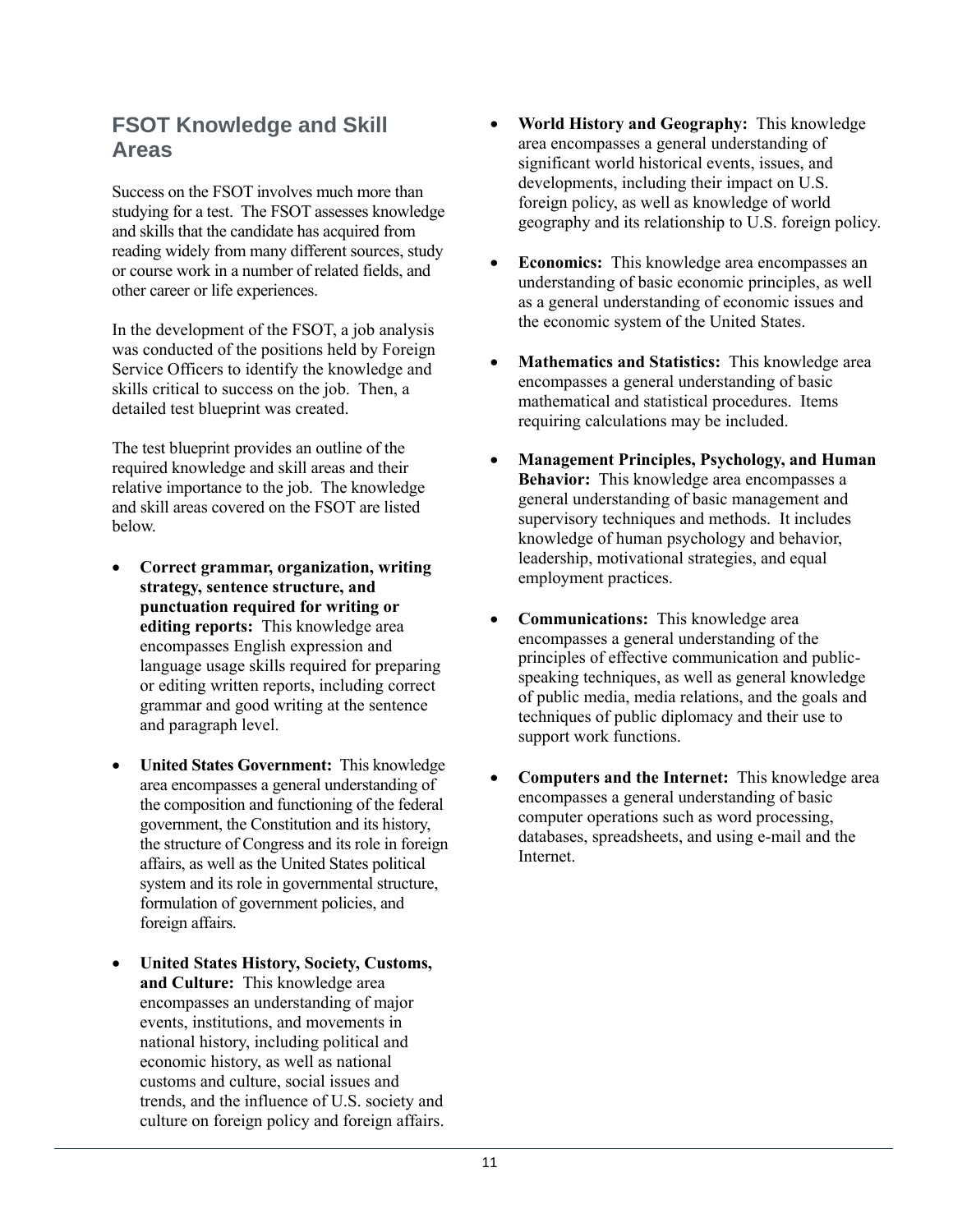### <span id="page-13-0"></span>**FSOT Knowledge and Skill Areas**

Success on the FSOT involves much more than studying for a test. The FSOT assesses knowledge and skills that the candidate has acquired from reading widely from many different sources, study or course work in a number of related fields, and other career or life experiences.

In the development of the FSOT, a job analysis was conducted of the positions held by Foreign Service Officers to identify the knowledge and skills critical to success on the job. Then, a detailed test blueprint was created.

The test blueprint provides an outline of the required knowledge and skill areas and their relative importance to the job. The knowledge and skill areas covered on the FSOT are listed below.

- **Correct grammar, organization, writing strategy, sentence structure, and punctuation required for writing or editing reports:** This knowledge area encompasses English expression and language usage skills required for preparing or editing written reports, including correct grammar and good writing at the sentence and paragraph level.
- **United States Government:** This knowledge area encompasses a general understanding of the composition and functioning of the federal government, the Constitution and its history, the structure of Congress and its role in foreign affairs, as well as the United States political system and its role in governmental structure, formulation of government policies, and foreign affairs.
- **United States History, Society, Customs, and Culture:** This knowledge area encompasses an understanding of major events, institutions, and movements in national history, including political and economic history, as well as national customs and culture, social issues and trends, and the influence of U.S. society and culture on foreign policy and foreign affairs.
- **World History and Geography:** This knowledge area encompasses a general understanding of significant world historical events, issues, and developments, including their impact on U.S. foreign policy, as well as knowledge of world geography and its relationship to U.S. foreign policy.
- **Economics:** This knowledge area encompasses an understanding of basic economic principles, as well as a general understanding of economic issues and the economic system of the United States.
- **Mathematics and Statistics:** This knowledge area encompasses a general understanding of basic mathematical and statistical procedures. Items requiring calculations may be included.
- **Management Principles, Psychology, and Human Behavior:** This knowledge area encompasses a general understanding of basic management and supervisory techniques and methods. It includes knowledge of human psychology and behavior, leadership, motivational strategies, and equal employment practices.
- **Communications:** This knowledge area encompasses a general understanding of the principles of effective communication and publicspeaking techniques, as well as general knowledge of public media, media relations, and the goals and techniques of public diplomacy and their use to support work functions.
- **Computers and the Internet:** This knowledge area encompasses a general understanding of basic computer operations such as word processing, databases, spreadsheets, and using e-mail and the Internet.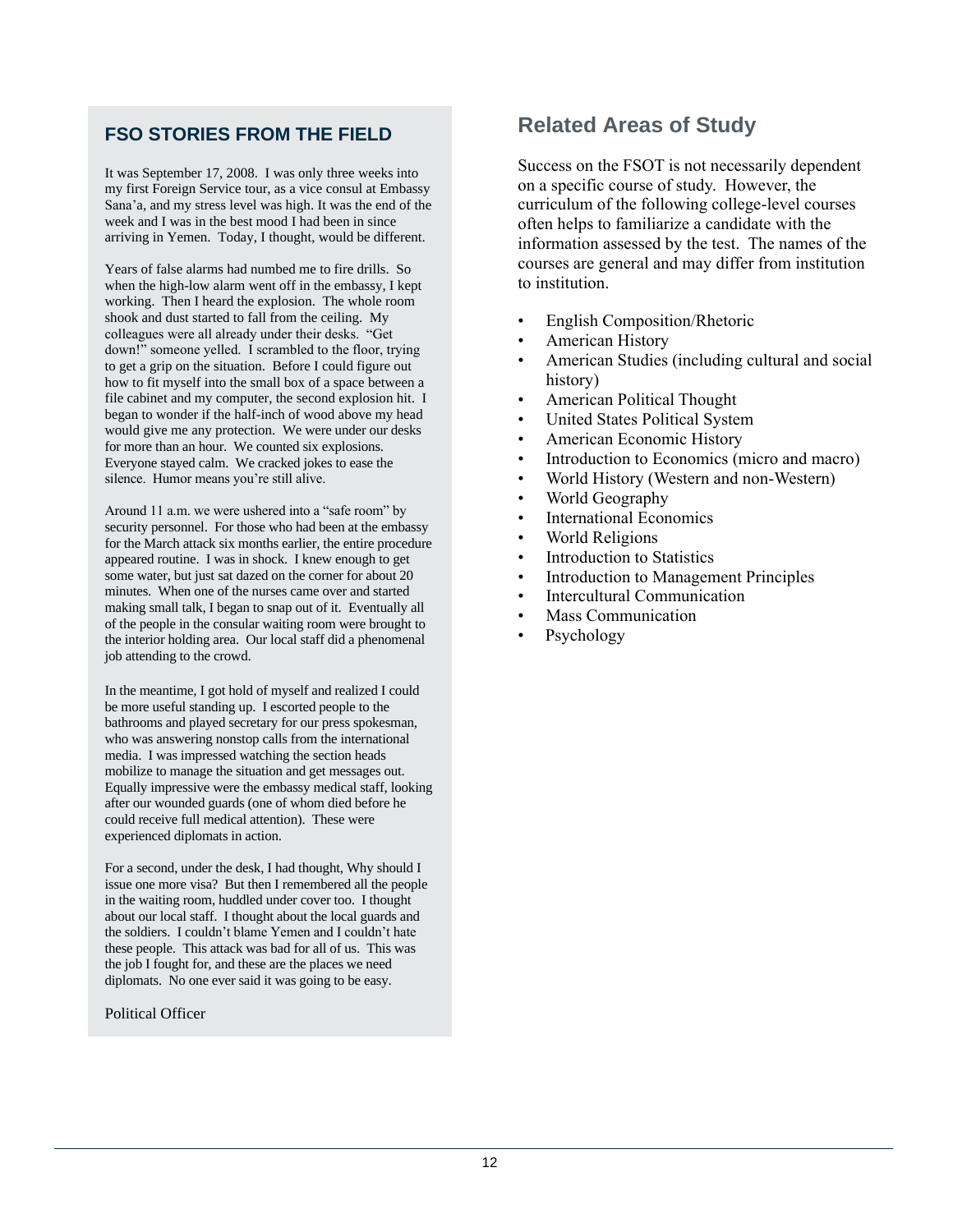It was September 17, 2008. I was only three weeks into my first Foreign Service tour, as a vice consul at Embassy Sana'a, and my stress level was high. It was the end of the week and I was in the best mood I had been in since arriving in Yemen. Today, I thought, would be different.

Years of false alarms had numbed me to fire drills. So when the high-low alarm went off in the embassy, I kept working. Then I heard the explosion. The whole room shook and dust started to fall from the ceiling. My colleagues were all already under their desks. "Get down!" someone yelled. I scrambled to the floor, trying to get a grip on the situation. Before I could figure out how to fit myself into the small box of a space between a file cabinet and my computer, the second explosion hit. I began to wonder if the half-inch of wood above my head would give me any protection. We were under our desks for more than an hour. We counted six explosions. Everyone stayed calm. We cracked jokes to ease the silence. Humor means you're still alive.

Around 11 a.m. we were ushered into a "safe room" by security personnel. For those who had been at the embassy for the March attack six months earlier, the entire procedure appeared routine. I was in shock. I knew enough to get some water, but just sat dazed on the corner for about 20 minutes. When one of the nurses came over and started making small talk, I began to snap out of it. Eventually all of the people in the consular waiting room were brought to the interior holding area. Our local staff did a phenomenal job attending to the crowd.

In the meantime, I got hold of myself and realized I could be more useful standing up. I escorted people to the bathrooms and played secretary for our press spokesman, who was answering nonstop calls from the international media. I was impressed watching the section heads mobilize to manage the situation and get messages out. Equally impressive were the embassy medical staff, looking after our wounded guards (one of whom died before he could receive full medical attention). These were experienced diplomats in action.

For a second, under the desk, I had thought, Why should I issue one more visa? But then I remembered all the people in the waiting room, huddled under cover too. I thought about our local staff. I thought about the local guards and the soldiers. I couldn't blame Yemen and I couldn't hate these people. This attack was bad for all of us. This was the job I fought for, and these are the places we need diplomats. No one ever said it was going to be easy.

#### Political Officer

### <span id="page-14-0"></span>**Related Areas of Study**

Success on the FSOT is not necessarily dependent on a specific course of study. However, the curriculum of the following college-level courses often helps to familiarize a candidate with the information assessed by the test. The names of the courses are general and may differ from institution to institution.

- English Composition/Rhetoric
- American History
- American Studies (including cultural and social history)
- American Political Thought
- United States Political System
- American Economic History
- Introduction to Economics (micro and macro)
- World History (Western and non-Western)
- World Geography
- **International Economics**
- World Religions
- Introduction to Statistics
- Introduction to Management Principles
- **Intercultural Communication**
- Mass Communication
- **Psychology**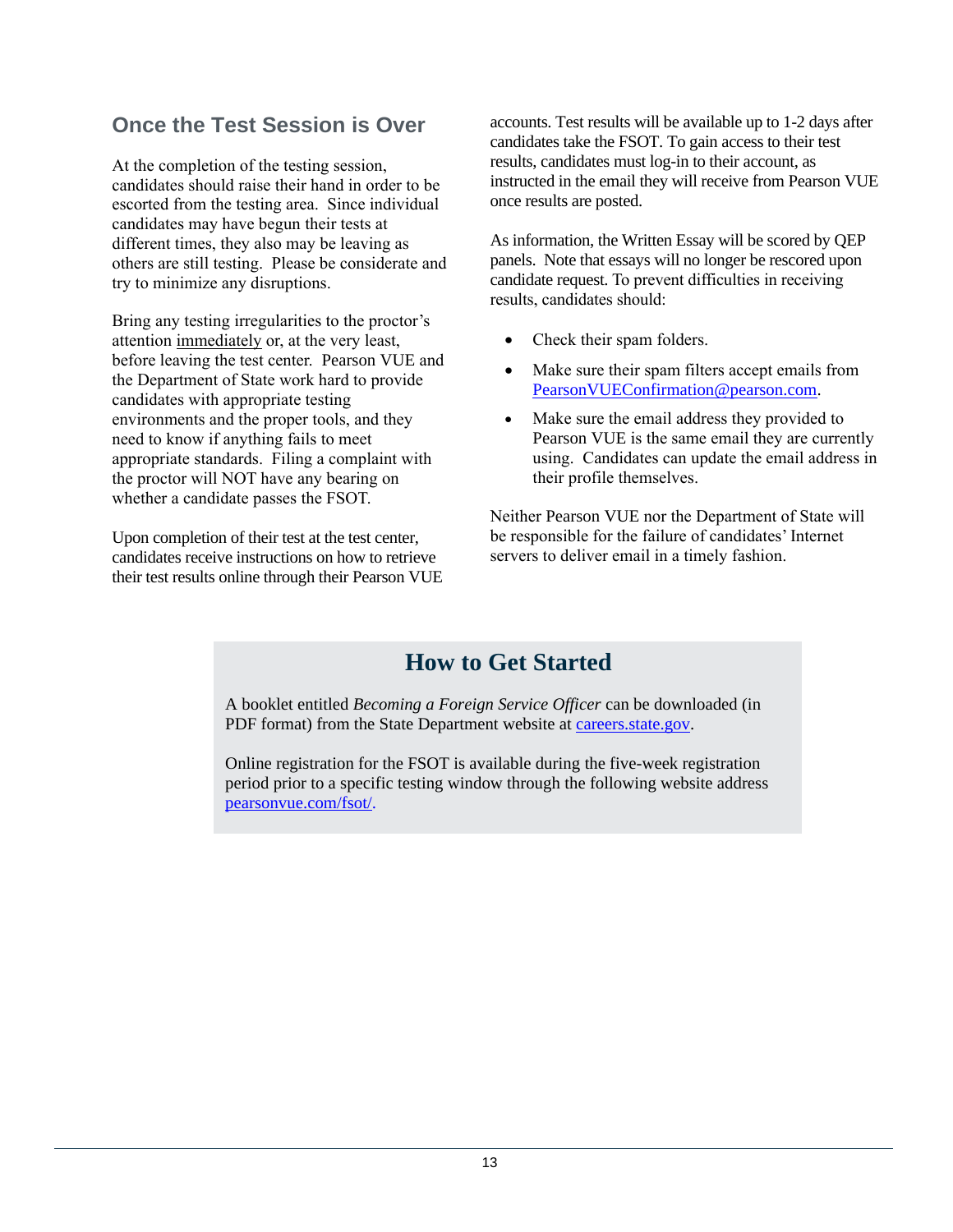### <span id="page-15-0"></span>**Once the Test Session is Over**

At the completion of the testing session, candidates should raise their hand in order to be escorted from the testing area. Since individual candidates may have begun their tests at different times, they also may be leaving as others are still testing. Please be considerate and try to minimize any disruptions.

Bring any testing irregularities to the proctor's attention immediately or, at the very least, before leaving the test center. Pearson VUE and the Department of State work hard to provide candidates with appropriate testing environments and the proper tools, and they need to know if anything fails to meet appropriate standards. Filing a complaint with the proctor will NOT have any bearing on whether a candidate passes the FSOT.

Upon completion of their test at the test center, candidates receive instructions on how to retrieve their test results online through their Pearson VUE accounts. Test results will be available up to 1-2 days after candidates take the FSOT. To gain access to their test results, candidates must log-in to their account, as instructed in the email they will receive from Pearson VUE once results are posted.

As information, the Written Essay will be scored by QEP panels. Note that essays will no longer be rescored upon candidate request. To prevent difficulties in receiving results, candidates should:

- Check their spam folders.
- Make sure their spam filters accept emails from [PearsonVUEConfirmation@pearson.com.](mailto:PearsonVUEConfirmation@pearson.com)
- Make sure the email address they provided to Pearson VUE is the same email they are currently using. Candidates can update the email address in their profile themselves.

Neither Pearson VUE nor the Department of State will be responsible for the failure of candidates' Internet servers to deliver email in a timely fashion.

### **How to Get Started**

A booklet entitled *Becoming a Foreign Service Officer* can be downloaded (in PDF format) from the State Department website at [careers.state.gov.](https://careers.state.gov/)

Online registration for the FSOT is available during the five-week registration period prior to a specific testing window through the following website address [pearsonvue.com/fsot/.](http://pearsonvue.com/fsot/)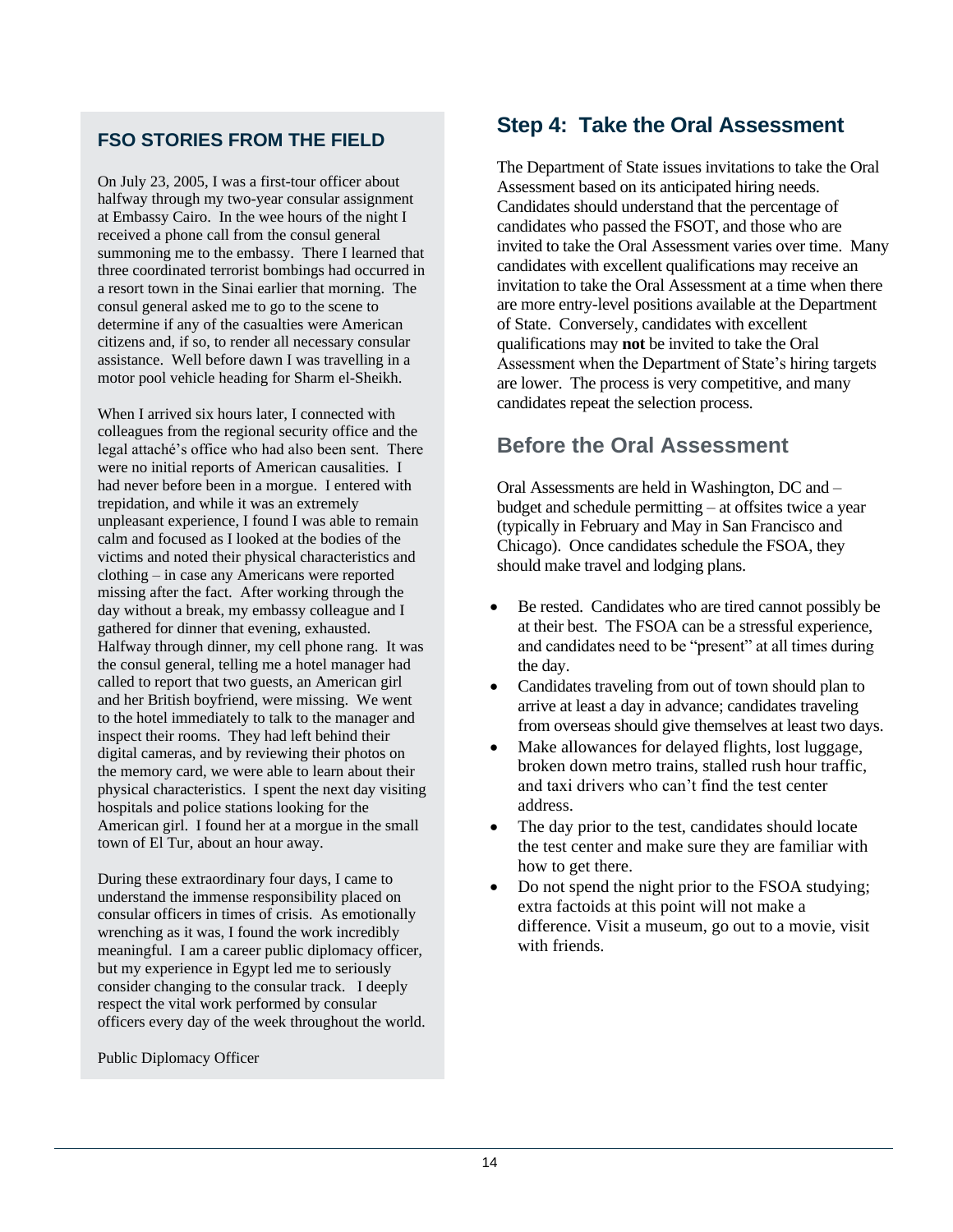On July 23, 2005, I was a first-tour officer about halfway through my two-year consular assignment at Embassy Cairo. In the wee hours of the night I received a phone call from the consul general summoning me to the embassy. There I learned that three coordinated terrorist bombings had occurred in a resort town in the Sinai earlier that morning. The consul general asked me to go to the scene to determine if any of the casualties were American citizens and, if so, to render all necessary consular assistance. Well before dawn I was travelling in a motor pool vehicle heading for Sharm el-Sheikh.

When I arrived six hours later, I connected with colleagues from the regional security office and the legal attaché's office who had also been sent. There were no initial reports of American causalities. I had never before been in a morgue. I entered with trepidation, and while it was an extremely unpleasant experience, I found I was able to remain calm and focused as I looked at the bodies of the victims and noted their physical characteristics and clothing – in case any Americans were reported missing after the fact. After working through the day without a break, my embassy colleague and I gathered for dinner that evening, exhausted. Halfway through dinner, my cell phone rang. It was the consul general, telling me a hotel manager had called to report that two guests, an American girl and her British boyfriend, were missing. We went to the hotel immediately to talk to the manager and inspect their rooms. They had left behind their digital cameras, and by reviewing their photos on the memory card, we were able to learn about their physical characteristics. I spent the next day visiting hospitals and police stations looking for the American girl. I found her at a morgue in the small town of El Tur, about an hour away.

During these extraordinary four days, I came to understand the immense responsibility placed on consular officers in times of crisis. As emotionally wrenching as it was, I found the work incredibly meaningful. I am a career public diplomacy officer, but my experience in Egypt led me to seriously consider changing to the consular track. I deeply respect the vital work performed by consular officers every day of the week throughout the world.

Public Diplomacy Officer

### <span id="page-16-0"></span>**Step 4: Take the Oral Assessment**

The Department of State issues invitations to take the Oral Assessment based on its anticipated hiring needs. Candidates should understand that the percentage of candidates who passed the FSOT, and those who are invited to take the Oral Assessment varies over time. Many candidates with excellent qualifications may receive an invitation to take the Oral Assessment at a time when there are more entry-level positions available at the Department of State. Conversely, candidates with excellent qualifications may **not** be invited to take the Oral Assessment when the Department of State's hiring targets are lower. The process is very competitive, and many candidates repeat the selection process.

### <span id="page-16-1"></span>**Before the Oral Assessment**

Oral Assessments are held in Washington, DC and – budget and schedule permitting – at offsites twice a year (typically in February and May in San Francisco and Chicago). Once candidates schedule the FSOA, they should make travel and lodging plans.

- Be rested. Candidates who are tired cannot possibly be at their best. The FSOA can be a stressful experience, and candidates need to be "present" at all times during the day.
- Candidates traveling from out of town should plan to arrive at least a day in advance; candidates traveling from overseas should give themselves at least two days.
- Make allowances for delayed flights, lost luggage, broken down metro trains, stalled rush hour traffic, and taxi drivers who can't find the test center address.
- The day prior to the test, candidates should locate the test center and make sure they are familiar with how to get there.
- Do not spend the night prior to the FSOA studying; extra factoids at this point will not make a difference. Visit a museum, go out to a movie, visit with friends.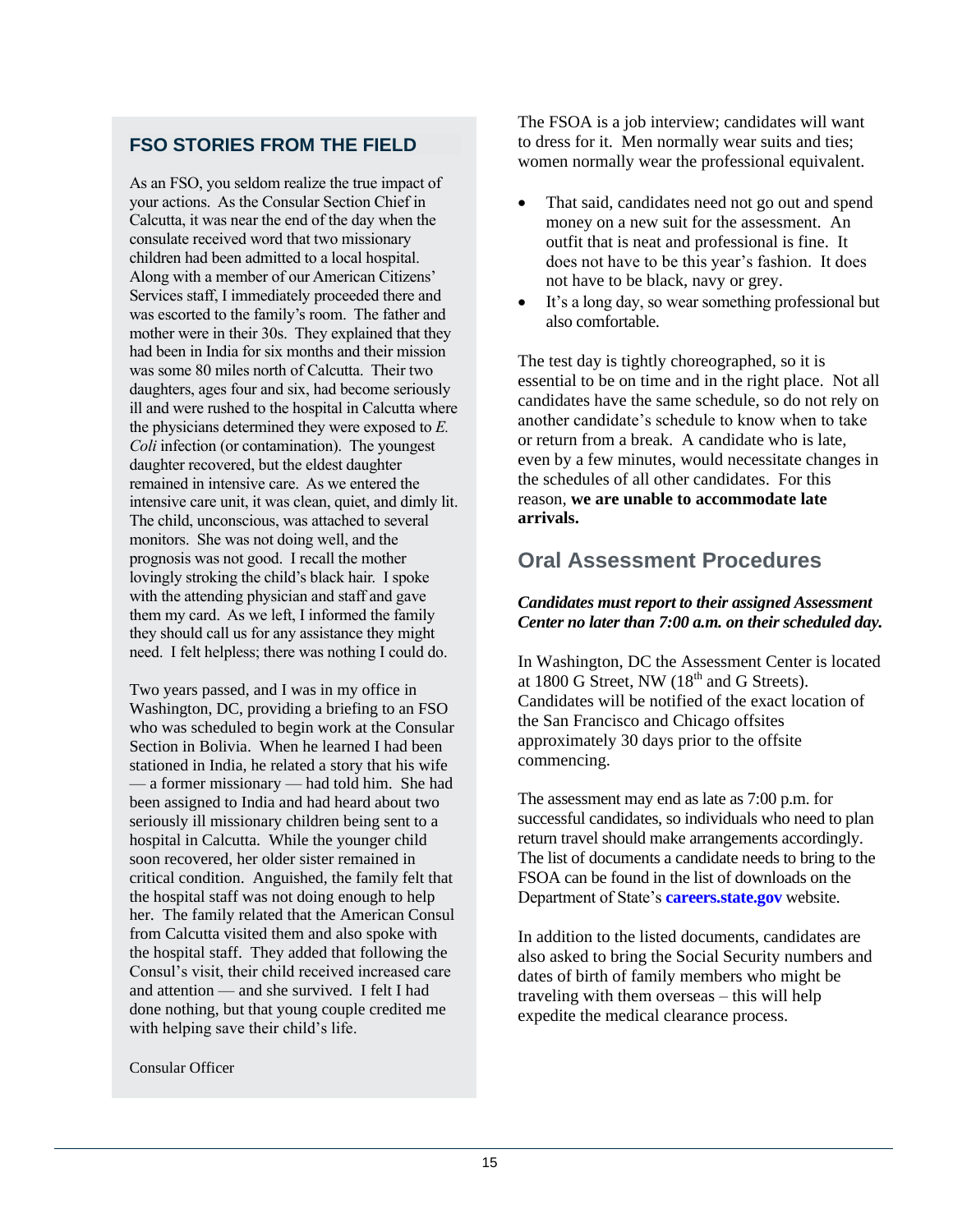As an FSO, you seldom realize the true impact of your actions. As the Consular Section Chief in Calcutta, it was near the end of the day when the consulate received word that two missionary children had been admitted to a local hospital. Along with a member of our American Citizens' Services staff, I immediately proceeded there and was escorted to the family's room. The father and mother were in their 30s. They explained that they had been in India for six months and their mission was some 80 miles north of Calcutta. Their two daughters, ages four and six, had become seriously ill and were rushed to the hospital in Calcutta where the physicians determined they were exposed to *E. Coli* infection (or contamination). The youngest daughter recovered, but the eldest daughter remained in intensive care. As we entered the intensive care unit, it was clean, quiet, and dimly lit. The child, unconscious, was attached to several monitors. She was not doing well, and the prognosis was not good. I recall the mother lovingly stroking the child's black hair. I spoke with the attending physician and staff and gave them my card. As we left, I informed the family they should call us for any assistance they might need. I felt helpless; there was nothing I could do.

Two years passed, and I was in my office in Washington, DC, providing a briefing to an FSO who was scheduled to begin work at the Consular Section in Bolivia. When he learned I had been stationed in India, he related a story that his wife — a former missionary — had told him. She had been assigned to India and had heard about two seriously ill missionary children being sent to a hospital in Calcutta. While the younger child soon recovered, her older sister remained in critical condition. Anguished, the family felt that the hospital staff was not doing enough to help her. The family related that the American Consul from Calcutta visited them and also spoke with the hospital staff. They added that following the Consul's visit, their child received increased care and attention — and she survived. I felt I had done nothing, but that young couple credited me with helping save their child's life.

Consular Officer

The FSOA is a job interview; candidates will want to dress for it. Men normally wear suits and ties; women normally wear the professional equivalent.

- That said, candidates need not go out and spend money on a new suit for the assessment. An outfit that is neat and professional is fine. It does not have to be this year's fashion. It does not have to be black, navy or grey.
- It's a long day, so wear something professional but also comfortable.

The test day is tightly choreographed, so it is essential to be on time and in the right place. Not all candidates have the same schedule, so do not rely on another candidate's schedule to know when to take or return from a break. A candidate who is late, even by a few minutes, would necessitate changes in the schedules of all other candidates. For this reason, **we are unable to accommodate late arrivals.**

#### <span id="page-17-0"></span>**Oral Assessment Procedures**

#### *Candidates must report to their assigned Assessment Center no later than 7:00 a.m. on their scheduled day.*

In Washington, DC the Assessment Center is located at  $1800$  G Street, NW  $(18<sup>th</sup>$  and G Streets). Candidates will be notified of the exact location of the San Francisco and Chicago offsites approximately 30 days prior to the offsite commencing.

The assessment may end as late as 7:00 p.m. for successful candidates, so individuals who need to plan return travel should make arrangements accordingly. The list of documents a candidate needs to bring to the FSOA can be found in the list of downloads on the Department of State's **[careers.state.gov](https://careers.state.gov/downloads/fsoa/)** website.

In addition to the listed documents, candidates are also asked to bring the Social Security numbers and dates of birth of family members who might be traveling with them overseas – this will help expedite the medical clearance process.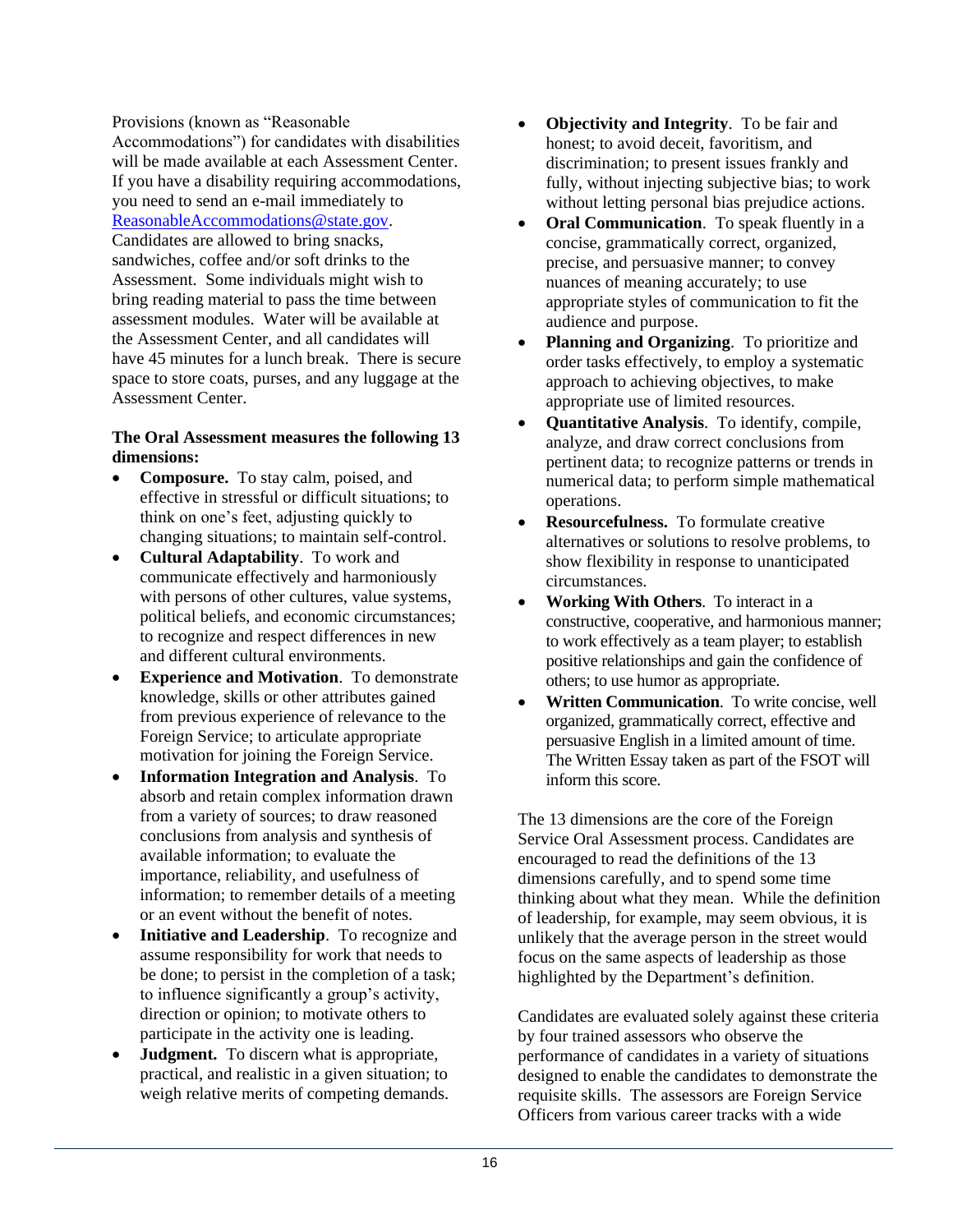Provisions (known as "Reasonable Accommodations") for candidates with disabilities will be made available at each Assessment Center. If you have a disability requiring accommodations, you need to send an e-mail immediately to [ReasonableAccommodations@state.gov.](mailto:ReasonableAccommodations@state.gov) Candidates are allowed to bring snacks, sandwiches, coffee and/or soft drinks to the Assessment. Some individuals might wish to bring reading material to pass the time between assessment modules. Water will be available at the Assessment Center, and all candidates will have 45 minutes for a lunch break. There is secure space to store coats, purses, and any luggage at the Assessment Center.

#### **The Oral Assessment measures the following 13 dimensions:**

- **Composure.** To stay calm, poised, and effective in stressful or difficult situations; to think on one's feet, adjusting quickly to changing situations; to maintain self-control.
- **Cultural Adaptability**. To work and communicate effectively and harmoniously with persons of other cultures, value systems, political beliefs, and economic circumstances; to recognize and respect differences in new and different cultural environments.
- **Experience and Motivation.** To demonstrate knowledge, skills or other attributes gained from previous experience of relevance to the Foreign Service; to articulate appropriate motivation for joining the Foreign Service.
- **Information Integration and Analysis**. To absorb and retain complex information drawn from a variety of sources; to draw reasoned conclusions from analysis and synthesis of available information; to evaluate the importance, reliability, and usefulness of information; to remember details of a meeting or an event without the benefit of notes.
- **Initiative and Leadership**. To recognize and assume responsibility for work that needs to be done; to persist in the completion of a task; to influence significantly a group's activity, direction or opinion; to motivate others to participate in the activity one is leading.
- **Judgment.** To discern what is appropriate, practical, and realistic in a given situation; to weigh relative merits of competing demands.
- **Objectivity and Integrity**. To be fair and honest; to avoid deceit, favoritism, and discrimination; to present issues frankly and fully, without injecting subjective bias; to work without letting personal bias prejudice actions.
- **Oral Communication**. To speak fluently in a concise, grammatically correct, organized, precise, and persuasive manner; to convey nuances of meaning accurately; to use appropriate styles of communication to fit the audience and purpose.
- **Planning and Organizing**. To prioritize and order tasks effectively, to employ a systematic approach to achieving objectives, to make appropriate use of limited resources.
- **Quantitative Analysis**. To identify, compile, analyze, and draw correct conclusions from pertinent data; to recognize patterns or trends in numerical data; to perform simple mathematical operations.
- **Resourcefulness.** To formulate creative alternatives or solutions to resolve problems, to show flexibility in response to unanticipated circumstances.
- **Working With Others**. To interact in a constructive, cooperative, and harmonious manner; to work effectively as a team player; to establish positive relationships and gain the confidence of others; to use humor as appropriate.
- **Written Communication**. To write concise, well organized, grammatically correct, effective and persuasive English in a limited amount of time. The Written Essay taken as part of the FSOT will inform this score.

The 13 dimensions are the core of the Foreign Service Oral Assessment process. Candidates are encouraged to read the definitions of the 13 dimensions carefully, and to spend some time thinking about what they mean. While the definition of leadership, for example, may seem obvious, it is unlikely that the average person in the street would focus on the same aspects of leadership as those highlighted by the Department's definition.

Candidates are evaluated solely against these criteria by four trained assessors who observe the performance of candidates in a variety of situations designed to enable the candidates to demonstrate the requisite skills. The assessors are Foreign Service Officers from various career tracks with a wide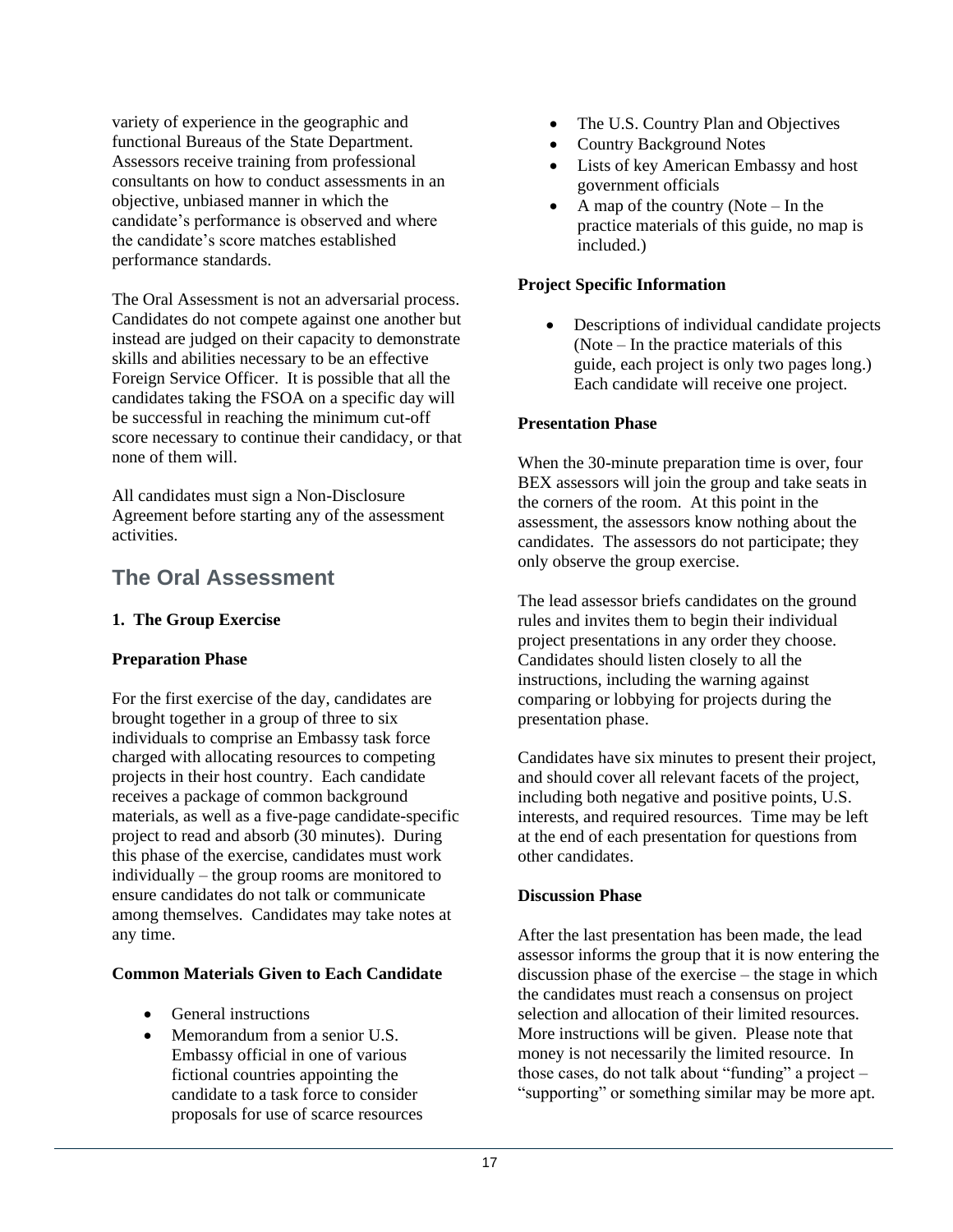variety of experience in the geographic and functional Bureaus of the State Department. Assessors receive training from professional consultants on how to conduct assessments in an objective, unbiased manner in which the candidate's performance is observed and where the candidate's score matches established performance standards.

The Oral Assessment is not an adversarial process. Candidates do not compete against one another but instead are judged on their capacity to demonstrate skills and abilities necessary to be an effective Foreign Service Officer. It is possible that all the candidates taking the FSOA on a specific day will be successful in reaching the minimum cut-off score necessary to continue their candidacy, or that none of them will.

All candidates must sign a Non-Disclosure Agreement before starting any of the assessment activities.

### <span id="page-19-0"></span>**The Oral Assessment**

#### **1. The Group Exercise**

#### **Preparation Phase**

For the first exercise of the day, candidates are brought together in a group of three to six individuals to comprise an Embassy task force charged with allocating resources to competing projects in their host country. Each candidate receives a package of common background materials, as well as a five-page candidate-specific project to read and absorb (30 minutes). During this phase of the exercise, candidates must work individually – the group rooms are monitored to ensure candidates do not talk or communicate among themselves. Candidates may take notes at any time.

#### **Common Materials Given to Each Candidate**

- General instructions
- Memorandum from a senior U.S. Embassy official in one of various fictional countries appointing the candidate to a task force to consider proposals for use of scarce resources
- The U.S. Country Plan and Objectives
- Country Background Notes
- Lists of key American Embassy and host government officials
- A map of the country (Note In the practice materials of this guide, no map is included.)

#### **Project Specific Information**

• Descriptions of individual candidate projects (Note – In the practice materials of this guide, each project is only two pages long.) Each candidate will receive one project.

#### **Presentation Phase**

When the 30-minute preparation time is over, four BEX assessors will join the group and take seats in the corners of the room. At this point in the assessment, the assessors know nothing about the candidates. The assessors do not participate; they only observe the group exercise.

The lead assessor briefs candidates on the ground rules and invites them to begin their individual project presentations in any order they choose. Candidates should listen closely to all the instructions, including the warning against comparing or lobbying for projects during the presentation phase.

Candidates have six minutes to present their project, and should cover all relevant facets of the project, including both negative and positive points, U.S. interests, and required resources. Time may be left at the end of each presentation for questions from other candidates.

#### **Discussion Phase**

After the last presentation has been made, the lead assessor informs the group that it is now entering the discussion phase of the exercise – the stage in which the candidates must reach a consensus on project selection and allocation of their limited resources. More instructions will be given. Please note that money is not necessarily the limited resource. In those cases, do not talk about "funding" a project – "supporting" or something similar may be more apt.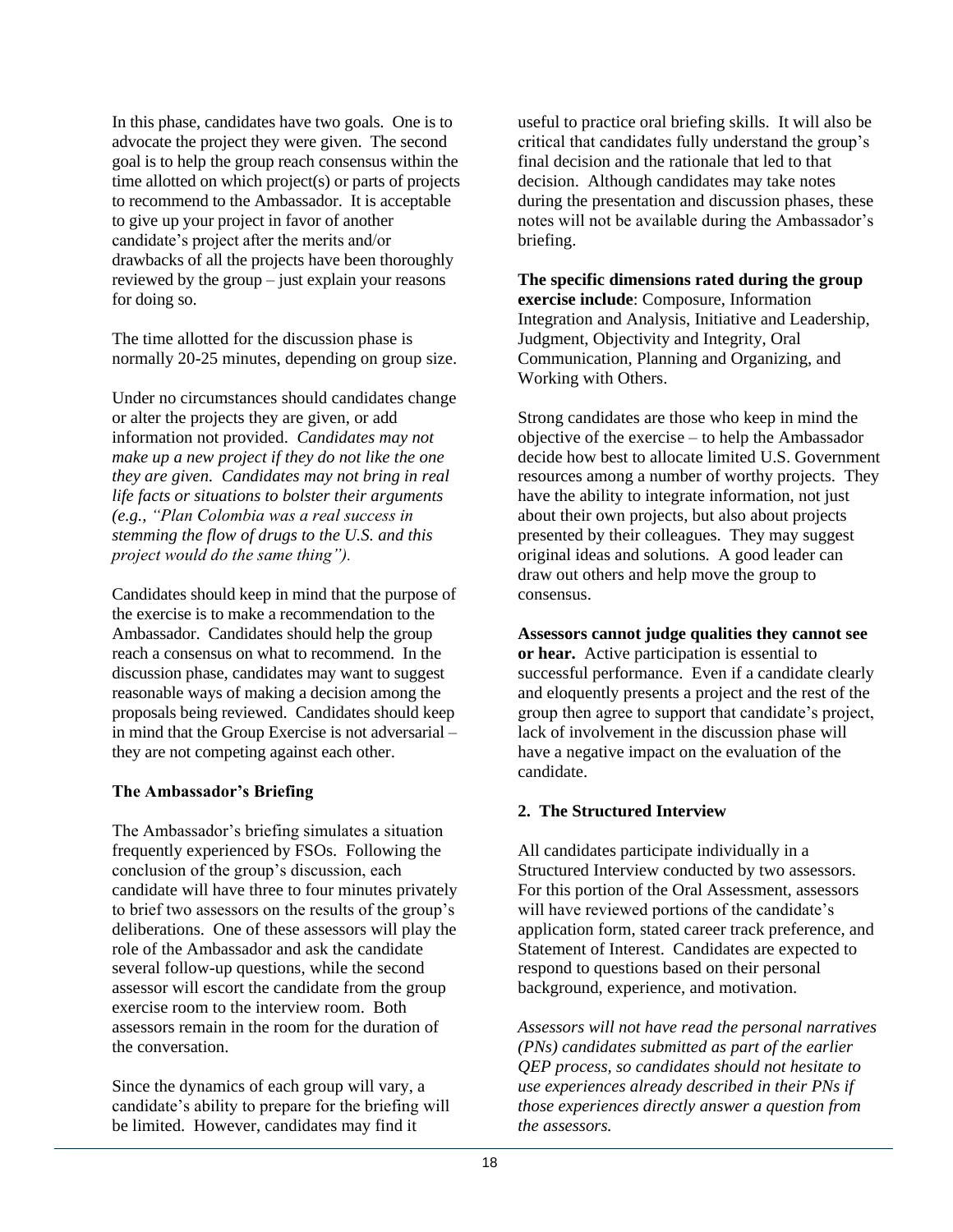In this phase, candidates have two goals. One is to advocate the project they were given. The second goal is to help the group reach consensus within the time allotted on which project(s) or parts of projects to recommend to the Ambassador. It is acceptable to give up your project in favor of another candidate's project after the merits and/or drawbacks of all the projects have been thoroughly reviewed by the group – just explain your reasons for doing so.

The time allotted for the discussion phase is normally 20-25 minutes, depending on group size.

Under no circumstances should candidates change or alter the projects they are given, or add information not provided. *Candidates may not make up a new project if they do not like the one they are given. Candidates may not bring in real life facts or situations to bolster their arguments (e.g., "Plan Colombia was a real success in stemming the flow of drugs to the U.S. and this project would do the same thing").*

Candidates should keep in mind that the purpose of the exercise is to make a recommendation to the Ambassador. Candidates should help the group reach a consensus on what to recommend. In the discussion phase, candidates may want to suggest reasonable ways of making a decision among the proposals being reviewed. Candidates should keep in mind that the Group Exercise is not adversarial – they are not competing against each other.

#### **The Ambassador's Briefing**

The Ambassador's briefing simulates a situation frequently experienced by FSOs. Following the conclusion of the group's discussion, each candidate will have three to four minutes privately to brief two assessors on the results of the group's deliberations. One of these assessors will play the role of the Ambassador and ask the candidate several follow-up questions, while the second assessor will escort the candidate from the group exercise room to the interview room. Both assessors remain in the room for the duration of the conversation.

Since the dynamics of each group will vary, a candidate's ability to prepare for the briefing will be limited. However, candidates may find it

useful to practice oral briefing skills. It will also be critical that candidates fully understand the group's final decision and the rationale that led to that decision. Although candidates may take notes during the presentation and discussion phases, these notes will not be available during the Ambassador's briefing.

**The specific dimensions rated during the group exercise include**: Composure, Information Integration and Analysis, Initiative and Leadership, Judgment, Objectivity and Integrity, Oral Communication, Planning and Organizing, and Working with Others.

Strong candidates are those who keep in mind the objective of the exercise – to help the Ambassador decide how best to allocate limited U.S. Government resources among a number of worthy projects. They have the ability to integrate information, not just about their own projects, but also about projects presented by their colleagues. They may suggest original ideas and solutions. A good leader can draw out others and help move the group to consensus.

**Assessors cannot judge qualities they cannot see or hear.** Active participation is essential to successful performance. Even if a candidate clearly and eloquently presents a project and the rest of the group then agree to support that candidate's project, lack of involvement in the discussion phase will have a negative impact on the evaluation of the candidate.

#### **2. The Structured Interview**

All candidates participate individually in a Structured Interview conducted by two assessors. For this portion of the Oral Assessment, assessors will have reviewed portions of the candidate's application form, stated career track preference, and Statement of Interest. Candidates are expected to respond to questions based on their personal background, experience, and motivation.

*Assessors will not have read the personal narratives (PNs) candidates submitted as part of the earlier QEP process, so candidates should not hesitate to use experiences already described in their PNs if those experiences directly answer a question from the assessors.*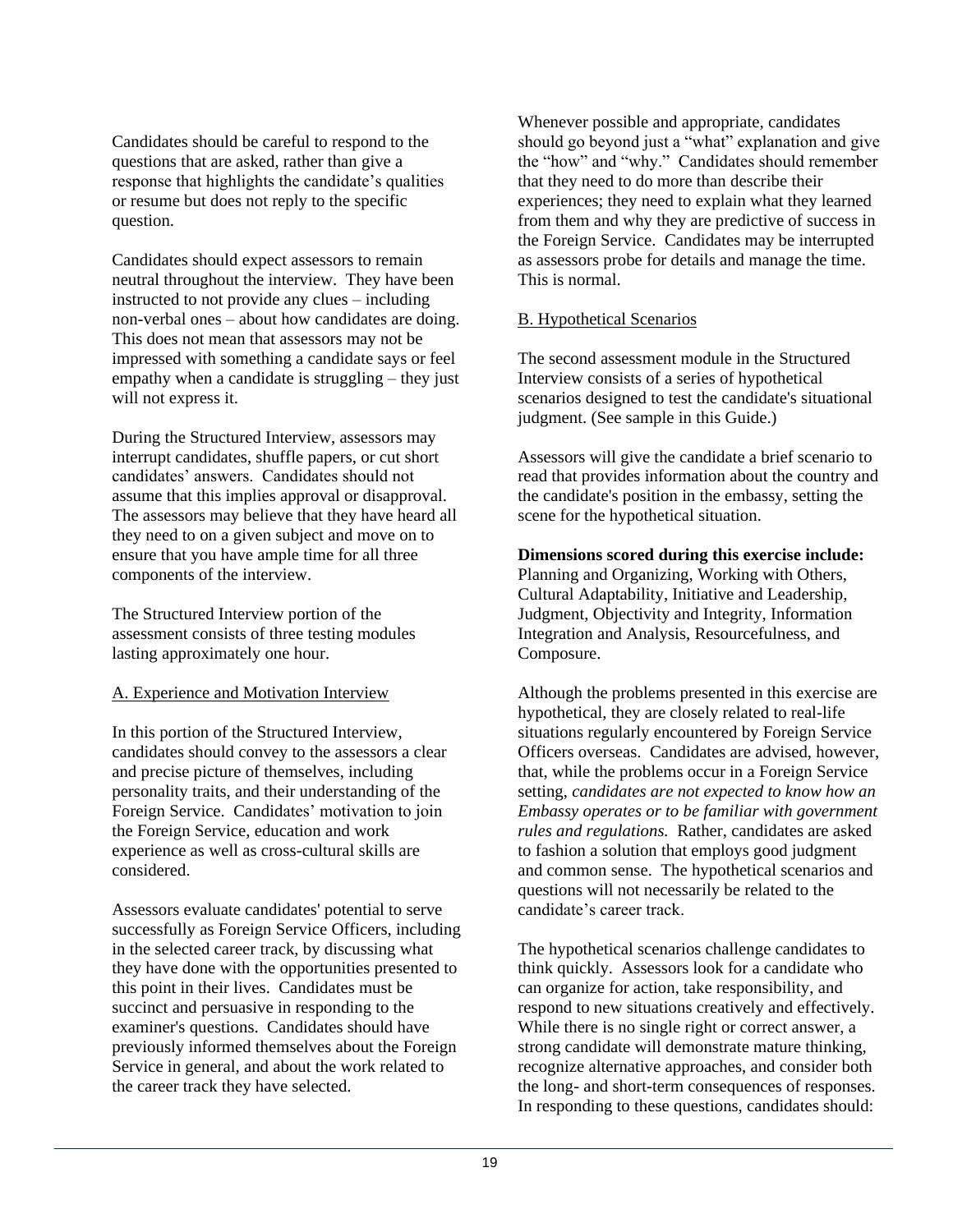Candidates should be careful to respond to the questions that are asked, rather than give a response that highlights the candidate's qualities or resume but does not reply to the specific question.

Candidates should expect assessors to remain neutral throughout the interview. They have been instructed to not provide any clues – including non-verbal ones – about how candidates are doing. This does not mean that assessors may not be impressed with something a candidate says or feel empathy when a candidate is struggling – they just will not express it.

During the Structured Interview, assessors may interrupt candidates, shuffle papers, or cut short candidates' answers. Candidates should not assume that this implies approval or disapproval. The assessors may believe that they have heard all they need to on a given subject and move on to ensure that you have ample time for all three components of the interview.

The Structured Interview portion of the assessment consists of three testing modules lasting approximately one hour.

#### A. Experience and Motivation Interview

In this portion of the Structured Interview, candidates should convey to the assessors a clear and precise picture of themselves, including personality traits, and their understanding of the Foreign Service. Candidates' motivation to join the Foreign Service, education and work experience as well as cross-cultural skills are considered.

Assessors evaluate candidates' potential to serve successfully as Foreign Service Officers, including in the selected career track, by discussing what they have done with the opportunities presented to this point in their lives. Candidates must be succinct and persuasive in responding to the examiner's questions. Candidates should have previously informed themselves about the Foreign Service in general, and about the work related to the career track they have selected.

Whenever possible and appropriate, candidates should go beyond just a "what" explanation and give the "how" and "why." Candidates should remember that they need to do more than describe their experiences; they need to explain what they learned from them and why they are predictive of success in the Foreign Service. Candidates may be interrupted as assessors probe for details and manage the time. This is normal.

#### B. Hypothetical Scenarios

The second assessment module in the Structured Interview consists of a series of hypothetical scenarios designed to test the candidate's situational judgment. (See sample in this Guide.)

Assessors will give the candidate a brief scenario to read that provides information about the country and the candidate's position in the embassy, setting the scene for the hypothetical situation.

**Dimensions scored during this exercise include:**  Planning and Organizing, Working with Others, Cultural Adaptability, Initiative and Leadership, Judgment, Objectivity and Integrity, Information Integration and Analysis, Resourcefulness, and Composure.

Although the problems presented in this exercise are hypothetical, they are closely related to real-life situations regularly encountered by Foreign Service Officers overseas. Candidates are advised, however, that, while the problems occur in a Foreign Service setting, *candidates are not expected to know how an Embassy operates or to be familiar with government rules and regulations.* Rather, candidates are asked to fashion a solution that employs good judgment and common sense. The hypothetical scenarios and questions will not necessarily be related to the candidate's career track.

The hypothetical scenarios challenge candidates to think quickly. Assessors look for a candidate who can organize for action, take responsibility, and respond to new situations creatively and effectively. While there is no single right or correct answer, a strong candidate will demonstrate mature thinking, recognize alternative approaches, and consider both the long- and short-term consequences of responses. In responding to these questions, candidates should: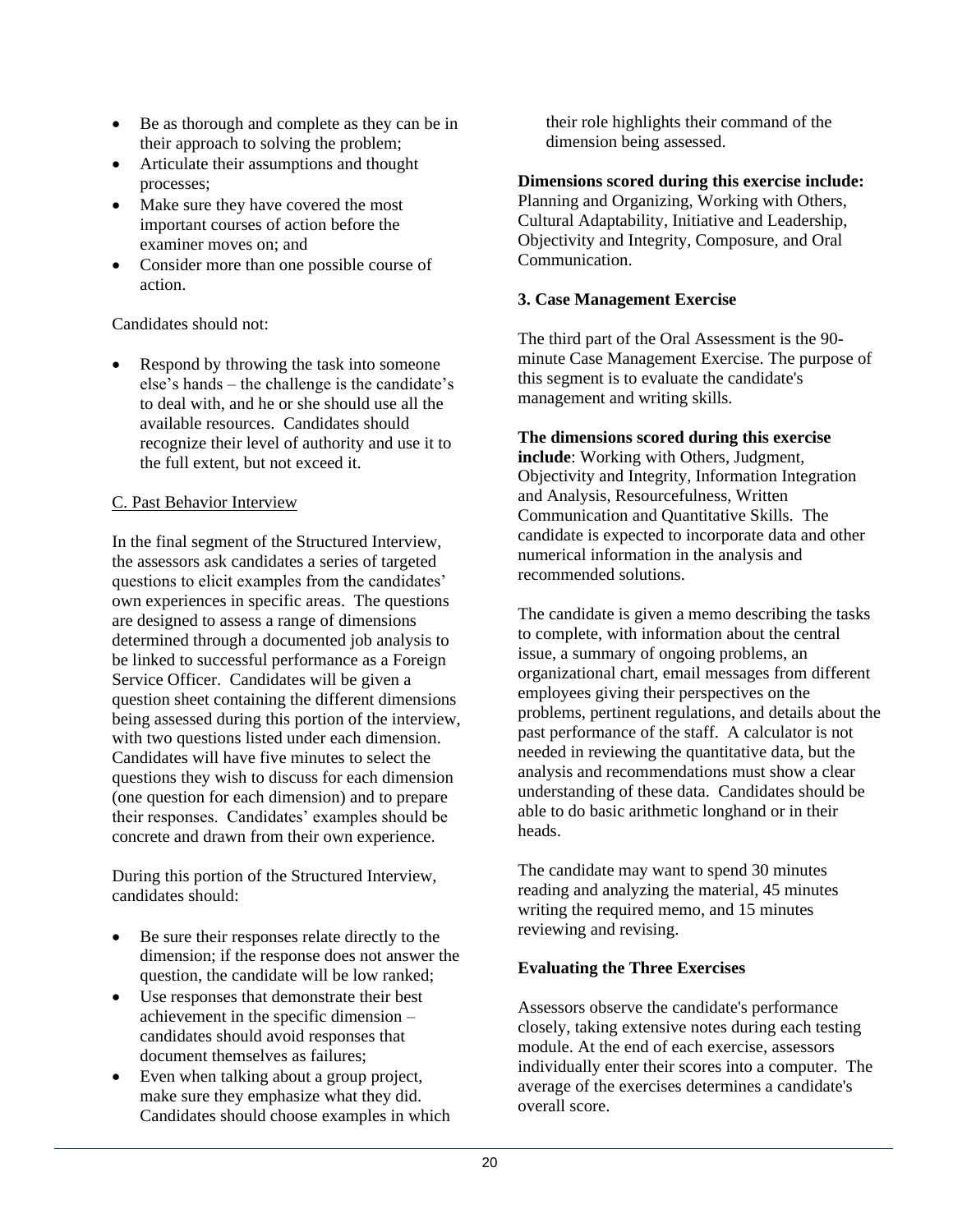- Be as thorough and complete as they can be in their approach to solving the problem;
- Articulate their assumptions and thought processes;
- Make sure they have covered the most important courses of action before the examiner moves on; and
- Consider more than one possible course of action.

Candidates should not:

• Respond by throwing the task into someone else's hands – the challenge is the candidate's to deal with, and he or she should use all the available resources. Candidates should recognize their level of authority and use it to the full extent, but not exceed it.

#### C. Past Behavior Interview

In the final segment of the Structured Interview, the assessors ask candidates a series of targeted questions to elicit examples from the candidates' own experiences in specific areas. The questions are designed to assess a range of dimensions determined through a documented job analysis to be linked to successful performance as a Foreign Service Officer. Candidates will be given a question sheet containing the different dimensions being assessed during this portion of the interview, with two questions listed under each dimension. Candidates will have five minutes to select the questions they wish to discuss for each dimension (one question for each dimension) and to prepare their responses. Candidates' examples should be concrete and drawn from their own experience.

During this portion of the Structured Interview, candidates should:

- Be sure their responses relate directly to the dimension; if the response does not answer the question, the candidate will be low ranked;
- Use responses that demonstrate their best achievement in the specific dimension – candidates should avoid responses that document themselves as failures;
- Even when talking about a group project, make sure they emphasize what they did. Candidates should choose examples in which

their role highlights their command of the dimension being assessed.

### **Dimensions scored during this exercise include:**

Planning and Organizing, Working with Others, Cultural Adaptability, Initiative and Leadership, Objectivity and Integrity, Composure, and Oral Communication.

#### **3. Case Management Exercise**

The third part of the Oral Assessment is the 90 minute Case Management Exercise. The purpose of this segment is to evaluate the candidate's management and writing skills.

#### **The dimensions scored during this exercise**

**include**: Working with Others, Judgment, Objectivity and Integrity, Information Integration and Analysis, Resourcefulness, Written Communication and Quantitative Skills. The candidate is expected to incorporate data and other numerical information in the analysis and recommended solutions.

The candidate is given a memo describing the tasks to complete, with information about the central issue, a summary of ongoing problems, an organizational chart, email messages from different employees giving their perspectives on the problems, pertinent regulations, and details about the past performance of the staff. A calculator is not needed in reviewing the quantitative data, but the analysis and recommendations must show a clear understanding of these data. Candidates should be able to do basic arithmetic longhand or in their heads.

The candidate may want to spend 30 minutes reading and analyzing the material, 45 minutes writing the required memo, and 15 minutes reviewing and revising.

#### **Evaluating the Three Exercises**

Assessors observe the candidate's performance closely, taking extensive notes during each testing module. At the end of each exercise, assessors individually enter their scores into a computer. The average of the exercises determines a candidate's overall score.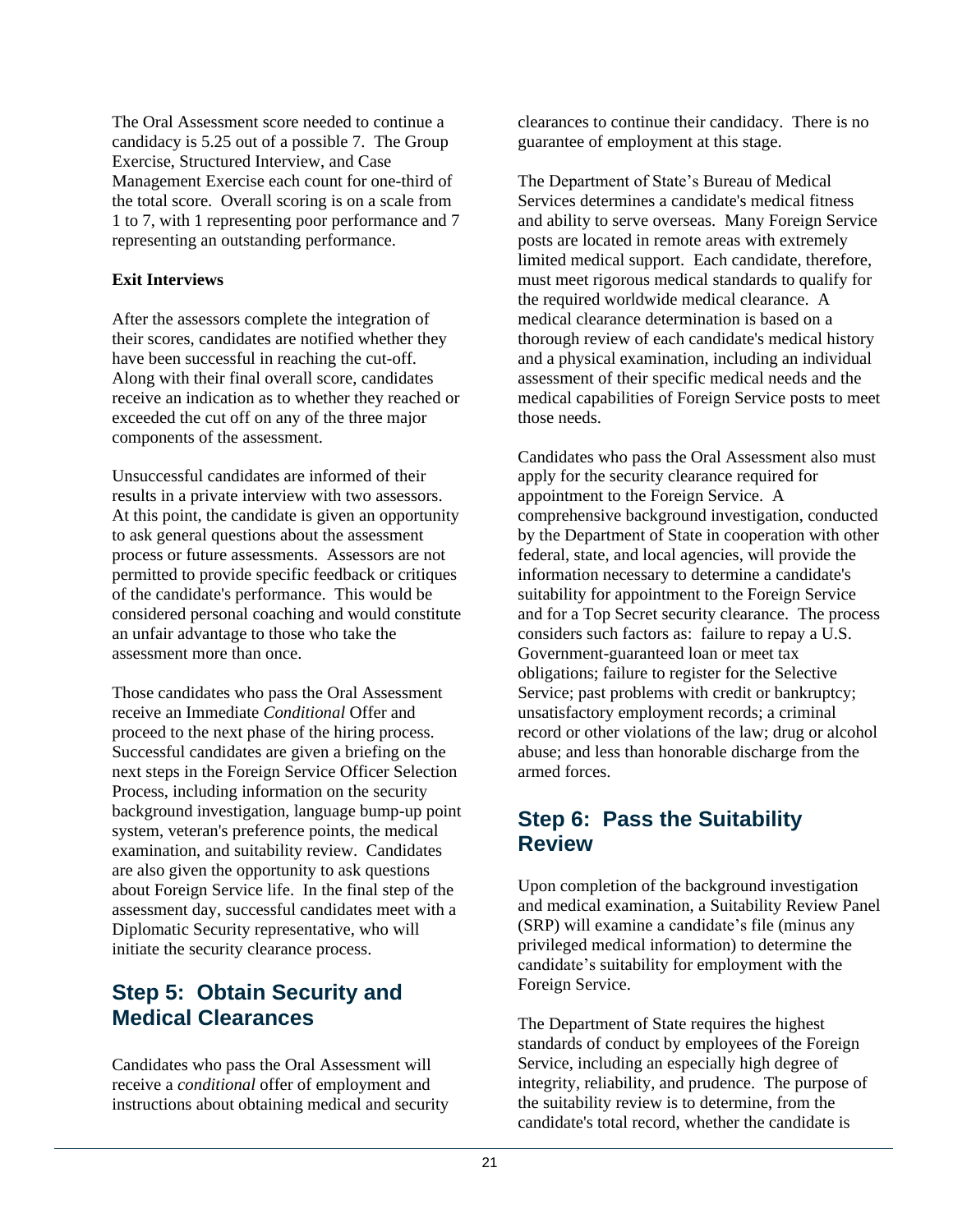The Oral Assessment score needed to continue a candidacy is 5.25 out of a possible 7. The Group Exercise, Structured Interview, and Case Management Exercise each count for one-third of the total score. Overall scoring is on a scale from 1 to 7, with 1 representing poor performance and 7 representing an outstanding performance.

#### **Exit Interviews**

After the assessors complete the integration of their scores, candidates are notified whether they have been successful in reaching the cut-off. Along with their final overall score, candidates receive an indication as to whether they reached or exceeded the cut off on any of the three major components of the assessment.

Unsuccessful candidates are informed of their results in a private interview with two assessors. At this point, the candidate is given an opportunity to ask general questions about the assessment process or future assessments. Assessors are not permitted to provide specific feedback or critiques of the candidate's performance. This would be considered personal coaching and would constitute an unfair advantage to those who take the assessment more than once.

Those candidates who pass the Oral Assessment receive an Immediate *Conditional* Offer and proceed to the next phase of the hiring process. Successful candidates are given a briefing on the next steps in the Foreign Service Officer Selection Process, including information on the security background investigation, language bump-up point system, veteran's preference points, the medical examination, and suitability review. Candidates are also given the opportunity to ask questions about Foreign Service life. In the final step of the assessment day, successful candidates meet with a Diplomatic Security representative, who will initiate the security clearance process.

### <span id="page-23-0"></span>**Step 5: Obtain Security and Medical Clearances**

Candidates who pass the Oral Assessment will receive a *conditional* offer of employment and instructions about obtaining medical and security clearances to continue their candidacy. There is no guarantee of employment at this stage.

The Department of State's Bureau of Medical Services determines a candidate's medical fitness and ability to serve overseas. Many Foreign Service posts are located in remote areas with extremely limited medical support. Each candidate, therefore, must meet rigorous medical standards to qualify for the required worldwide medical clearance. A medical clearance determination is based on a thorough review of each candidate's medical history and a physical examination, including an individual assessment of their specific medical needs and the medical capabilities of Foreign Service posts to meet those needs.

Candidates who pass the Oral Assessment also must apply for the security clearance required for appointment to the Foreign Service. A comprehensive background investigation, conducted by the Department of State in cooperation with other federal, state, and local agencies, will provide the information necessary to determine a candidate's suitability for appointment to the Foreign Service and for a Top Secret security clearance. The process considers such factors as: failure to repay a U.S. Government-guaranteed loan or meet tax obligations; failure to register for the Selective Service; past problems with credit or bankruptcy; unsatisfactory employment records; a criminal record or other violations of the law; drug or alcohol abuse; and less than honorable discharge from the armed forces.

### <span id="page-23-1"></span>**Step 6: Pass the Suitability Review**

Upon completion of the background investigation and medical examination, a Suitability Review Panel (SRP) will examine a candidate's file (minus any privileged medical information) to determine the candidate's suitability for employment with the Foreign Service.

The Department of State requires the highest standards of conduct by employees of the Foreign Service, including an especially high degree of integrity, reliability, and prudence. The purpose of the suitability review is to determine, from the candidate's total record, whether the candidate is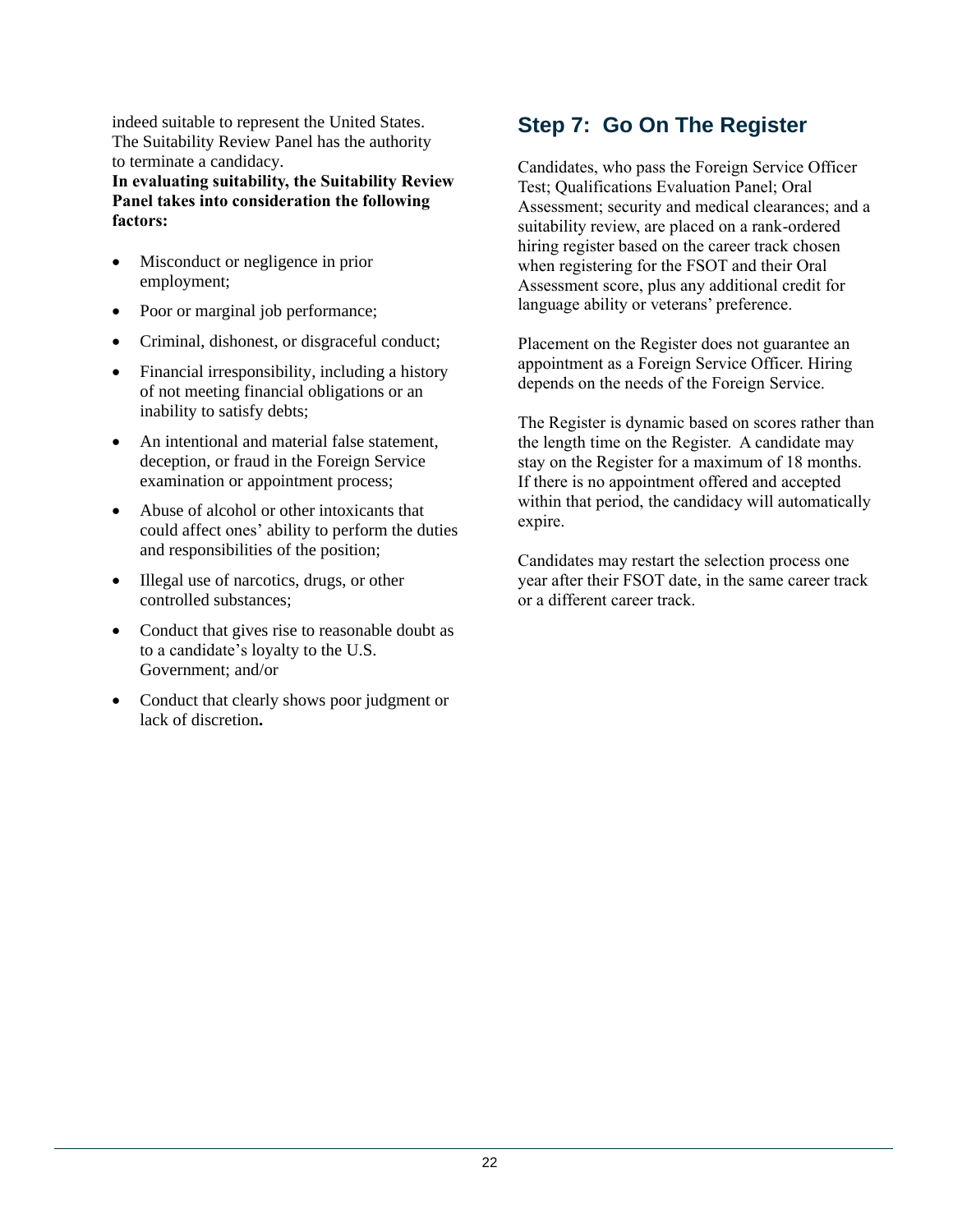indeed suitable to represent the United States. The Suitability Review Panel has the authority to terminate a candidacy.

**In evaluating suitability, the Suitability Review Panel takes into consideration the following factors:**

- Misconduct or negligence in prior employment;
- Poor or marginal job performance;
- Criminal, dishonest, or disgraceful conduct;
- Financial irresponsibility, including a history of not meeting financial obligations or an inability to satisfy debts;
- An intentional and material false statement, deception, or fraud in the Foreign Service examination or appointment process;
- Abuse of alcohol or other intoxicants that could affect ones' ability to perform the duties and responsibilities of the position;
- Illegal use of narcotics, drugs, or other controlled substances;
- Conduct that gives rise to reasonable doubt as to a candidate's loyalty to the U.S. Government; and/or
- Conduct that clearly shows poor judgment or lack of discretion**.**

### <span id="page-24-0"></span>**Step 7: Go On The Register**

Candidates, who pass the Foreign Service Officer Test; Qualifications Evaluation Panel; Oral Assessment; security and medical clearances; and a suitability review, are placed on a rank-ordered hiring register based on the career track chosen when registering for the FSOT and their Oral Assessment score, plus any additional credit for language ability or veterans' preference.

Placement on the Register does not guarantee an appointment as a Foreign Service Officer. Hiring depends on the needs of the Foreign Service.

The Register is dynamic based on scores rather than the length time on the Register. A candidate may stay on the Register for a maximum of 18 months. If there is no appointment offered and accepted within that period, the candidacy will automatically expire.

Candidates may restart the selection process one year after their FSOT date, in the same career track or a different career track.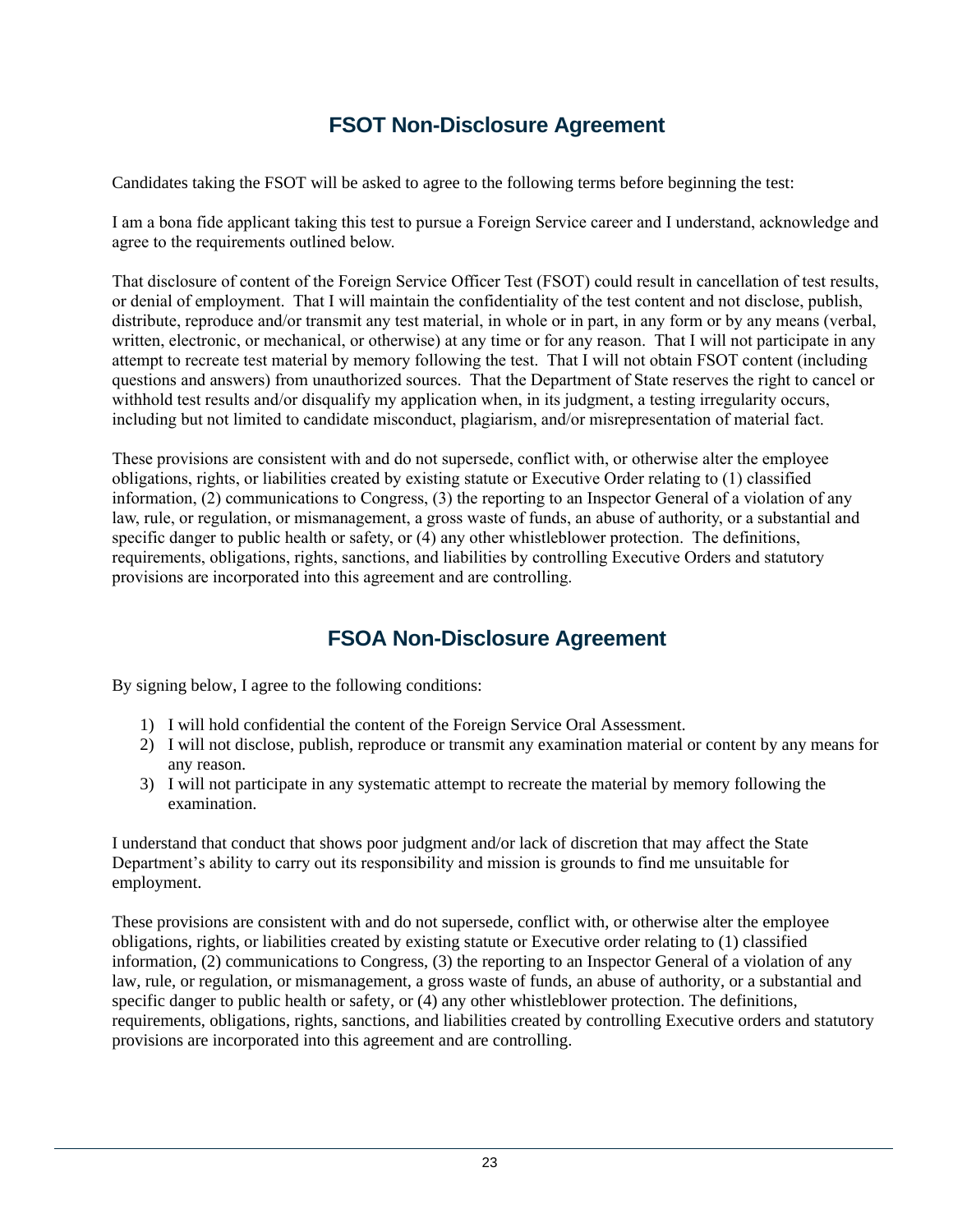### **FSOT Non-Disclosure Agreement**

<span id="page-25-0"></span>Candidates taking the FSOT will be asked to agree to the following terms before beginning the test:

I am a bona fide applicant taking this test to pursue a Foreign Service career and I understand, acknowledge and agree to the requirements outlined below.

That disclosure of content of the Foreign Service Officer Test (FSOT) could result in cancellation of test results, or denial of employment. That I will maintain the confidentiality of the test content and not disclose, publish, distribute, reproduce and/or transmit any test material, in whole or in part, in any form or by any means (verbal, written, electronic, or mechanical, or otherwise) at any time or for any reason. That I will not participate in any attempt to recreate test material by memory following the test. That I will not obtain FSOT content (including questions and answers) from unauthorized sources. That the Department of State reserves the right to cancel or withhold test results and/or disqualify my application when, in its judgment, a testing irregularity occurs, including but not limited to candidate misconduct, plagiarism, and/or misrepresentation of material fact.

These provisions are consistent with and do not supersede, conflict with, or otherwise alter the employee obligations, rights, or liabilities created by existing statute or Executive Order relating to (1) classified information, (2) communications to Congress, (3) the reporting to an Inspector General of a violation of any law, rule, or regulation, or mismanagement, a gross waste of funds, an abuse of authority, or a substantial and specific danger to public health or safety, or (4) any other whistleblower protection. The definitions, requirements, obligations, rights, sanctions, and liabilities by controlling Executive Orders and statutory provisions are incorporated into this agreement and are controlling.

### **FSOA Non-Disclosure Agreement**

<span id="page-25-1"></span>By signing below, I agree to the following conditions:

- 1) I will hold confidential the content of the Foreign Service Oral Assessment.
- 2) I will not disclose, publish, reproduce or transmit any examination material or content by any means for any reason.
- 3) I will not participate in any systematic attempt to recreate the material by memory following the examination.

I understand that conduct that shows poor judgment and/or lack of discretion that may affect the State Department's ability to carry out its responsibility and mission is grounds to find me unsuitable for employment.

These provisions are consistent with and do not supersede, conflict with, or otherwise alter the employee obligations, rights, or liabilities created by existing statute or Executive order relating to (1) classified information, (2) communications to Congress, (3) the reporting to an Inspector General of a violation of any law, rule, or regulation, or mismanagement, a gross waste of funds, an abuse of authority, or a substantial and specific danger to public health or safety, or (4) any other whistleblower protection. The definitions, requirements, obligations, rights, sanctions, and liabilities created by controlling Executive orders and statutory provisions are incorporated into this agreement and are controlling.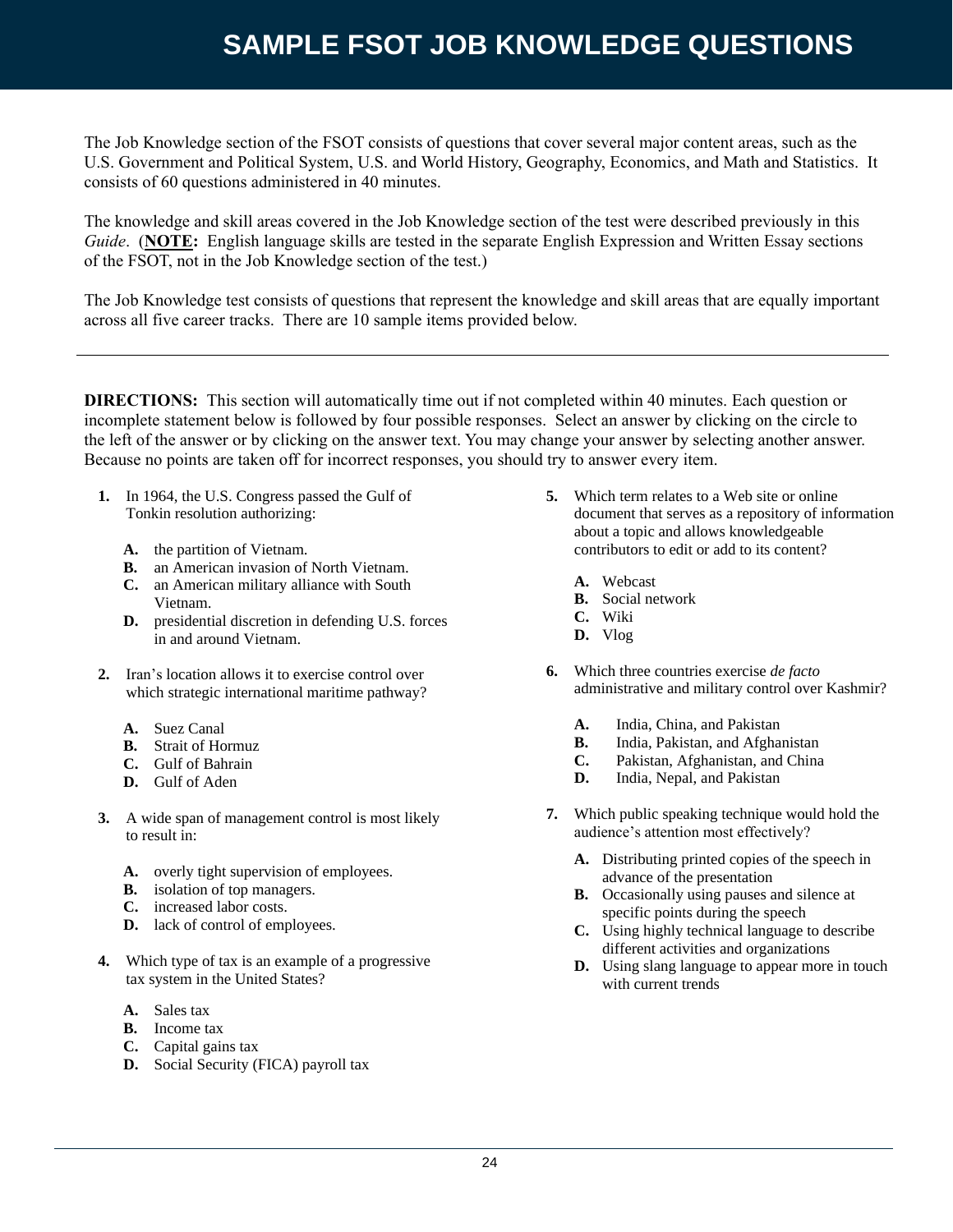# **SAMPLE FSOT JOB KNOWLEDGE QUESTIONS**

The Job Knowledge section of the FSOT consists of questions that cover several major content areas, such as the U.S. Government and Political System, U.S. and World History, Geography, Economics, and Math and Statistics. It consists of 60 questions administered in 40 minutes.

The knowledge and skill areas covered in the Job Knowledge section of the test were described previously in this *Guide*. (**NOTE:** English language skills are tested in the separate English Expression and Written Essay sections of the FSOT, not in the Job Knowledge section of the test.)

The Job Knowledge test consists of questions that represent the knowledge and skill areas that are equally important across all five career tracks. There are 10 sample items provided below.

**DIRECTIONS:** This section will automatically time out if not completed within 40 minutes. Each question or incomplete statement below is followed by four possible responses. Select an answer by clicking on the circle to the left of the answer or by clicking on the answer text. You may change your answer by selecting another answer. Because no points are taken off for incorrect responses, you should try to answer every item.

- **1.** In 1964, the U.S. Congress passed the Gulf of Tonkin resolution authorizing:
	- **A.** the partition of Vietnam.
	- **B.** an American invasion of North Vietnam.
	- **C.** an American military alliance with South Vietnam.
	- **D.** presidential discretion in defending U.S. forces in and around Vietnam.
- **2.** Iran's location allows it to exercise control over which strategic international maritime pathway?
	- **A.** Suez Canal
	- **B.** Strait of Hormuz
	- **C.** Gulf of Bahrain
	- **D.** Gulf of Aden
- **3.** A wide span of management control is most likely to result in:
	- **A.** overly tight supervision of employees.
	- **B.** isolation of top managers.
	- **C.** increased labor costs.
	- **D.** lack of control of employees.
- **4.** Which type of tax is an example of a progressive tax system in the United States?
	- **A.** Sales tax
	- **B.** Income tax
	- **C.** Capital gains tax
	- **D.** Social Security (FICA) payroll tax
- **5.** Which term relates to a Web site or online document that serves as a repository of information about a topic and allows knowledgeable contributors to edit or add to its content?
	- **A.** Webcast
	- **B.** Social network
	- **C.** Wiki
	- **D.** Vlog
- **6.** Which three countries exercise *de facto* administrative and military control over Kashmir?
	- **A.** India, China, and Pakistan
	- **B.** India, Pakistan, and Afghanistan
	- **C.** Pakistan, Afghanistan, and China
	- **D.** India, Nepal, and Pakistan
- **7.** Which public speaking technique would hold the audience's attention most effectively?
	- **A.** Distributing printed copies of the speech in advance of the presentation
	- **B.** Occasionally using pauses and silence at specific points during the speech
	- **C.** Using highly technical language to describe different activities and organizations
	- **D.** Using slang language to appear more in touch with current trends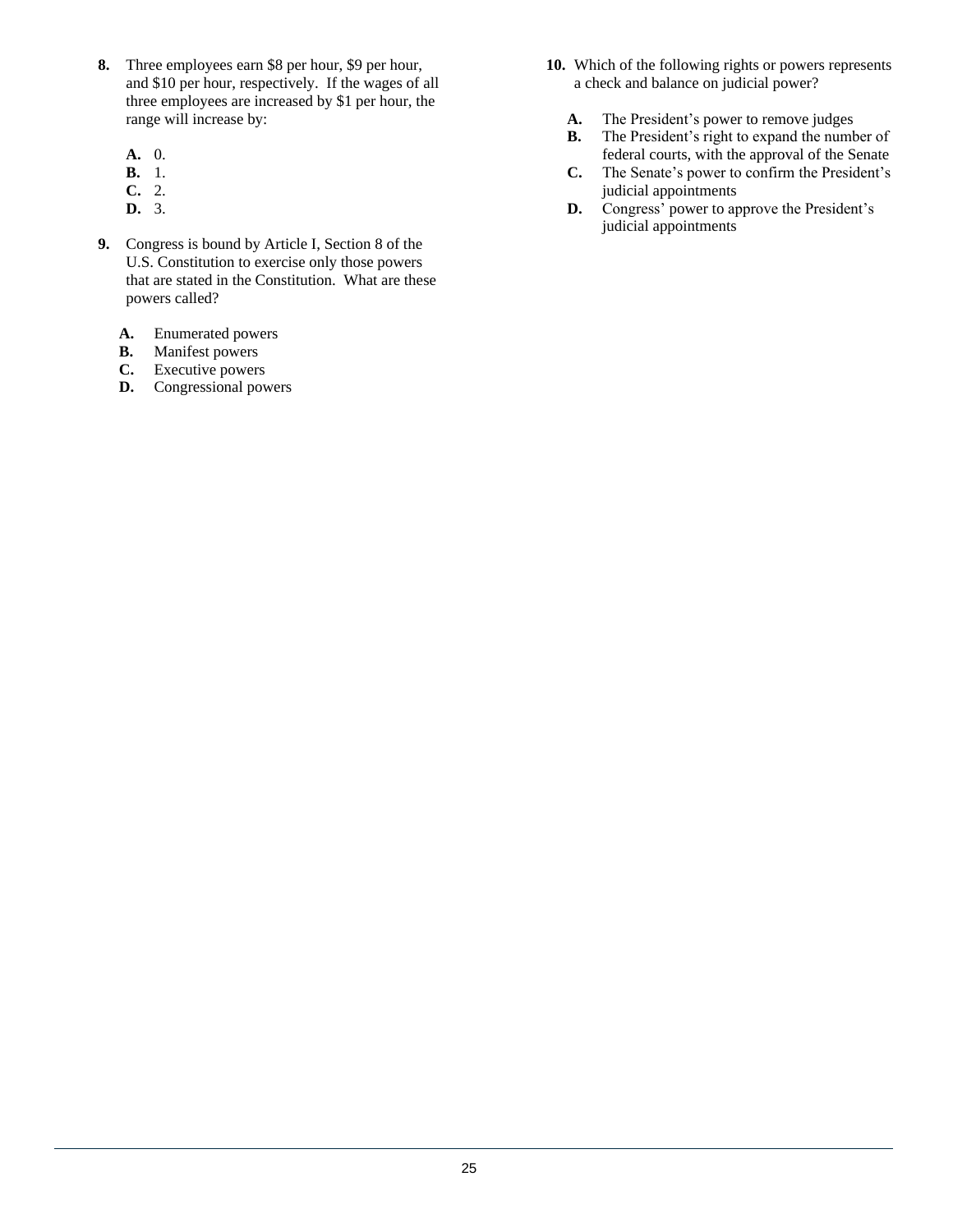- **8.** Three employees earn \$8 per hour, \$9 per hour, and \$10 per hour, respectively. If the wages of all three employees are increased by \$1 per hour, the range will increase by:
	- **A.** 0.
	- **B.** 1.
	- **C.** 2.
	- **D.** 3.
- **9.** Congress is bound by Article I, Section 8 of the U.S. Constitution to exercise only those powers that are stated in the Constitution. What are these powers called?
	- A. Enumerated powers<br>**B.** Manifest powers
	- **B.** Manifest powers **C.** Executive powers
	- **C.** Executive powers
	- **D.** Congressional powers
- **10.** Which of the following rights or powers represents a check and balance on judicial power?
	- **A.** The President's power to remove judges
	- **B.** The President's right to expand the number of federal courts, with the approval of the Senate
	- **C.** The Senate's power to confirm the President's judicial appointments
	- **D.** Congress' power to approve the President's judicial appointments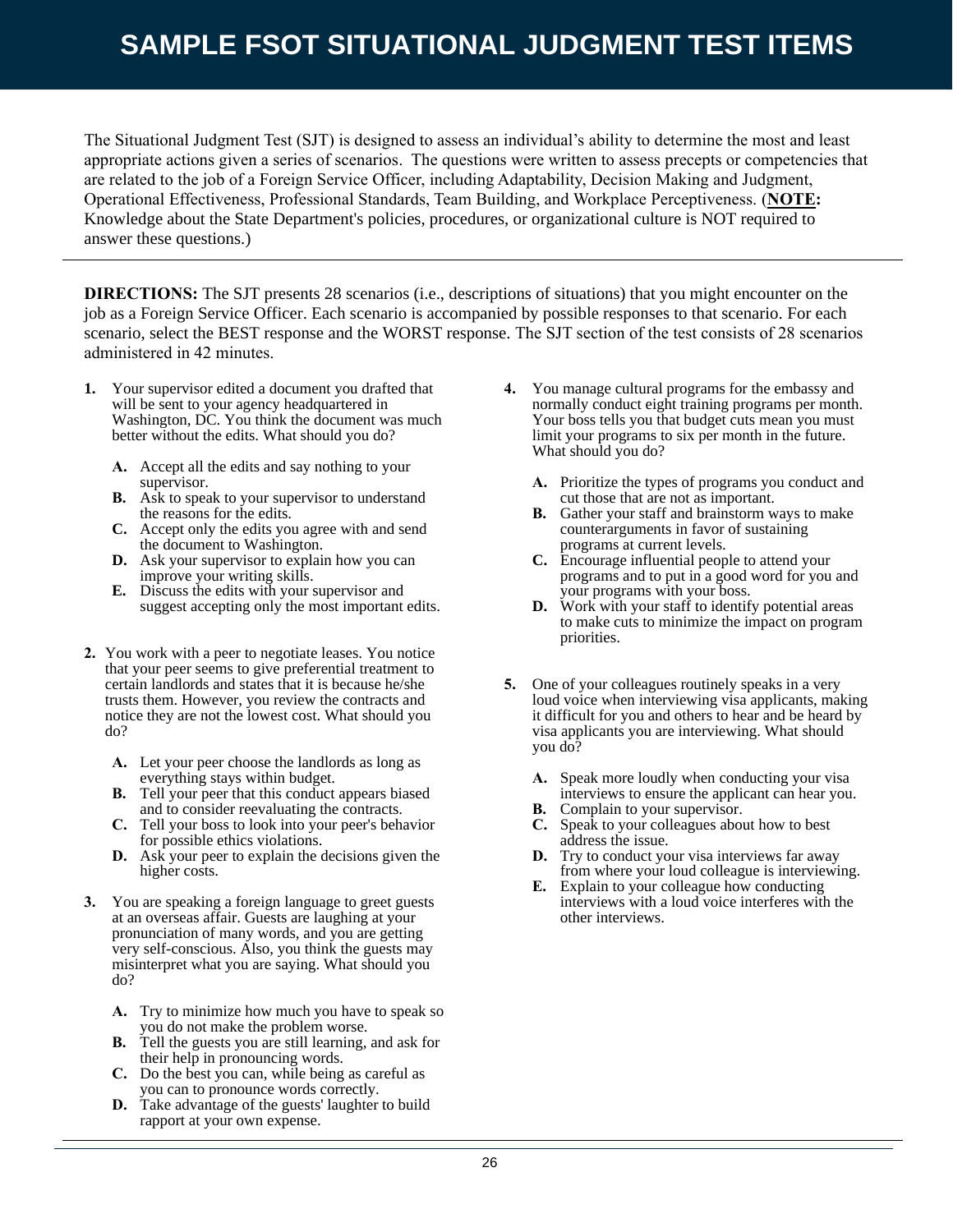## **SAMPLE FSOT SITUATIONAL JUDGMENT TEST ITEMS**

The Situational Judgment Test (SJT) is designed to assess an individual's ability to determine the most and least appropriate actions given a series of scenarios. The questions were written to assess precepts or competencies that are related to the job of a Foreign Service Officer, including Adaptability, Decision Making and Judgment, Operational Effectiveness, Professional Standards, Team Building, and Workplace Perceptiveness. (**NOTE:** Knowledge about the State Department's policies, procedures, or organizational culture is NOT required to answer these questions.)

**DIRECTIONS:** The SJT presents 28 scenarios (i.e., descriptions of situations) that you might encounter on the job as a Foreign Service Officer. Each scenario is accompanied by possible responses to that scenario. For each scenario, select the BEST response and the WORST response. The SJT section of the test consists of 28 scenarios administered in 42 minutes.

- **1.** Your supervisor edited a document you drafted that will be sent to your agency headquartered in Washington, DC. You think the document was much better without the edits. What should you do?
	- **A.** Accept all the edits and say nothing to your supervisor.
	- **B.** Ask to speak to your supervisor to understand the reasons for the edits.
	- **C.** Accept only the edits you agree with and send the document to Washington.
	- **D.** Ask your supervisor to explain how you can improve your writing skills.
	- **E.** Discuss the edits with your supervisor and suggest accepting only the most important edits.
- **2.** You work with a peer to negotiate leases. You notice that your peer seems to give preferential treatment to certain landlords and states that it is because he/she trusts them. However, you review the contracts and notice they are not the lowest cost. What should you do?
	- **A.** Let your peer choose the landlords as long as everything stays within budget.
	- **B.** Tell your peer that this conduct appears biased and to consider reevaluating the contracts.
	- **C.** Tell your boss to look into your peer's behavior for possible ethics violations.
	- **D.** Ask your peer to explain the decisions given the higher costs.
- **3.** You are speaking a foreign language to greet guests at an overseas affair. Guests are laughing at your pronunciation of many words, and you are getting very self-conscious. Also, you think the guests may misinterpret what you are saying. What should you do?
	- **A.** Try to minimize how much you have to speak so you do not make the problem worse.
	- **B.** Tell the guests you are still learning, and ask for their help in pronouncing words.
	- **C.** Do the best you can, while being as careful as you can to pronounce words correctly.
	- **D.** Take advantage of the guests' laughter to build rapport at your own expense.
- **4.** You manage cultural programs for the embassy and normally conduct eight training programs per month. Your boss tells you that budget cuts mean you must limit your programs to six per month in the future. What should you do?
	- **A.** Prioritize the types of programs you conduct and cut those that are not as important.
	- **B.** Gather your staff and brainstorm ways to make counterarguments in favor of sustaining programs at current levels.
	- **C.** Encourage influential people to attend your programs and to put in a good word for you and your programs with your boss.
	- **D.** Work with your staff to identify potential areas to make cuts to minimize the impact on program priorities.
- **5.** One of your colleagues routinely speaks in a very loud voice when interviewing visa applicants, making it difficult for you and others to hear and be heard by visa applicants you are interviewing. What should you do?
	- **A.** Speak more loudly when conducting your visa interviews to ensure the applicant can hear you.
	- **B.** Complain to your supervisor.
	- **C.** Speak to your colleagues about how to best address the issue.
	- **D.** Try to conduct your visa interviews far away from where your loud colleague is interviewing.
	- **E.** Explain to your colleague how conducting interviews with a loud voice interferes with the other interviews.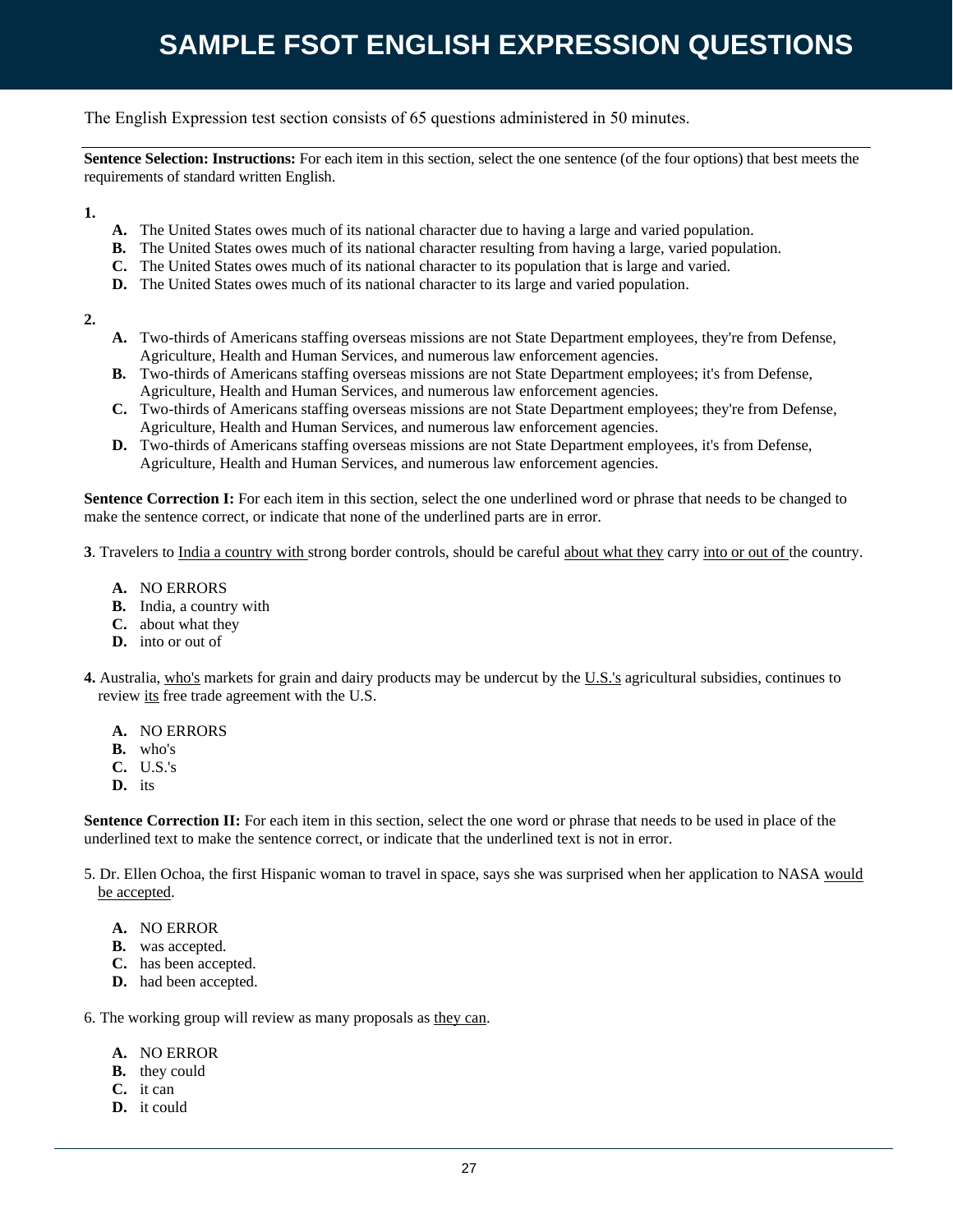# **SAMPLE FSOT ENGLISH EXPRESSION QUESTIONS**

The English Expression test section consists of 65 questions administered in 50 minutes.

**Sentence Selection: Instructions:** For each item in this section, select the one sentence (of the four options) that best meets the requirements of standard written English.

- **1.**
- **A.** The United States owes much of its national character due to having a large and varied population.
- **B.** The United States owes much of its national character resulting from having a large, varied population.
- **C.** The United States owes much of its national character to its population that is large and varied.
- **D.** The United States owes much of its national character to its large and varied population.
- **2.**
- **A.** Two-thirds of Americans staffing overseas missions are not State Department employees, they're from Defense, Agriculture, Health and Human Services, and numerous law enforcement agencies.
- **B.** Two-thirds of Americans staffing overseas missions are not State Department employees; it's from Defense, Agriculture, Health and Human Services, and numerous law enforcement agencies.
- **C.** Two-thirds of Americans staffing overseas missions are not State Department employees; they're from Defense, Agriculture, Health and Human Services, and numerous law enforcement agencies.
- **D.** Two-thirds of Americans staffing overseas missions are not State Department employees, it's from Defense, Agriculture, Health and Human Services, and numerous law enforcement agencies.

**Sentence Correction I:** For each item in this section, select the one underlined word or phrase that needs to be changed to make the sentence correct, or indicate that none of the underlined parts are in error.

- **3**. Travelers to India a country with strong border controls, should be careful about what they carry into or out of the country.
	- **A.** NO ERRORS
	- **B.** India, a country with
	- **C.** about what they
	- **D.** into or out of
- **4.** Australia, who's markets for grain and dairy products may be undercut by the U.S.'s agricultural subsidies, continues to review its free trade agreement with the U.S.
	- **A.** NO ERRORS
	- **B.** who's
	- **C.** U.S.'s
	- **D.** its

**Sentence Correction II:** For each item in this section, select the one word or phrase that needs to be used in place of the underlined text to make the sentence correct, or indicate that the underlined text is not in error.

- 5. Dr. Ellen Ochoa, the first Hispanic woman to travel in space, says she was surprised when her application to NASA would be accepted.
	- **A.** NO ERROR
	- **B.** was accepted.
	- **C.** has been accepted.
	- **D.** had been accepted.

6. The working group will review as many proposals as they can.

- **A.** NO ERROR
- **B.** they could
- **C.** it can
- **D.** it could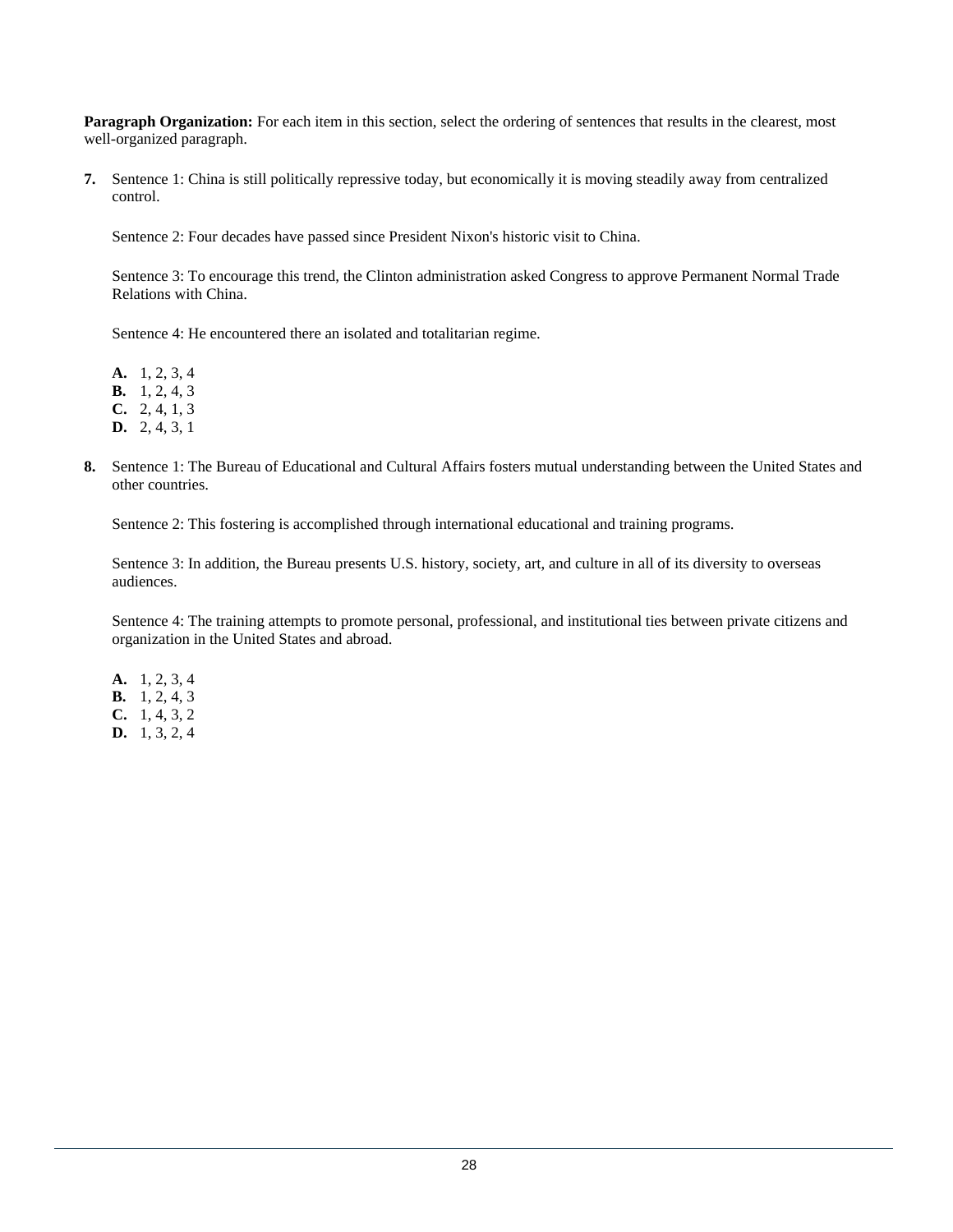**Paragraph Organization:** For each item in this section, select the ordering of sentences that results in the clearest, most well-organized paragraph.

**7.** Sentence 1: China is still politically repressive today, but economically it is moving steadily away from centralized control.

Sentence 2: Four decades have passed since President Nixon's historic visit to China.

Sentence 3: To encourage this trend, the Clinton administration asked Congress to approve Permanent Normal Trade Relations with China.

Sentence 4: He encountered there an isolated and totalitarian regime.

**A.** 1, 2, 3, 4 **B.** 1, 2, 4, 3

- **C.** 2, 4, 1, 3
- **D.** 2, 4, 3, 1
- **8.** Sentence 1: The Bureau of Educational and Cultural Affairs fosters mutual understanding between the United States and other countries.

Sentence 2: This fostering is accomplished through international educational and training programs.

Sentence 3: In addition, the Bureau presents U.S. history, society, art, and culture in all of its diversity to overseas audiences.

Sentence 4: The training attempts to promote personal, professional, and institutional ties between private citizens and organization in the United States and abroad.

- **A.** 1, 2, 3, 4
- **B.** 1, 2, 4, 3
- **C.** 1, 4, 3, 2
- **D.** 1, 3, 2, 4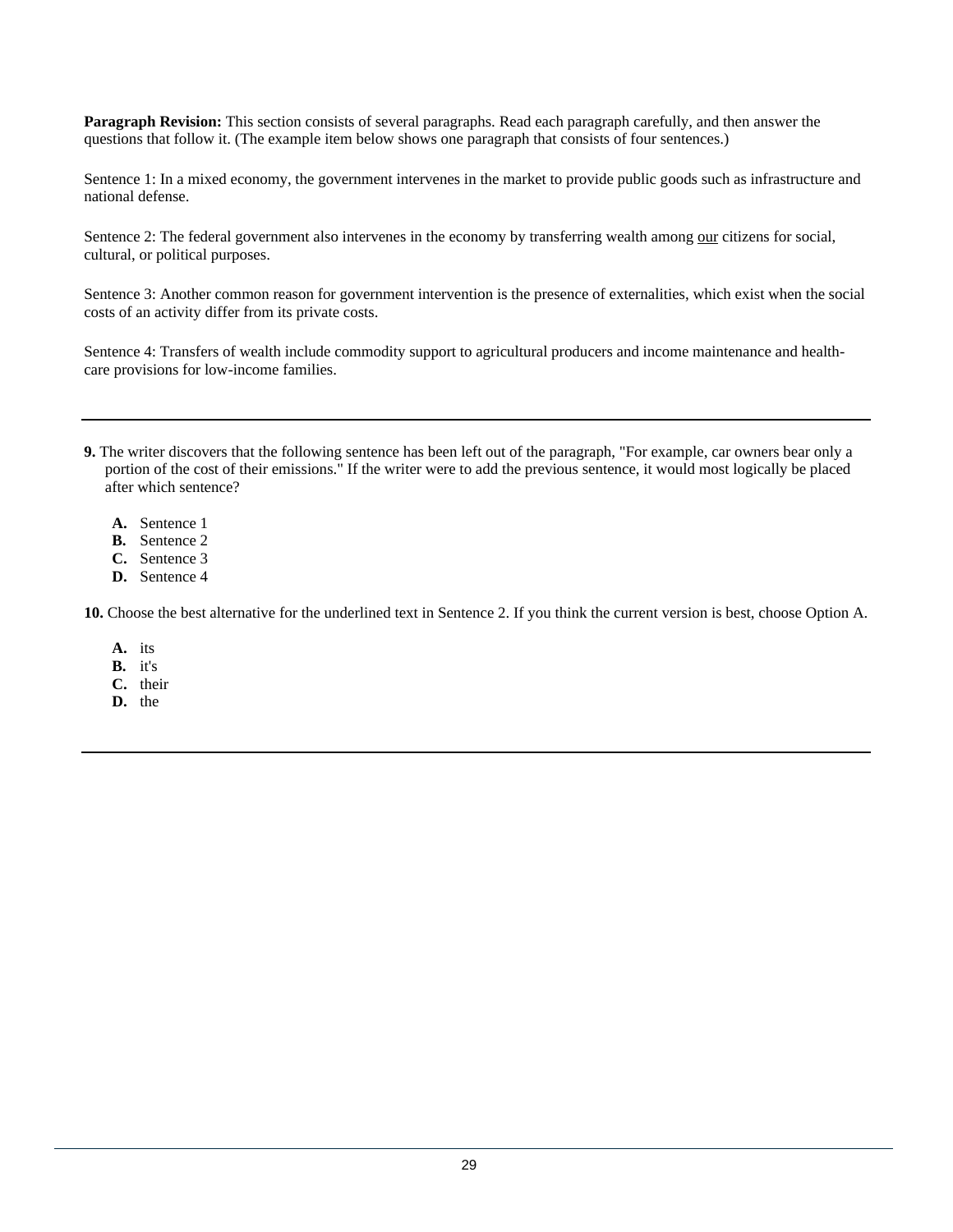**Paragraph Revision:** This section consists of several paragraphs. Read each paragraph carefully, and then answer the questions that follow it. (The example item below shows one paragraph that consists of four sentences.)

Sentence 1: In a mixed economy, the government intervenes in the market to provide public goods such as infrastructure and national defense.

Sentence 2: The federal government also intervenes in the economy by transferring wealth among our citizens for social, cultural, or political purposes.

Sentence 3: Another common reason for government intervention is the presence of externalities, which exist when the social costs of an activity differ from its private costs.

Sentence 4: Transfers of wealth include commodity support to agricultural producers and income maintenance and healthcare provisions for low-income families.

- **9.** The writer discovers that the following sentence has been left out of the paragraph, "For example, car owners bear only a portion of the cost of their emissions." If the writer were to add the previous sentence, it would most logically be placed after which sentence?
	- **A.** Sentence 1
	- **B.** Sentence 2
	- **C.** Sentence 3
	- **D.** Sentence 4

**10.** Choose the best alternative for the underlined text in Sentence 2. If you think the current version is best, choose Option A.

- **A.** its
- **B.** it's
- **C.** their
- **D.** the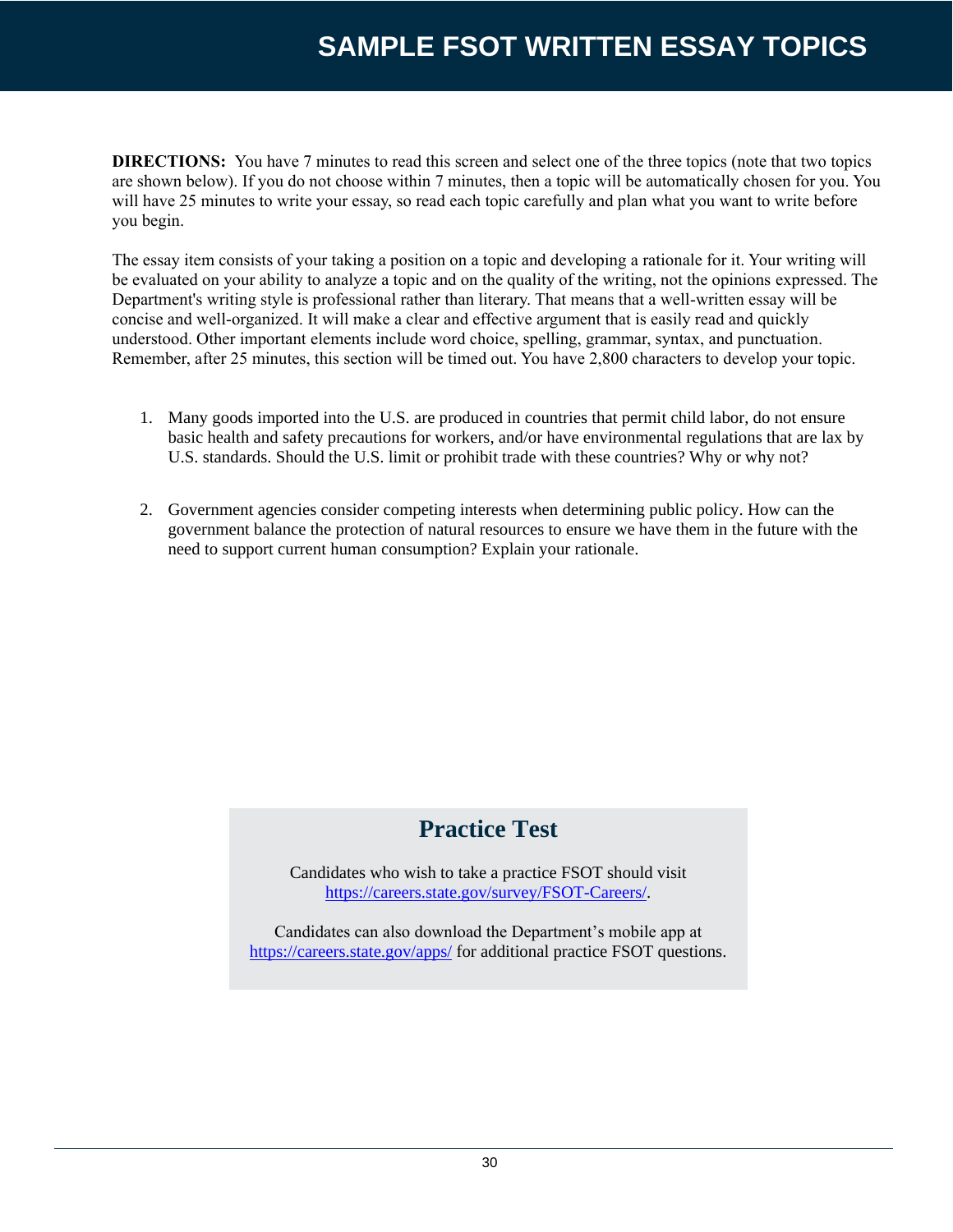# **SAMPLE FSOT WRITTEN ESSAY TOPICS**

**DIRECTIONS:** You have 7 minutes to read this screen and select one of the three topics (note that two topics are shown below). If you do not choose within 7 minutes, then a topic will be automatically chosen for you. You will have 25 minutes to write your essay, so read each topic carefully and plan what you want to write before you begin.

The essay item consists of your taking a position on a topic and developing a rationale for it. Your writing will be evaluated on your ability to analyze a topic and on the quality of the writing, not the opinions expressed. The Department's writing style is professional rather than literary. That means that a well-written essay will be concise and well-organized. It will make a clear and effective argument that is easily read and quickly understood. Other important elements include word choice, spelling, grammar, syntax, and punctuation. Remember, after 25 minutes, this section will be timed out. You have 2,800 characters to develop your topic.

- 1. Many goods imported into the U.S. are produced in countries that permit child labor, do not ensure basic health and safety precautions for workers, and/or have environmental regulations that are lax by U.S. standards. Should the U.S. limit or prohibit trade with these countries? Why or why not?
- 2. Government agencies consider competing interests when determining public policy. How can the government balance the protection of natural resources to ensure we have them in the future with the need to support current human consumption? Explain your rationale.

### **Practice Test**

Candidates who wish to take a practice FSOT should visit [https://careers.state.gov/survey/FSOT-Careers/.](https://careers.state.gov/survey/FSOT-Careers/)

Candidates can also download the Department's mobile app at <https://careers.state.gov/apps/> for additional practice FSOT questions.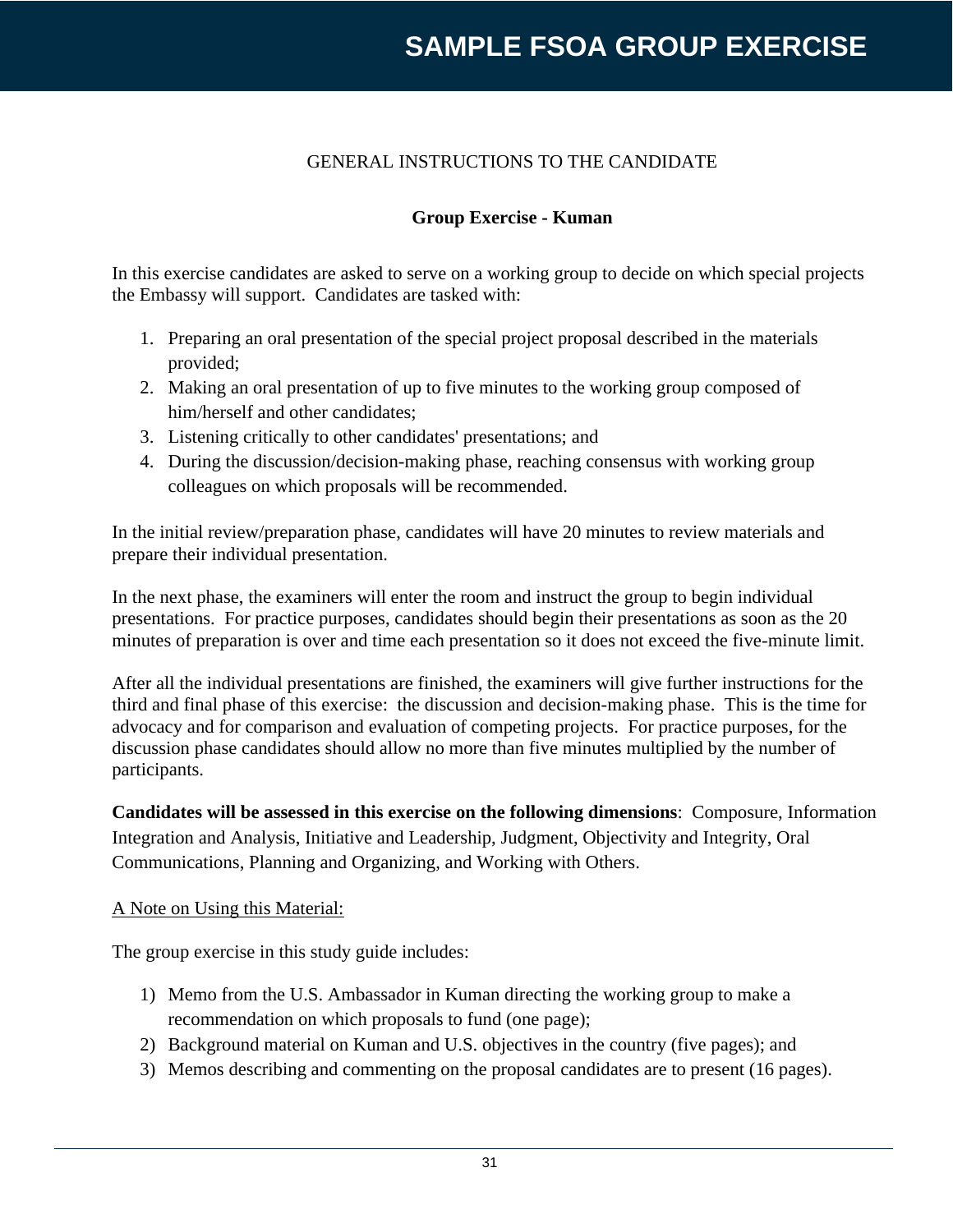# **SAMPLE FSOA GROUP EXERCISE**

#### GENERAL INSTRUCTIONS TO THE CANDIDATE

#### **Group Exercise - Kuman**

In this exercise candidates are asked to serve on a working group to decide on which special projects the Embassy will support. Candidates are tasked with:

- 1. Preparing an oral presentation of the special project proposal described in the materials provided;
- 2. Making an oral presentation of up to five minutes to the working group composed of him/herself and other candidates;
- 3. Listening critically to other candidates' presentations; and
- 4. During the discussion/decision-making phase, reaching consensus with working group colleagues on which proposals will be recommended.

In the initial review/preparation phase, candidates will have 20 minutes to review materials and prepare their individual presentation.

In the next phase, the examiners will enter the room and instruct the group to begin individual presentations. For practice purposes, candidates should begin their presentations as soon as the 20 minutes of preparation is over and time each presentation so it does not exceed the five-minute limit.

After all the individual presentations are finished, the examiners will give further instructions for the third and final phase of this exercise: the discussion and decision-making phase. This is the time for advocacy and for comparison and evaluation of competing projects. For practice purposes, for the discussion phase candidates should allow no more than five minutes multiplied by the number of participants.

**Candidates will be assessed in this exercise on the following dimensions**: Composure, Information Integration and Analysis, Initiative and Leadership, Judgment, Objectivity and Integrity, Oral Communications, Planning and Organizing, and Working with Others.

#### A Note on Using this Material:

The group exercise in this study guide includes:

- 1) Memo from the U.S. Ambassador in Kuman directing the working group to make a recommendation on which proposals to fund (one page);
- 2) Background material on Kuman and U.S. objectives in the country (five pages); and
- 3) Memos describing and commenting on the proposal candidates are to present (16 pages).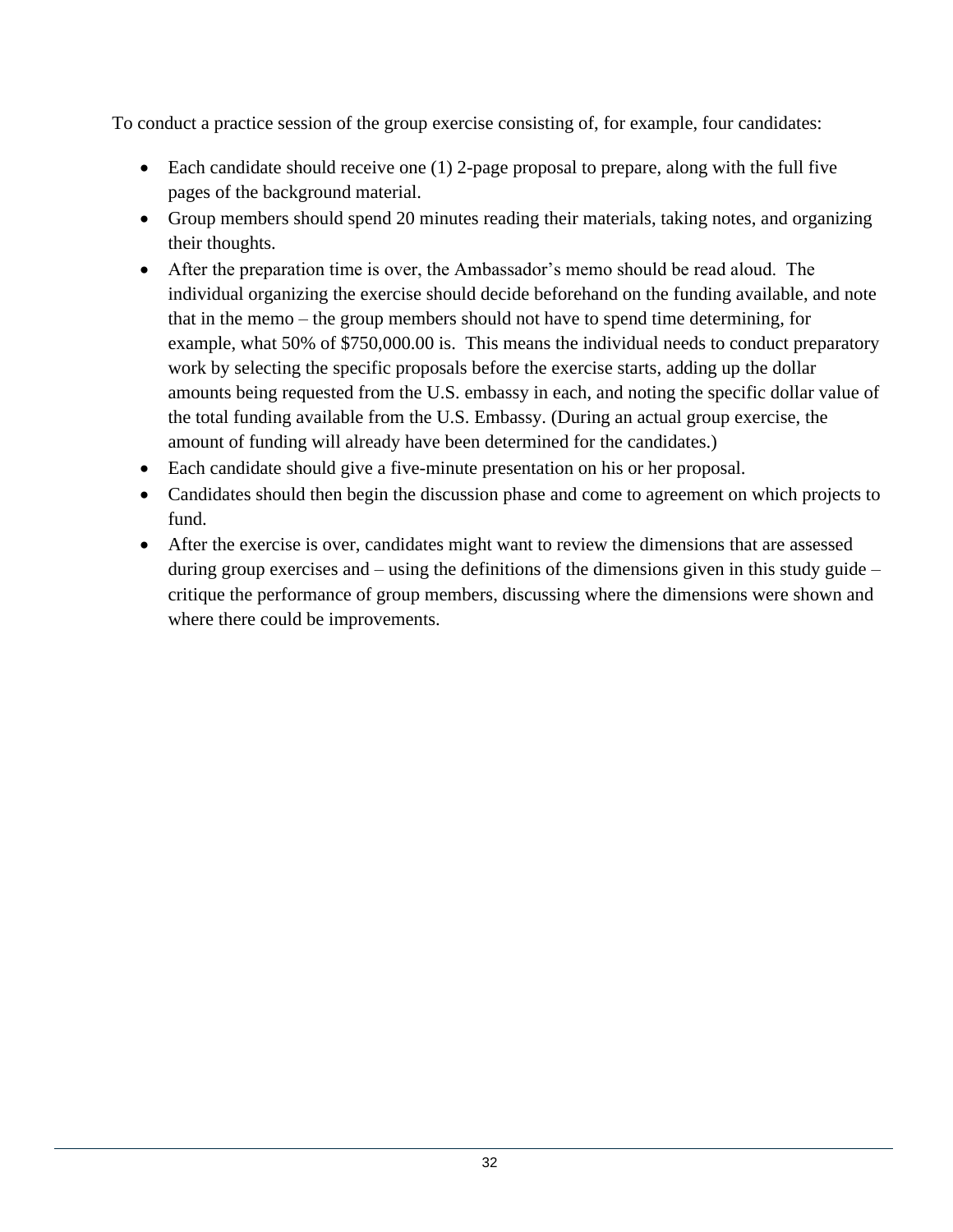To conduct a practice session of the group exercise consisting of, for example, four candidates:

- Each candidate should receive one (1) 2-page proposal to prepare, along with the full five pages of the background material.
- Group members should spend 20 minutes reading their materials, taking notes, and organizing their thoughts.
- After the preparation time is over, the Ambassador's memo should be read aloud. The individual organizing the exercise should decide beforehand on the funding available, and note that in the memo – the group members should not have to spend time determining, for example, what 50% of \$750,000.00 is. This means the individual needs to conduct preparatory work by selecting the specific proposals before the exercise starts, adding up the dollar amounts being requested from the U.S. embassy in each, and noting the specific dollar value of the total funding available from the U.S. Embassy. (During an actual group exercise, the amount of funding will already have been determined for the candidates.)
- Each candidate should give a five-minute presentation on his or her proposal.
- Candidates should then begin the discussion phase and come to agreement on which projects to fund.
- After the exercise is over, candidates might want to review the dimensions that are assessed during group exercises and – using the definitions of the dimensions given in this study guide – critique the performance of group members, discussing where the dimensions were shown and where there could be improvements.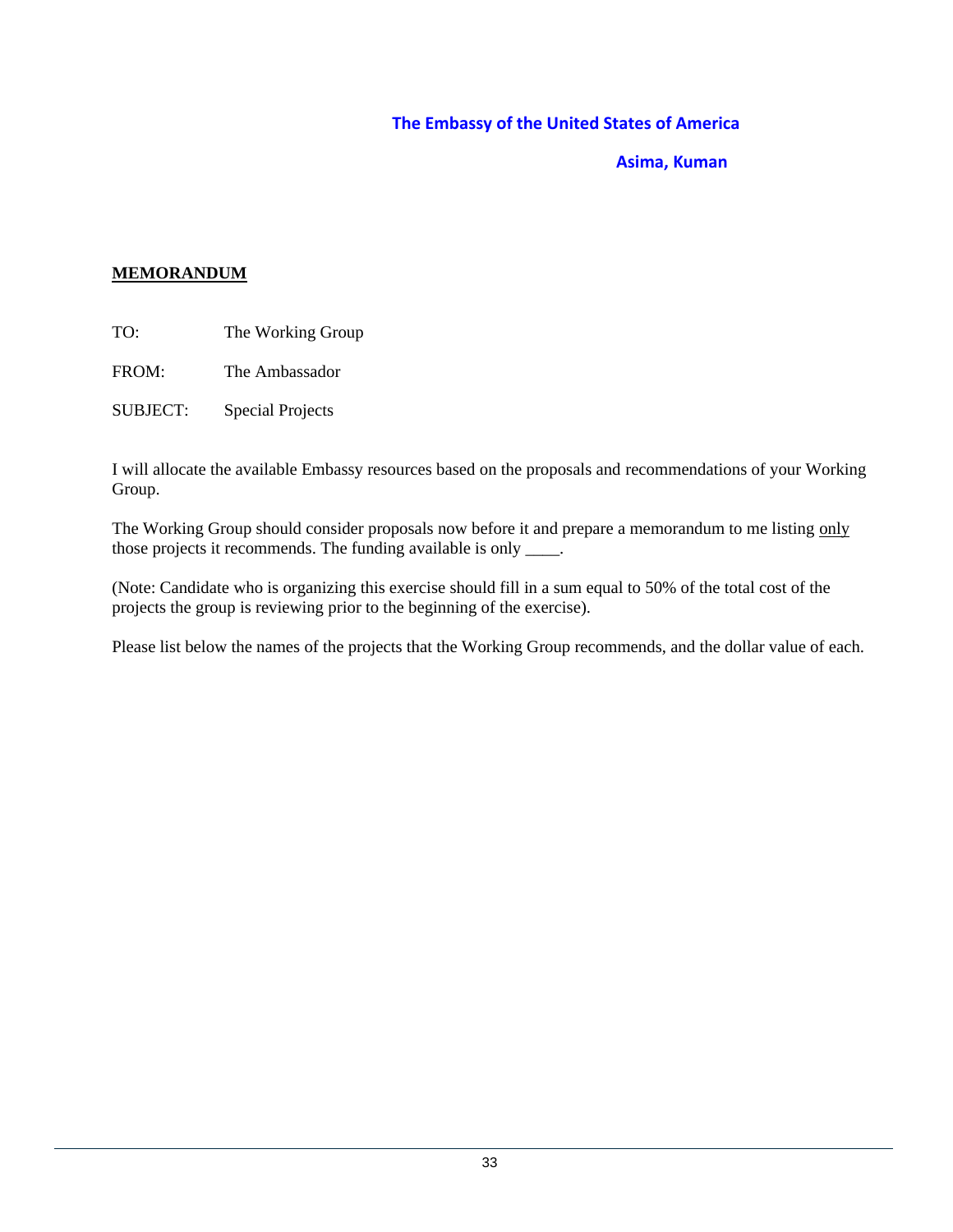#### **The Embassy of the United States of America**

**Asima, Kuman**

#### **MEMORANDUM**

- TO: The Working Group
- FROM: The Ambassador
- SUBJECT: Special Projects

I will allocate the available Embassy resources based on the proposals and recommendations of your Working Group.

The Working Group should consider proposals now before it and prepare a memorandum to me listing only those projects it recommends. The funding available is only \_\_\_\_.

(Note: Candidate who is organizing this exercise should fill in a sum equal to 50% of the total cost of the projects the group is reviewing prior to the beginning of the exercise).

Please list below the names of the projects that the Working Group recommends, and the dollar value of each.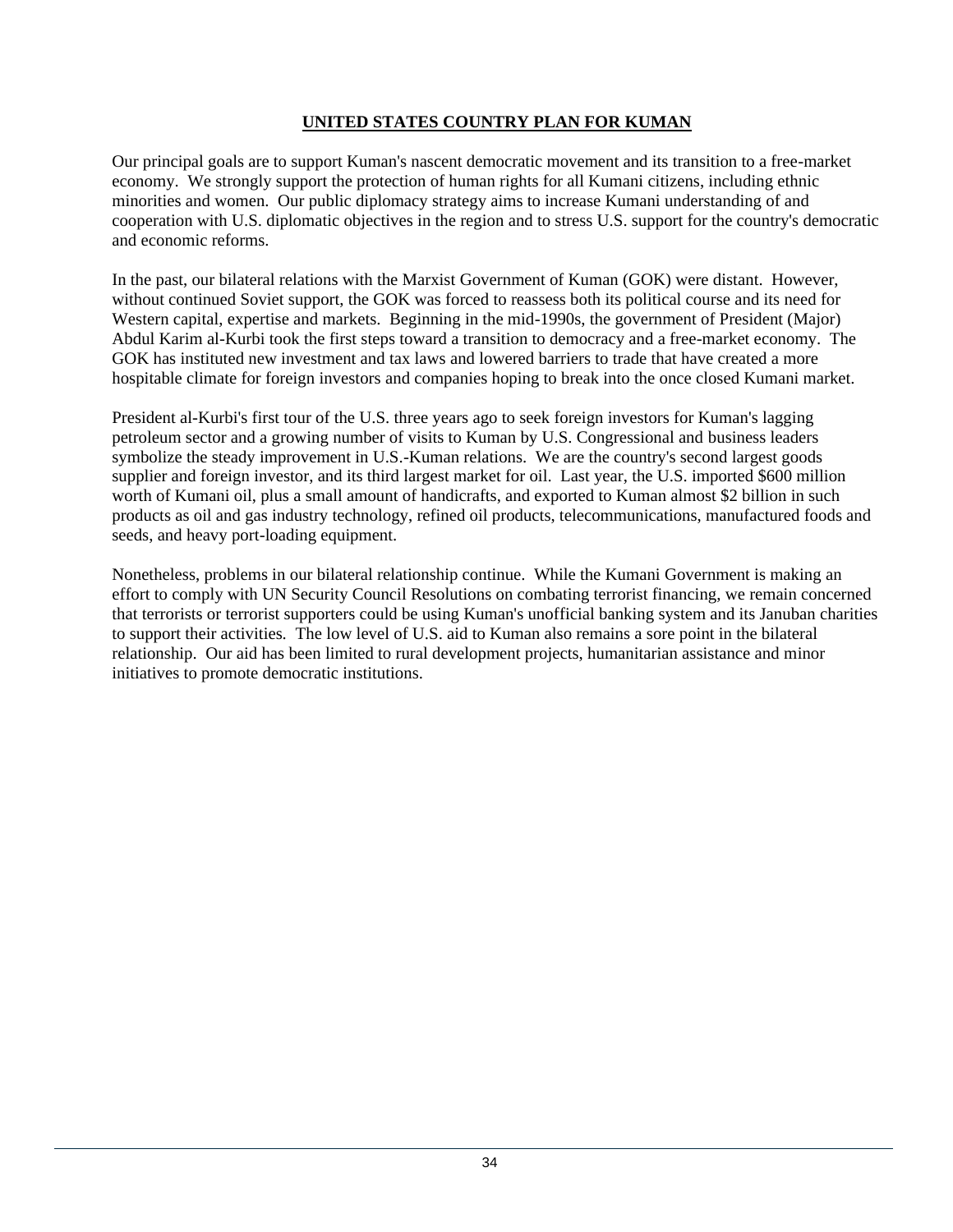## **UNITED STATES COUNTRY PLAN FOR KUMAN**

Our principal goals are to support Kuman's nascent democratic movement and its transition to a free-market economy. We strongly support the protection of human rights for all Kumani citizens, including ethnic minorities and women. Our public diplomacy strategy aims to increase Kumani understanding of and cooperation with U.S. diplomatic objectives in the region and to stress U.S. support for the country's democratic and economic reforms.

In the past, our bilateral relations with the Marxist Government of Kuman (GOK) were distant. However, without continued Soviet support, the GOK was forced to reassess both its political course and its need for Western capital, expertise and markets. Beginning in the mid-1990s, the government of President (Major) Abdul Karim al-Kurbi took the first steps toward a transition to democracy and a free-market economy. The GOK has instituted new investment and tax laws and lowered barriers to trade that have created a more hospitable climate for foreign investors and companies hoping to break into the once closed Kumani market.

President al-Kurbi's first tour of the U.S. three years ago to seek foreign investors for Kuman's lagging petroleum sector and a growing number of visits to Kuman by U.S. Congressional and business leaders symbolize the steady improvement in U.S.-Kuman relations. We are the country's second largest goods supplier and foreign investor, and its third largest market for oil. Last year, the U.S. imported \$600 million worth of Kumani oil, plus a small amount of handicrafts, and exported to Kuman almost \$2 billion in such products as oil and gas industry technology, refined oil products, telecommunications, manufactured foods and seeds, and heavy port-loading equipment.

Nonetheless, problems in our bilateral relationship continue. While the Kumani Government is making an effort to comply with UN Security Council Resolutions on combating terrorist financing, we remain concerned that terrorists or terrorist supporters could be using Kuman's unofficial banking system and its Januban charities to support their activities*.* The low level of U.S. aid to Kuman also remains a sore point in the bilateral relationship. Our aid has been limited to rural development projects, humanitarian assistance and minor initiatives to promote democratic institutions.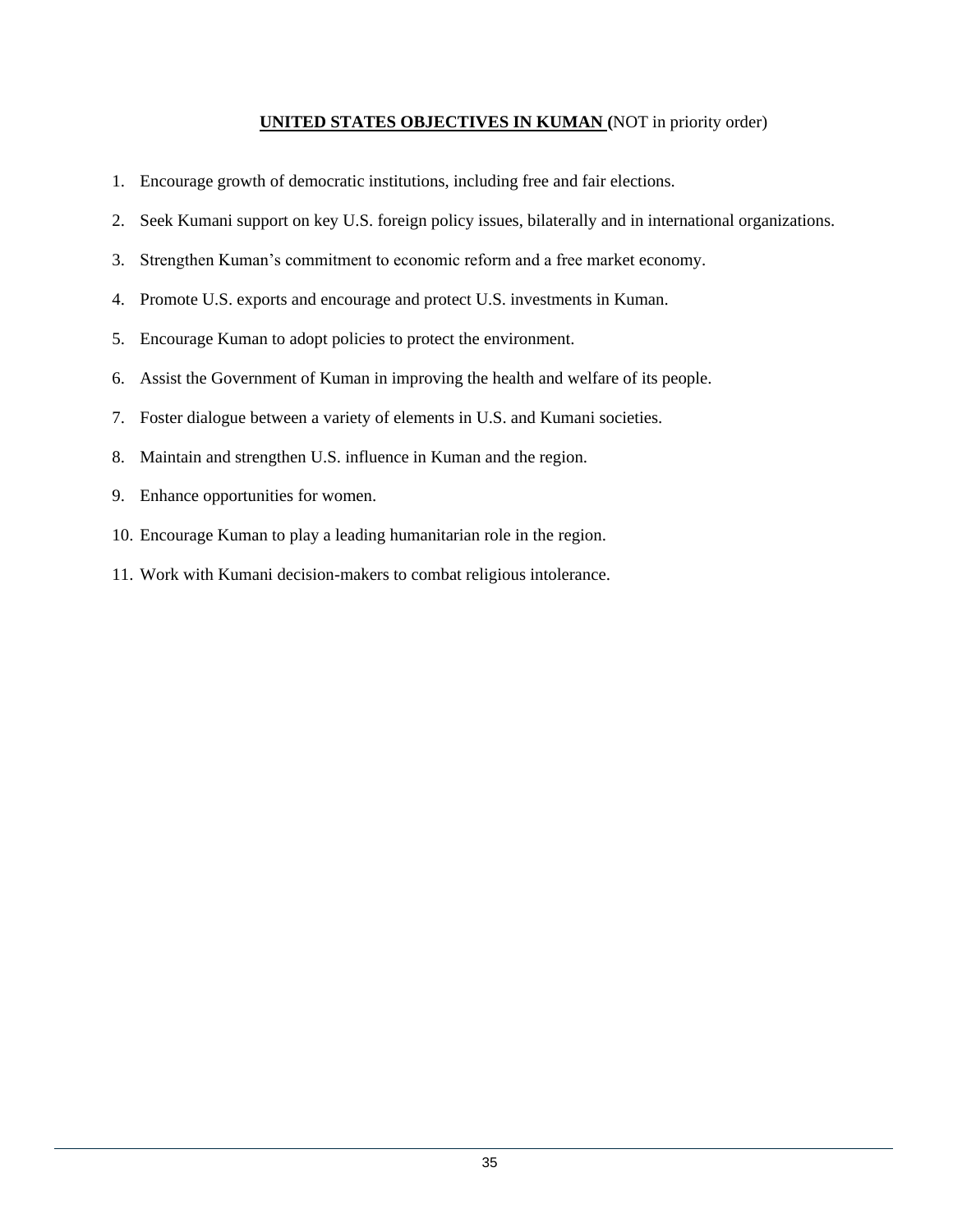## **UNITED STATES OBJECTIVES IN KUMAN (**NOT in priority order)

- 1. Encourage growth of democratic institutions, including free and fair elections.
- 2. Seek Kumani support on key U.S. foreign policy issues, bilaterally and in international organizations.
- 3. Strengthen Kuman's commitment to economic reform and a free market economy.
- 4. Promote U.S. exports and encourage and protect U.S. investments in Kuman.
- 5. Encourage Kuman to adopt policies to protect the environment.
- 6. Assist the Government of Kuman in improving the health and welfare of its people.
- 7. Foster dialogue between a variety of elements in U.S. and Kumani societies.
- 8. Maintain and strengthen U.S. influence in Kuman and the region.
- 9. Enhance opportunities for women.
- 10. Encourage Kuman to play a leading humanitarian role in the region.
- 11. Work with Kumani decision-makers to combat religious intolerance.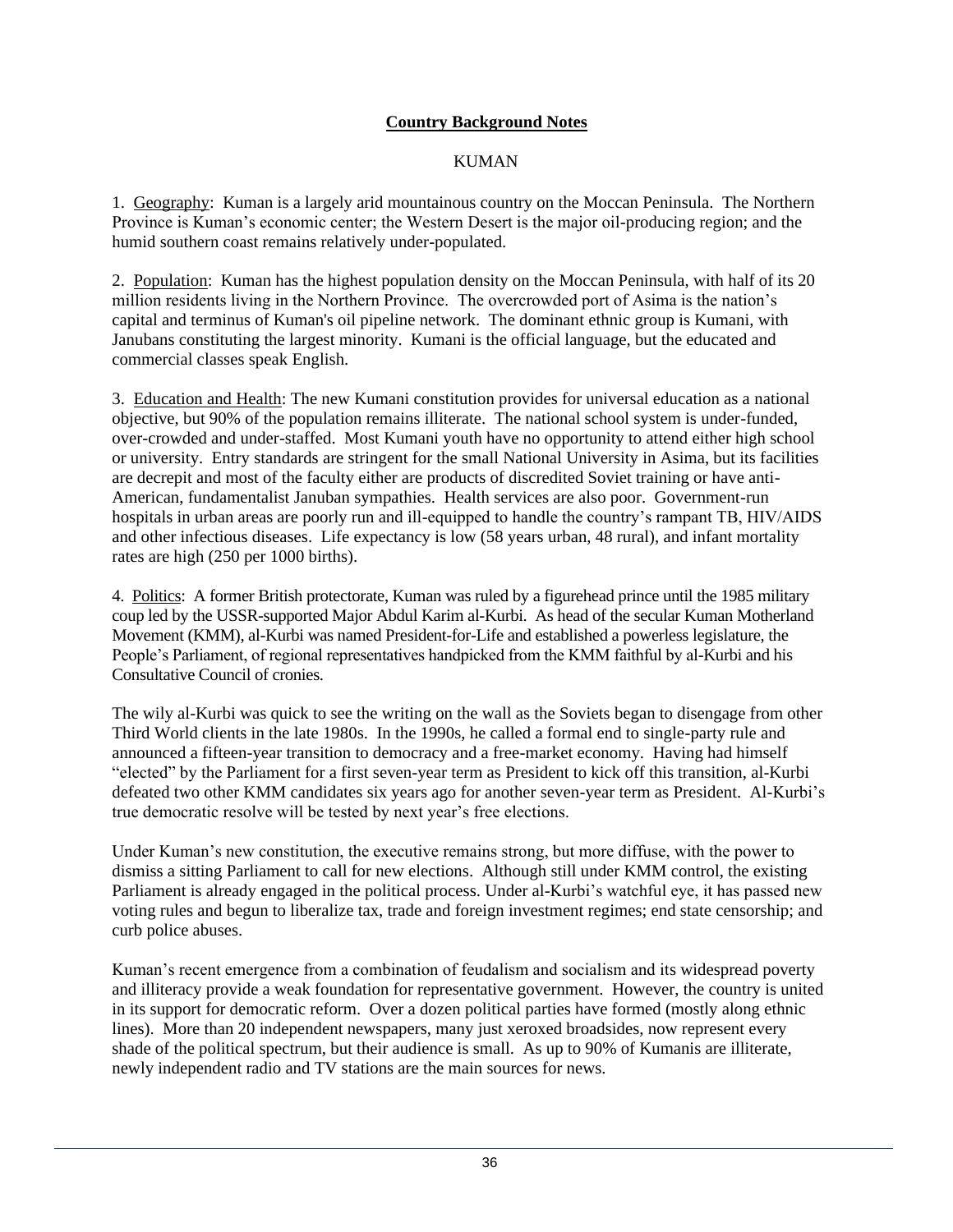## **Country Background Notes**

## KUMAN

1. Geography: Kuman is a largely arid mountainous country on the Moccan Peninsula. The Northern Province is Kuman's economic center; the Western Desert is the major oil-producing region; and the humid southern coast remains relatively under-populated.

2. Population: Kuman has the highest population density on the Moccan Peninsula, with half of its 20 million residents living in the Northern Province. The overcrowded port of Asima is the nation's capital and terminus of Kuman's oil pipeline network. The dominant ethnic group is Kumani, with Janubans constituting the largest minority. Kumani is the official language, but the educated and commercial classes speak English.

3. Education and Health: The new Kumani constitution provides for universal education as a national objective, but 90% of the population remains illiterate. The national school system is under-funded, over-crowded and under-staffed. Most Kumani youth have no opportunity to attend either high school or university. Entry standards are stringent for the small National University in Asima, but its facilities are decrepit and most of the faculty either are products of discredited Soviet training or have anti-American, fundamentalist Januban sympathies. Health services are also poor. Government-run hospitals in urban areas are poorly run and ill-equipped to handle the country's rampant TB, HIV/AIDS and other infectious diseases. Life expectancy is low (58 years urban, 48 rural), and infant mortality rates are high (250 per 1000 births).

4. Politics: A former British protectorate, Kuman was ruled by a figurehead prince until the 1985 military coup led by the USSR-supported Major Abdul Karim al-Kurbi. As head of the secular Kuman Motherland Movement (KMM), al-Kurbi was named President-for-Life and established a powerless legislature, the People's Parliament, of regional representatives handpicked from the KMM faithful by al-Kurbi and his Consultative Council of cronies.

The wily al-Kurbi was quick to see the writing on the wall as the Soviets began to disengage from other Third World clients in the late 1980s. In the 1990s, he called a formal end to single-party rule and announced a fifteen-year transition to democracy and a free-market economy. Having had himself "elected" by the Parliament for a first seven-year term as President to kick off this transition, al-Kurbi defeated two other KMM candidates six years ago for another seven-year term as President. Al-Kurbi's true democratic resolve will be tested by next year's free elections.

Under Kuman's new constitution, the executive remains strong, but more diffuse, with the power to dismiss a sitting Parliament to call for new elections. Although still under KMM control, the existing Parliament is already engaged in the political process. Under al-Kurbi's watchful eye, it has passed new voting rules and begun to liberalize tax, trade and foreign investment regimes; end state censorship; and curb police abuses.

Kuman's recent emergence from a combination of feudalism and socialism and its widespread poverty and illiteracy provide a weak foundation for representative government. However, the country is united in its support for democratic reform. Over a dozen political parties have formed (mostly along ethnic lines). More than 20 independent newspapers, many just xeroxed broadsides, now represent every shade of the political spectrum, but their audience is small. As up to 90% of Kumanis are illiterate, newly independent radio and TV stations are the main sources for news.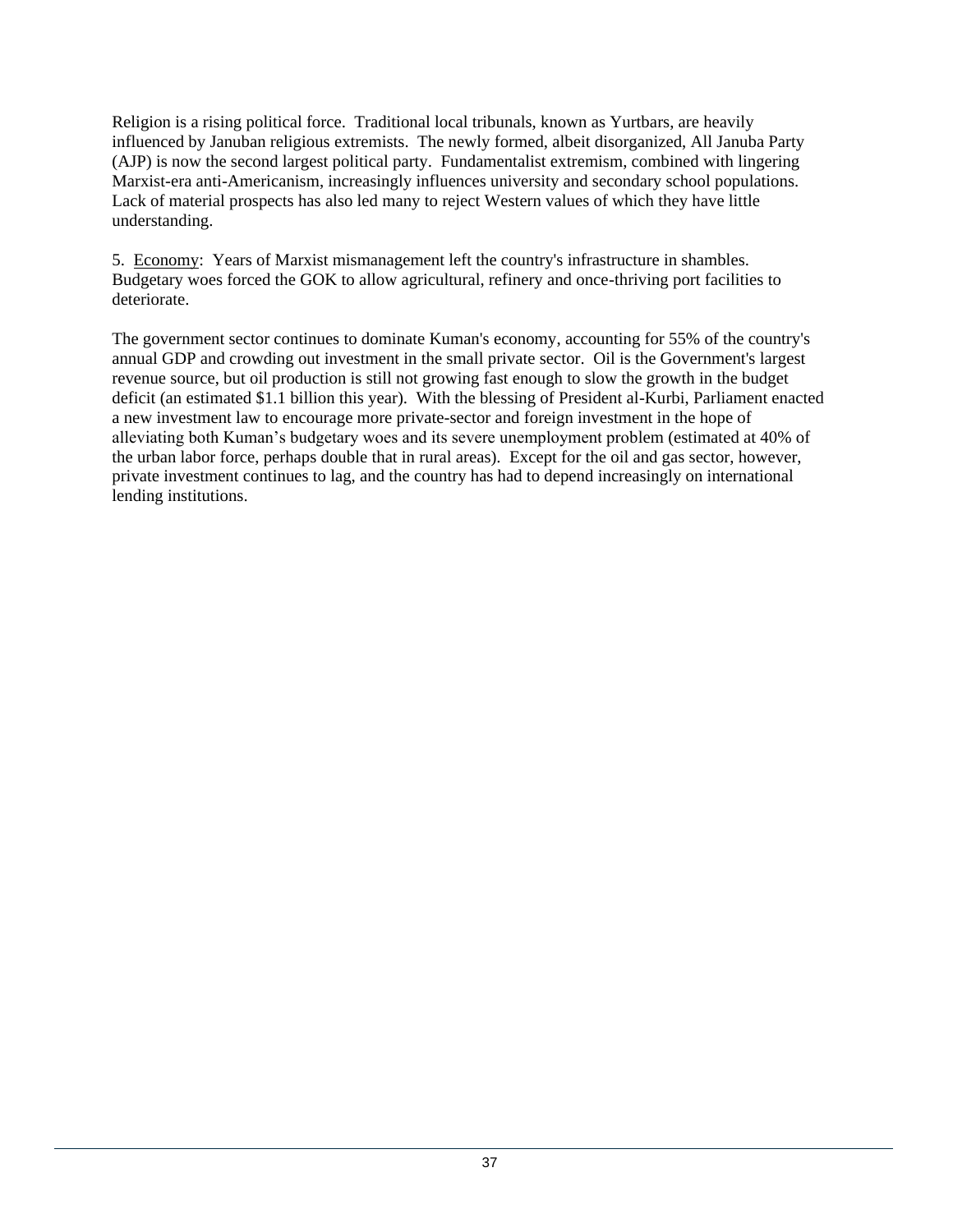Religion is a rising political force. Traditional local tribunals, known as Yurtbars, are heavily influenced by Januban religious extremists. The newly formed, albeit disorganized, All Januba Party (AJP) is now the second largest political party. Fundamentalist extremism, combined with lingering Marxist-era anti-Americanism, increasingly influences university and secondary school populations. Lack of material prospects has also led many to reject Western values of which they have little understanding.

5. Economy: Years of Marxist mismanagement left the country's infrastructure in shambles. Budgetary woes forced the GOK to allow agricultural, refinery and once-thriving port facilities to deteriorate.

The government sector continues to dominate Kuman's economy, accounting for 55% of the country's annual GDP and crowding out investment in the small private sector. Oil is the Government's largest revenue source, but oil production is still not growing fast enough to slow the growth in the budget deficit (an estimated \$1.1 billion this year). With the blessing of President al-Kurbi, Parliament enacted a new investment law to encourage more private-sector and foreign investment in the hope of alleviating both Kuman's budgetary woes and its severe unemployment problem (estimated at 40% of the urban labor force, perhaps double that in rural areas). Except for the oil and gas sector, however, private investment continues to lag, and the country has had to depend increasingly on international lending institutions.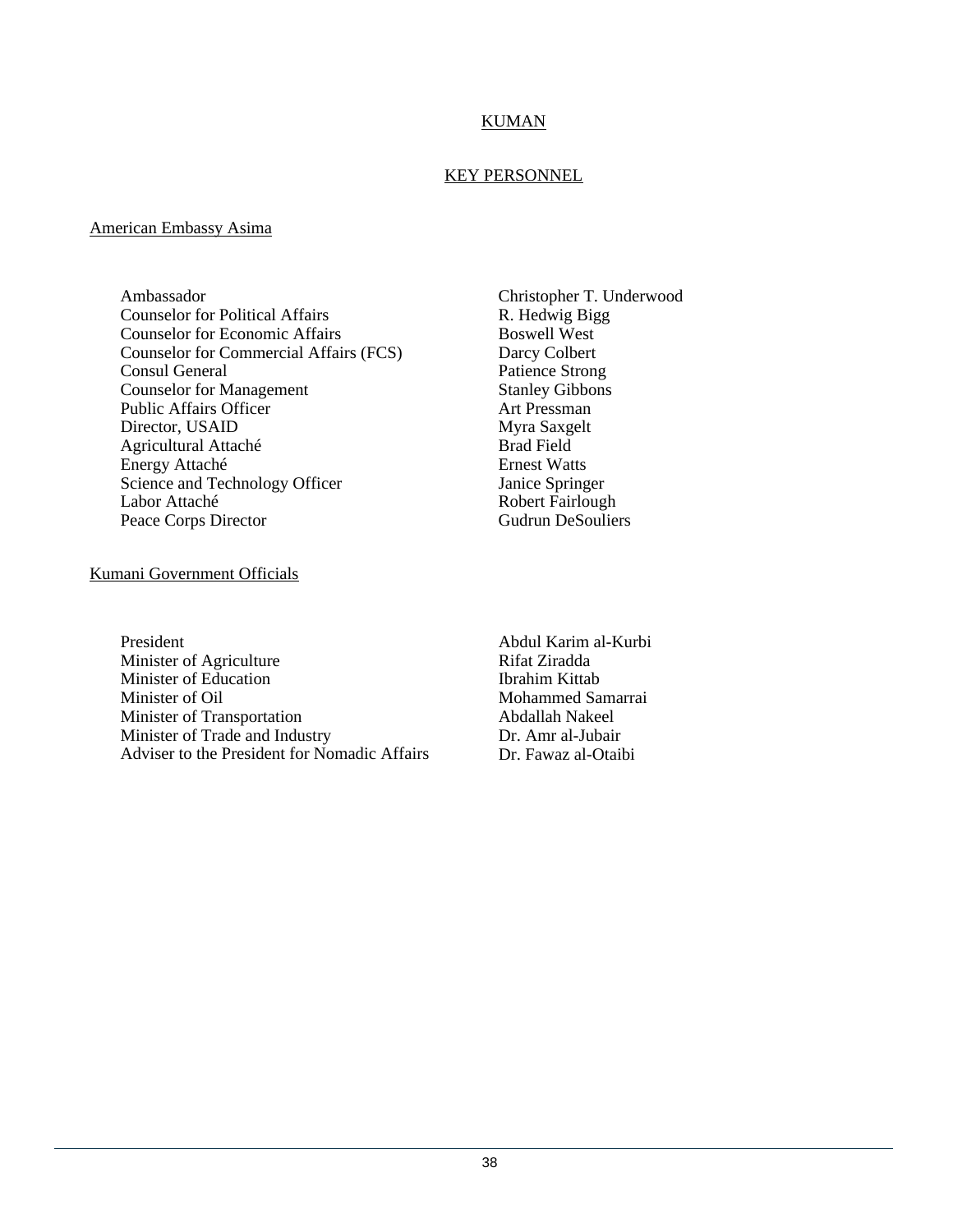## KUMAN

## KEY PERSONNEL

#### American Embassy Asima

Ambassador Christopher T. Underwood Counselor for Political Affairs R. Hedwig Bigg Counselor for Economic Affairs<br>
Counselor for Commercial Affairs (FCS) Darcy Colbert Counselor for Commercial Affairs (FCS) Consul General Patience Strong<br>
Counselor for Management Stanley Gibbons Counselor for Management Public Affairs Officer Art Pressman Director, USAID Myra Saxgelt<br>Agricultural Attaché Brad Field Agricultural Attaché Energy Attaché Ernest Watts Science and Technology Officer Janice Springer Labor Attaché Robert Fairlough Peace Corps Director Gudrun DeSouliers

#### Kumani Government Officials

President<br>
Minister of Agriculture<br>
Minister of Agriculture<br>
Abdul Karim al-Kurbi Minister of Agriculture Minister of Education **Ibrahim Kittab** Minister of Oil Mohammed Samarrai Minister of Transportation Abdallah Nakeel Minister of Trade and Industry Dr. Amr al-Jubair Adviser to the President for Nomadic Affairs Dr. Fawaz al-Otaibi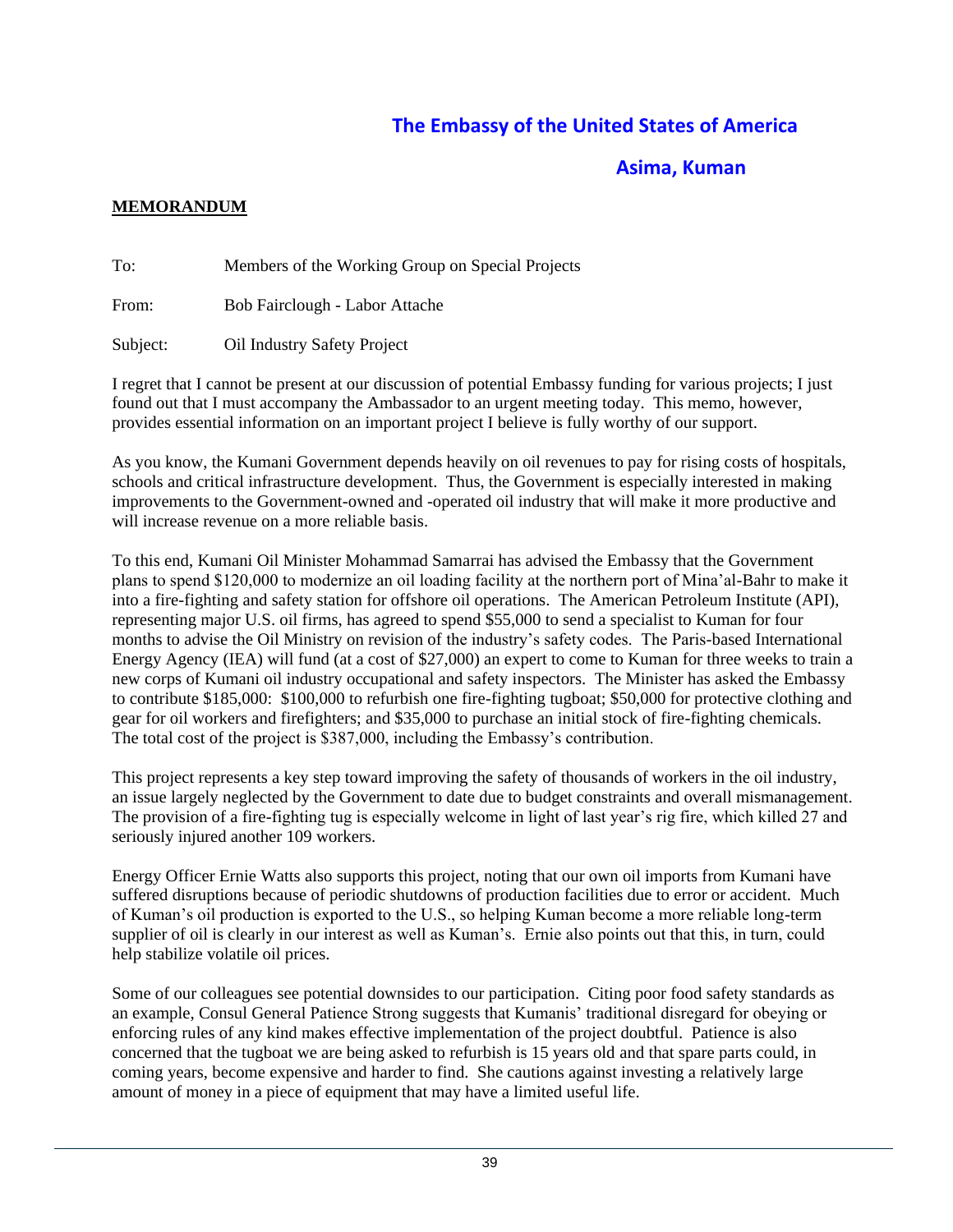## **Asima, Kuman**

## **MEMORANDUM**

To: Members of the Working Group on Special Projects

From: Bob Fairclough - Labor Attache

Subject: Oil Industry Safety Project

I regret that I cannot be present at our discussion of potential Embassy funding for various projects; I just found out that I must accompany the Ambassador to an urgent meeting today. This memo, however, provides essential information on an important project I believe is fully worthy of our support.

As you know, the Kumani Government depends heavily on oil revenues to pay for rising costs of hospitals, schools and critical infrastructure development. Thus, the Government is especially interested in making improvements to the Government-owned and -operated oil industry that will make it more productive and will increase revenue on a more reliable basis.

To this end, Kumani Oil Minister Mohammad Samarrai has advised the Embassy that the Government plans to spend \$120,000 to modernize an oil loading facility at the northern port of Mina'al-Bahr to make it into a fire-fighting and safety station for offshore oil operations. The American Petroleum Institute (API), representing major U.S. oil firms, has agreed to spend \$55,000 to send a specialist to Kuman for four months to advise the Oil Ministry on revision of the industry's safety codes. The Paris-based International Energy Agency (IEA) will fund (at a cost of \$27,000) an expert to come to Kuman for three weeks to train a new corps of Kumani oil industry occupational and safety inspectors. The Minister has asked the Embassy to contribute \$185,000: \$100,000 to refurbish one fire-fighting tugboat; \$50,000 for protective clothing and gear for oil workers and firefighters; and \$35,000 to purchase an initial stock of fire-fighting chemicals. The total cost of the project is \$387,000, including the Embassy's contribution.

This project represents a key step toward improving the safety of thousands of workers in the oil industry, an issue largely neglected by the Government to date due to budget constraints and overall mismanagement. The provision of a fire-fighting tug is especially welcome in light of last year's rig fire, which killed 27 and seriously injured another 109 workers.

Energy Officer Ernie Watts also supports this project, noting that our own oil imports from Kumani have suffered disruptions because of periodic shutdowns of production facilities due to error or accident. Much of Kuman's oil production is exported to the U.S., so helping Kuman become a more reliable long-term supplier of oil is clearly in our interest as well as Kuman's. Ernie also points out that this, in turn, could help stabilize volatile oil prices.

Some of our colleagues see potential downsides to our participation. Citing poor food safety standards as an example, Consul General Patience Strong suggests that Kumanis' traditional disregard for obeying or enforcing rules of any kind makes effective implementation of the project doubtful. Patience is also concerned that the tugboat we are being asked to refurbish is 15 years old and that spare parts could, in coming years, become expensive and harder to find. She cautions against investing a relatively large amount of money in a piece of equipment that may have a limited useful life.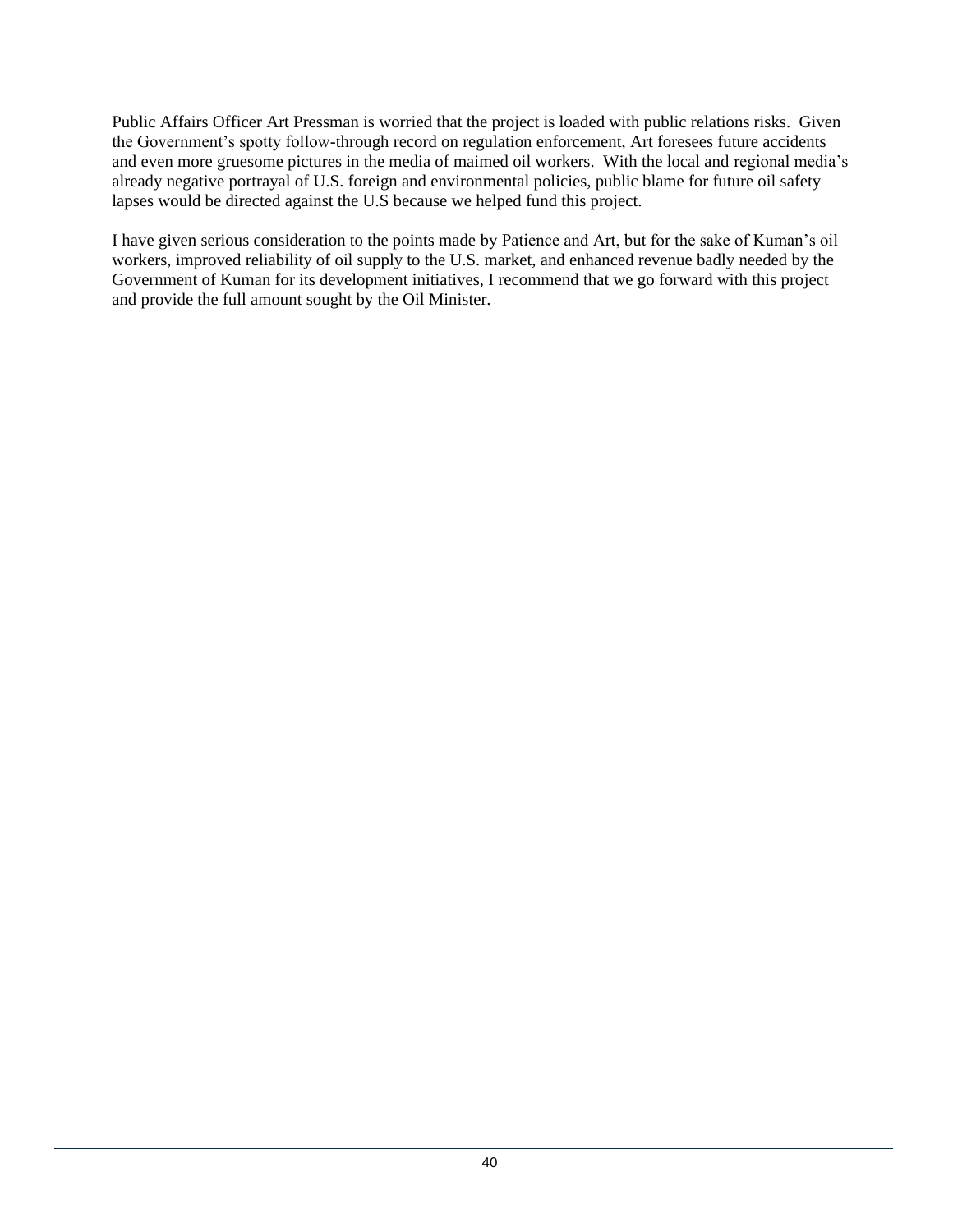Public Affairs Officer Art Pressman is worried that the project is loaded with public relations risks. Given the Government's spotty follow-through record on regulation enforcement, Art foresees future accidents and even more gruesome pictures in the media of maimed oil workers. With the local and regional media's already negative portrayal of U.S. foreign and environmental policies, public blame for future oil safety lapses would be directed against the U.S because we helped fund this project.

I have given serious consideration to the points made by Patience and Art, but for the sake of Kuman's oil workers, improved reliability of oil supply to the U.S. market, and enhanced revenue badly needed by the Government of Kuman for its development initiatives, I recommend that we go forward with this project and provide the full amount sought by the Oil Minister.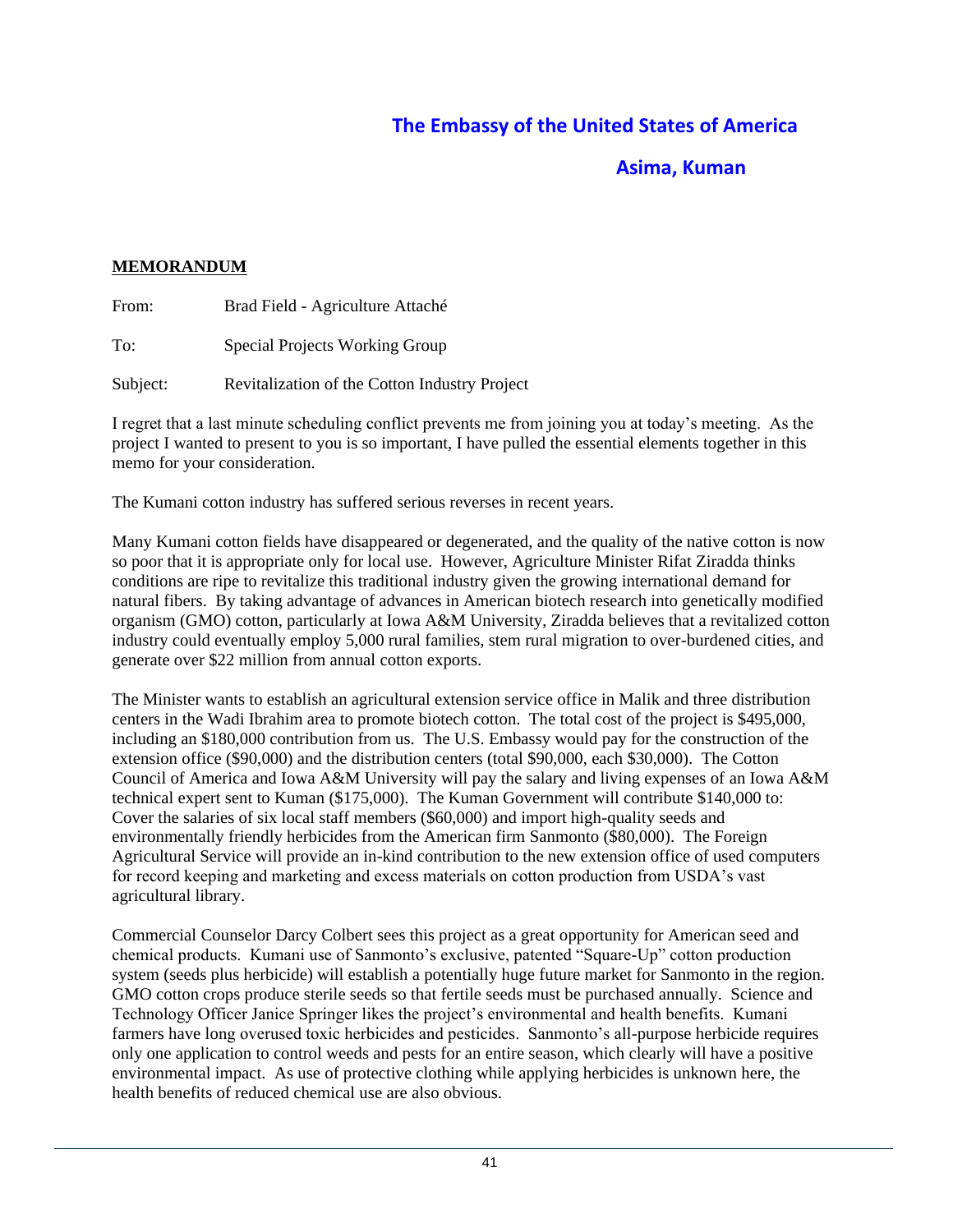## **Asima, Kuman**

## **MEMORANDUM**

From: Brad Field - Agriculture Attaché

To: Special Projects Working Group

Subject: Revitalization of the Cotton Industry Project

I regret that a last minute scheduling conflict prevents me from joining you at today's meeting. As the project I wanted to present to you is so important, I have pulled the essential elements together in this memo for your consideration.

The Kumani cotton industry has suffered serious reverses in recent years.

Many Kumani cotton fields have disappeared or degenerated, and the quality of the native cotton is now so poor that it is appropriate only for local use. However, Agriculture Minister Rifat Ziradda thinks conditions are ripe to revitalize this traditional industry given the growing international demand for natural fibers. By taking advantage of advances in American biotech research into genetically modified organism (GMO) cotton, particularly at Iowa A&M University, Ziradda believes that a revitalized cotton industry could eventually employ 5,000 rural families, stem rural migration to over-burdened cities, and generate over \$22 million from annual cotton exports.

The Minister wants to establish an agricultural extension service office in Malik and three distribution centers in the Wadi Ibrahim area to promote biotech cotton. The total cost of the project is \$495,000, including an \$180,000 contribution from us. The U.S. Embassy would pay for the construction of the extension office (\$90,000) and the distribution centers (total \$90,000, each \$30,000). The Cotton Council of America and Iowa A&M University will pay the salary and living expenses of an Iowa A&M technical expert sent to Kuman (\$175,000). The Kuman Government will contribute \$140,000 to: Cover the salaries of six local staff members (\$60,000) and import high-quality seeds and environmentally friendly herbicides from the American firm Sanmonto (\$80,000). The Foreign Agricultural Service will provide an in-kind contribution to the new extension office of used computers for record keeping and marketing and excess materials on cotton production from USDA's vast agricultural library.

Commercial Counselor Darcy Colbert sees this project as a great opportunity for American seed and chemical products. Kumani use of Sanmonto's exclusive, patented "Square-Up" cotton production system (seeds plus herbicide) will establish a potentially huge future market for Sanmonto in the region. GMO cotton crops produce sterile seeds so that fertile seeds must be purchased annually. Science and Technology Officer Janice Springer likes the project's environmental and health benefits. Kumani farmers have long overused toxic herbicides and pesticides. Sanmonto's all-purpose herbicide requires only one application to control weeds and pests for an entire season, which clearly will have a positive environmental impact. As use of protective clothing while applying herbicides is unknown here, the health benefits of reduced chemical use are also obvious.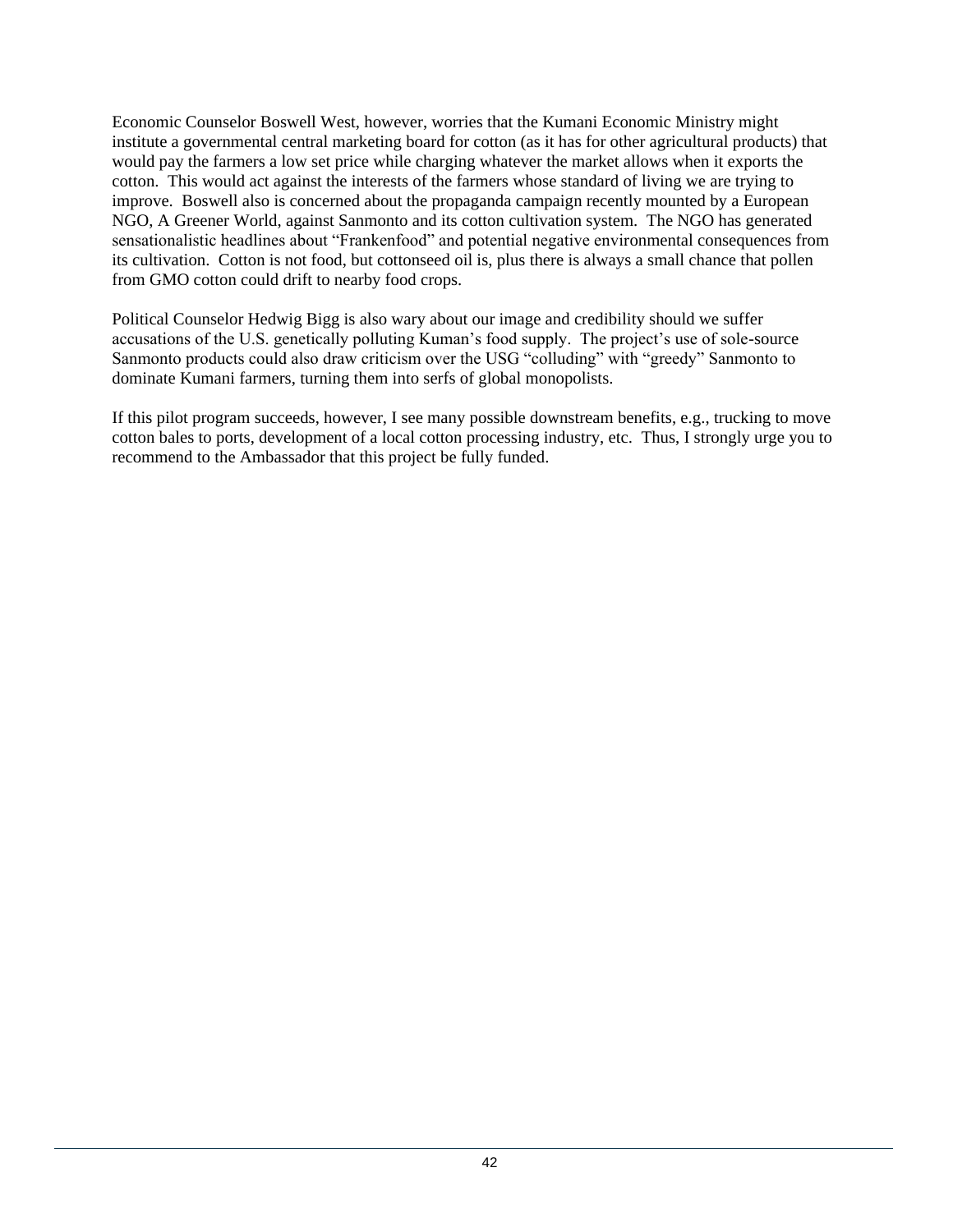Economic Counselor Boswell West, however, worries that the Kumani Economic Ministry might institute a governmental central marketing board for cotton (as it has for other agricultural products) that would pay the farmers a low set price while charging whatever the market allows when it exports the cotton. This would act against the interests of the farmers whose standard of living we are trying to improve. Boswell also is concerned about the propaganda campaign recently mounted by a European NGO, A Greener World, against Sanmonto and its cotton cultivation system. The NGO has generated sensationalistic headlines about "Frankenfood" and potential negative environmental consequences from its cultivation. Cotton is not food, but cottonseed oil is, plus there is always a small chance that pollen from GMO cotton could drift to nearby food crops.

Political Counselor Hedwig Bigg is also wary about our image and credibility should we suffer accusations of the U.S. genetically polluting Kuman's food supply. The project's use of sole-source Sanmonto products could also draw criticism over the USG "colluding" with "greedy" Sanmonto to dominate Kumani farmers, turning them into serfs of global monopolists.

If this pilot program succeeds, however, I see many possible downstream benefits, e.g., trucking to move cotton bales to ports, development of a local cotton processing industry, etc. Thus, I strongly urge you to recommend to the Ambassador that this project be fully funded.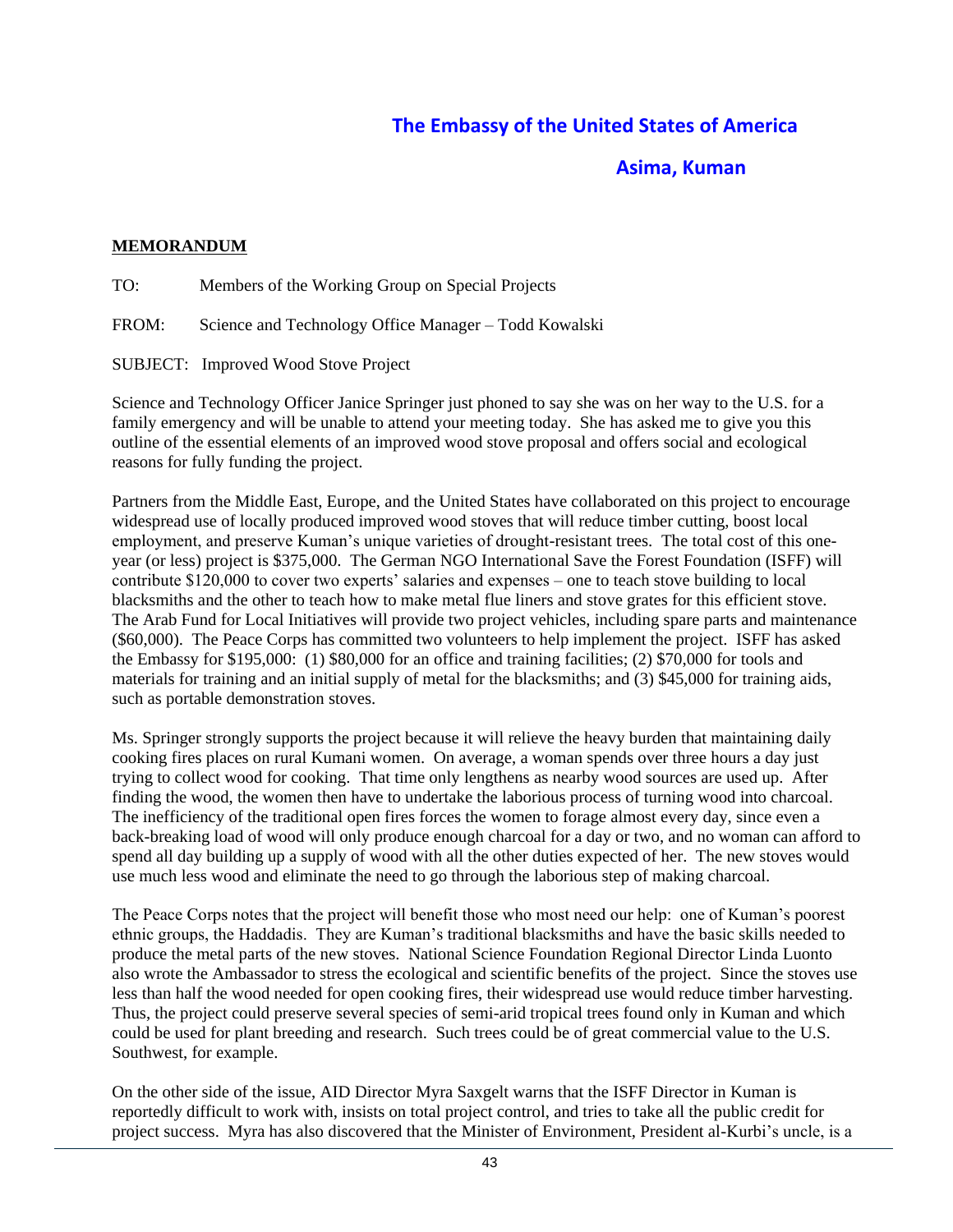## **Asima, Kuman**

#### **MEMORANDUM**

TO: Members of the Working Group on Special Projects

FROM: Science and Technology Office Manager – Todd Kowalski

SUBJECT: Improved Wood Stove Project

Science and Technology Officer Janice Springer just phoned to say she was on her way to the U.S. for a family emergency and will be unable to attend your meeting today. She has asked me to give you this outline of the essential elements of an improved wood stove proposal and offers social and ecological reasons for fully funding the project.

Partners from the Middle East, Europe, and the United States have collaborated on this project to encourage widespread use of locally produced improved wood stoves that will reduce timber cutting, boost local employment, and preserve Kuman's unique varieties of drought-resistant trees. The total cost of this oneyear (or less) project is \$375,000. The German NGO International Save the Forest Foundation (ISFF) will contribute \$120,000 to cover two experts' salaries and expenses – one to teach stove building to local blacksmiths and the other to teach how to make metal flue liners and stove grates for this efficient stove. The Arab Fund for Local Initiatives will provide two project vehicles, including spare parts and maintenance (\$60,000). The Peace Corps has committed two volunteers to help implement the project. ISFF has asked the Embassy for \$195,000: (1) \$80,000 for an office and training facilities; (2) \$70,000 for tools and materials for training and an initial supply of metal for the blacksmiths; and (3) \$45,000 for training aids, such as portable demonstration stoves.

Ms. Springer strongly supports the project because it will relieve the heavy burden that maintaining daily cooking fires places on rural Kumani women. On average, a woman spends over three hours a day just trying to collect wood for cooking. That time only lengthens as nearby wood sources are used up. After finding the wood, the women then have to undertake the laborious process of turning wood into charcoal. The inefficiency of the traditional open fires forces the women to forage almost every day, since even a back-breaking load of wood will only produce enough charcoal for a day or two, and no woman can afford to spend all day building up a supply of wood with all the other duties expected of her. The new stoves would use much less wood and eliminate the need to go through the laborious step of making charcoal.

The Peace Corps notes that the project will benefit those who most need our help: one of Kuman's poorest ethnic groups, the Haddadis. They are Kuman's traditional blacksmiths and have the basic skills needed to produce the metal parts of the new stoves. National Science Foundation Regional Director Linda Luonto also wrote the Ambassador to stress the ecological and scientific benefits of the project. Since the stoves use less than half the wood needed for open cooking fires, their widespread use would reduce timber harvesting. Thus, the project could preserve several species of semi-arid tropical trees found only in Kuman and which could be used for plant breeding and research. Such trees could be of great commercial value to the U.S. Southwest, for example.

On the other side of the issue, AID Director Myra Saxgelt warns that the ISFF Director in Kuman is reportedly difficult to work with, insists on total project control, and tries to take all the public credit for project success. Myra has also discovered that the Minister of Environment, President al-Kurbi's uncle, is a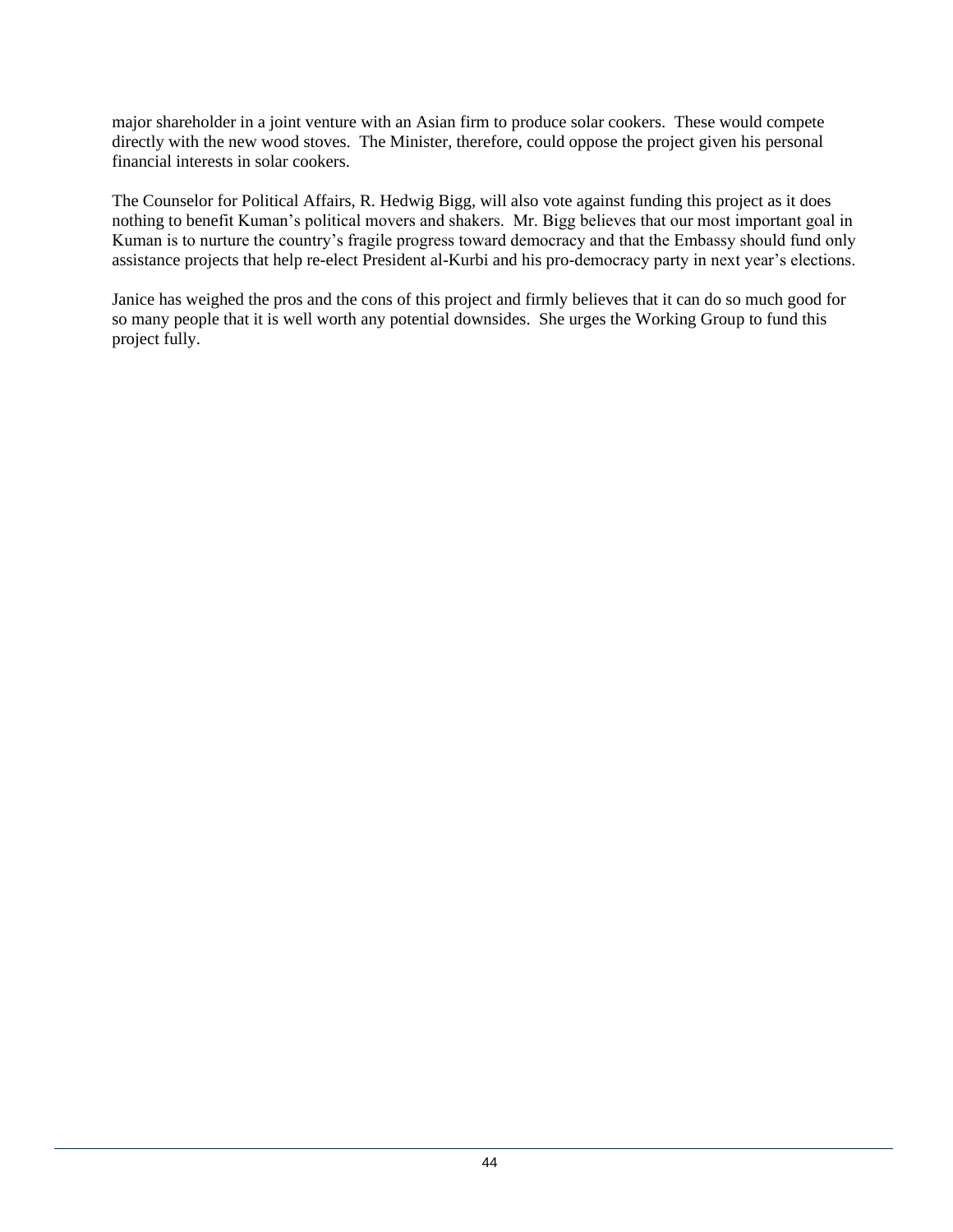major shareholder in a joint venture with an Asian firm to produce solar cookers. These would compete directly with the new wood stoves. The Minister, therefore, could oppose the project given his personal financial interests in solar cookers.

The Counselor for Political Affairs, R. Hedwig Bigg, will also vote against funding this project as it does nothing to benefit Kuman's political movers and shakers. Mr. Bigg believes that our most important goal in Kuman is to nurture the country's fragile progress toward democracy and that the Embassy should fund only assistance projects that help re-elect President al-Kurbi and his pro-democracy party in next year's elections.

Janice has weighed the pros and the cons of this project and firmly believes that it can do so much good for so many people that it is well worth any potential downsides. She urges the Working Group to fund this project fully.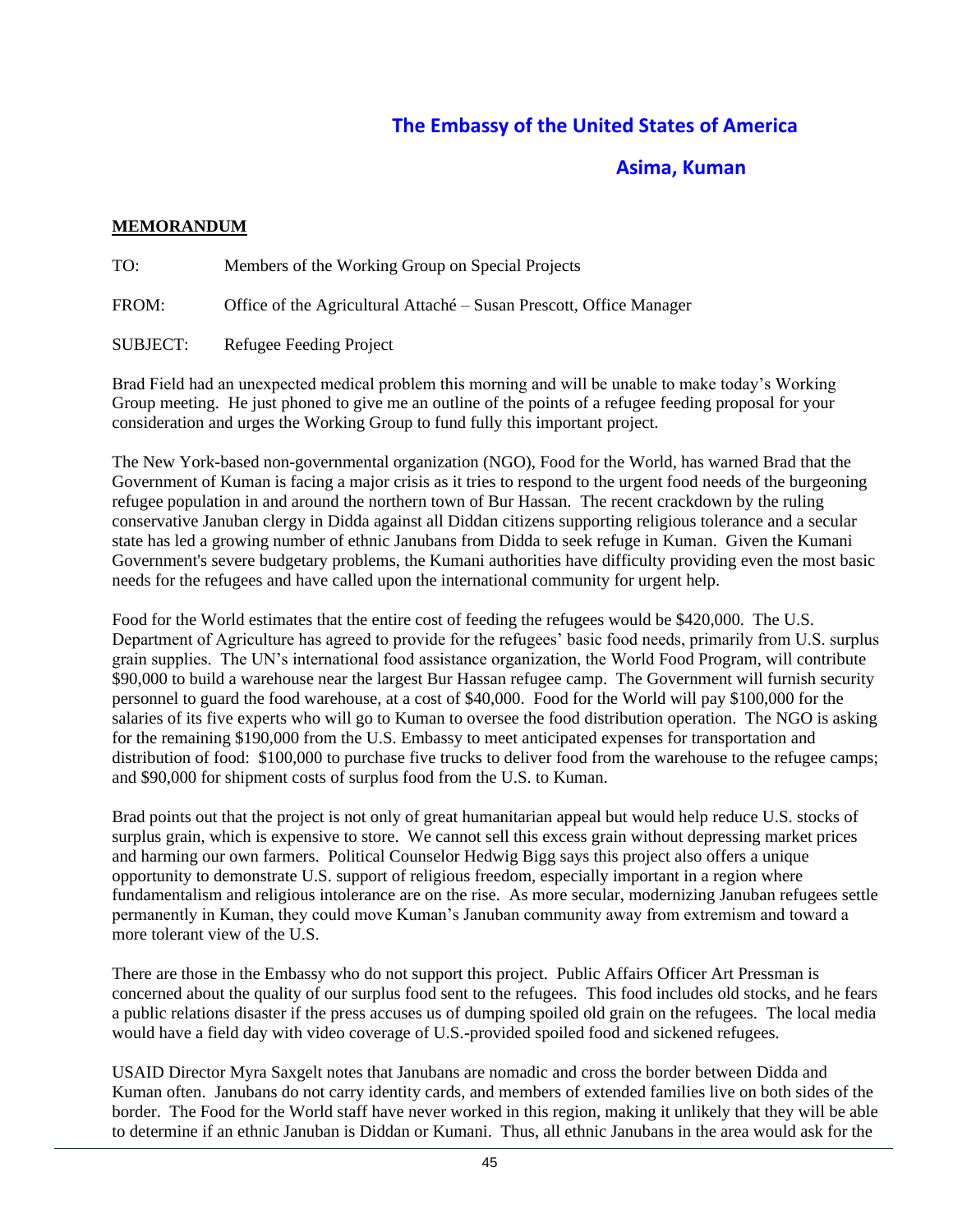## **Asima, Kuman**

## **MEMORANDUM**

TO: Members of the Working Group on Special Projects FROM: Office of the Agricultural Attaché – Susan Prescott, Office Manager SUBJECT: Refugee Feeding Project

Brad Field had an unexpected medical problem this morning and will be unable to make today's Working Group meeting. He just phoned to give me an outline of the points of a refugee feeding proposal for your consideration and urges the Working Group to fund fully this important project.

The New York-based non-governmental organization (NGO), Food for the World, has warned Brad that the Government of Kuman is facing a major crisis as it tries to respond to the urgent food needs of the burgeoning refugee population in and around the northern town of Bur Hassan. The recent crackdown by the ruling conservative Januban clergy in Didda against all Diddan citizens supporting religious tolerance and a secular state has led a growing number of ethnic Janubans from Didda to seek refuge in Kuman. Given the Kumani Government's severe budgetary problems, the Kumani authorities have difficulty providing even the most basic needs for the refugees and have called upon the international community for urgent help.

Food for the World estimates that the entire cost of feeding the refugees would be \$420,000. The U.S. Department of Agriculture has agreed to provide for the refugees' basic food needs, primarily from U.S. surplus grain supplies. The UN's international food assistance organization, the World Food Program, will contribute \$90,000 to build a warehouse near the largest Bur Hassan refugee camp. The Government will furnish security personnel to guard the food warehouse, at a cost of \$40,000. Food for the World will pay \$100,000 for the salaries of its five experts who will go to Kuman to oversee the food distribution operation. The NGO is asking for the remaining \$190,000 from the U.S. Embassy to meet anticipated expenses for transportation and distribution of food: \$100,000 to purchase five trucks to deliver food from the warehouse to the refugee camps; and \$90,000 for shipment costs of surplus food from the U.S. to Kuman.

Brad points out that the project is not only of great humanitarian appeal but would help reduce U.S. stocks of surplus grain, which is expensive to store. We cannot sell this excess grain without depressing market prices and harming our own farmers. Political Counselor Hedwig Bigg says this project also offers a unique opportunity to demonstrate U.S. support of religious freedom, especially important in a region where fundamentalism and religious intolerance are on the rise. As more secular, modernizing Januban refugees settle permanently in Kuman, they could move Kuman's Januban community away from extremism and toward a more tolerant view of the U.S.

There are those in the Embassy who do not support this project. Public Affairs Officer Art Pressman is concerned about the quality of our surplus food sent to the refugees. This food includes old stocks, and he fears a public relations disaster if the press accuses us of dumping spoiled old grain on the refugees. The local media would have a field day with video coverage of U.S.-provided spoiled food and sickened refugees.

USAID Director Myra Saxgelt notes that Janubans are nomadic and cross the border between Didda and Kuman often. Janubans do not carry identity cards, and members of extended families live on both sides of the border. The Food for the World staff have never worked in this region, making it unlikely that they will be able to determine if an ethnic Januban is Diddan or Kumani. Thus, all ethnic Janubans in the area would ask for the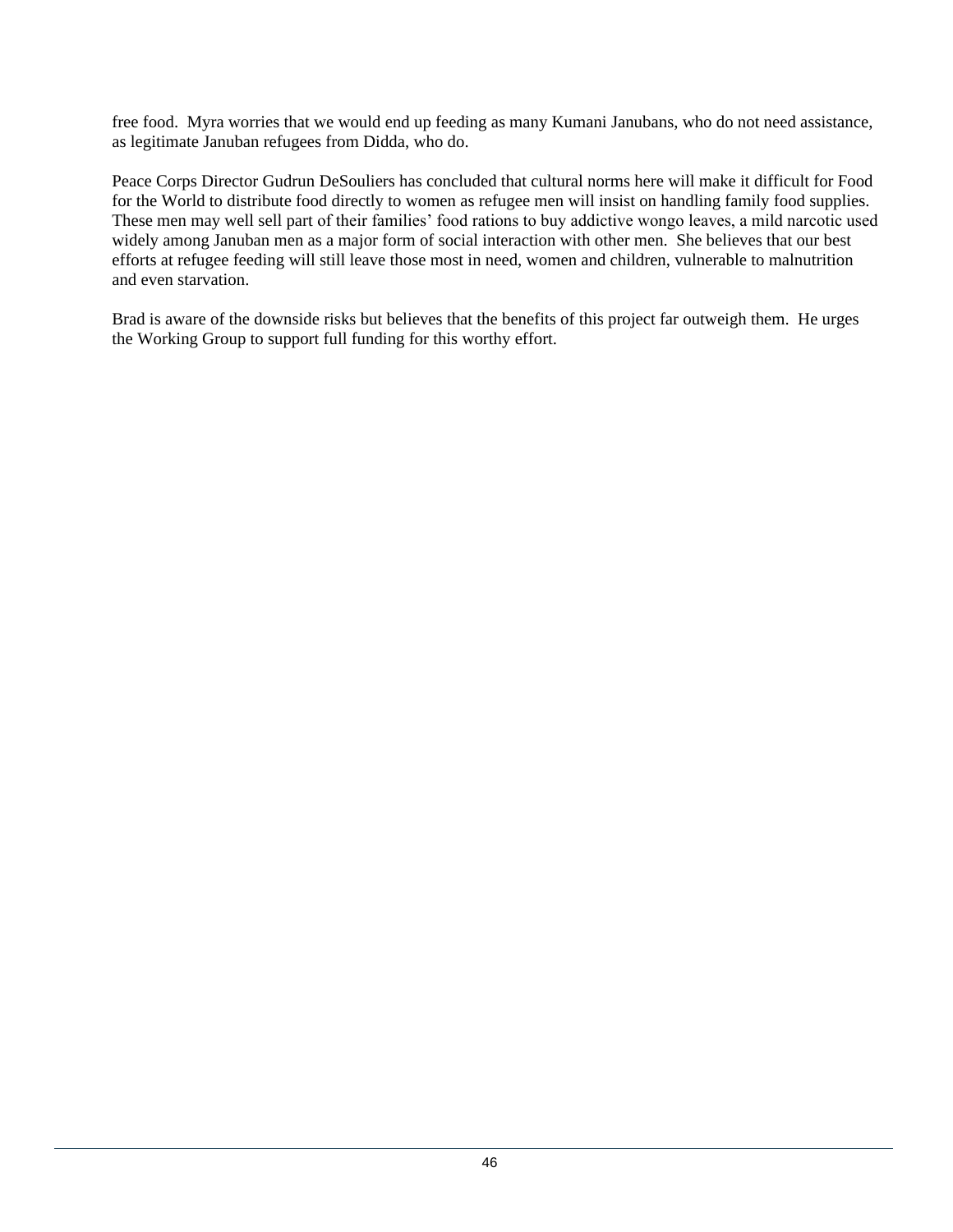free food. Myra worries that we would end up feeding as many Kumani Janubans, who do not need assistance, as legitimate Januban refugees from Didda, who do.

Peace Corps Director Gudrun DeSouliers has concluded that cultural norms here will make it difficult for Food for the World to distribute food directly to women as refugee men will insist on handling family food supplies. These men may well sell part of their families' food rations to buy addictive wongo leaves, a mild narcotic used widely among Januban men as a major form of social interaction with other men. She believes that our best efforts at refugee feeding will still leave those most in need, women and children, vulnerable to malnutrition and even starvation.

Brad is aware of the downside risks but believes that the benefits of this project far outweigh them. He urges the Working Group to support full funding for this worthy effort.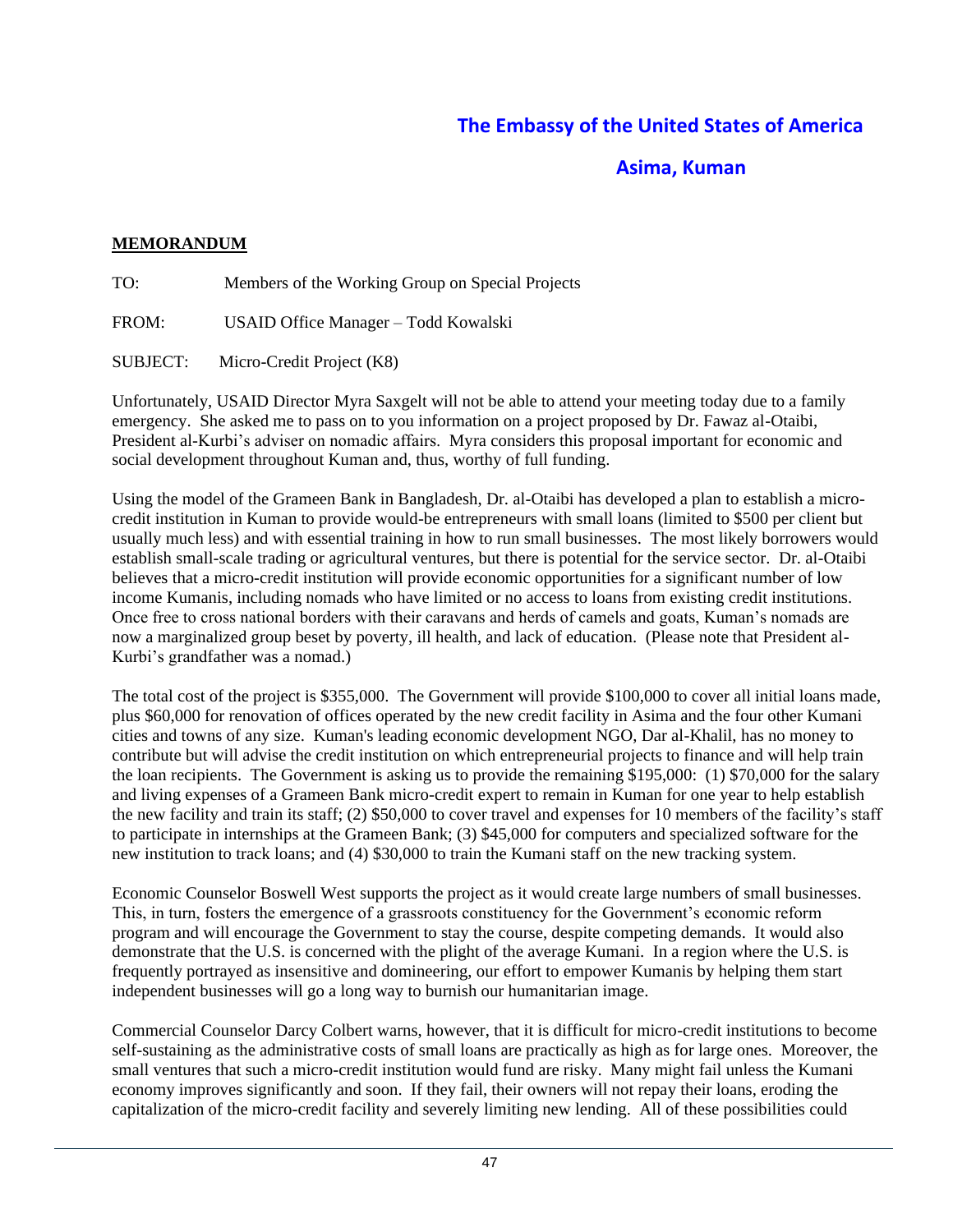## **Asima, Kuman**

## **MEMORANDUM**

TO: Members of the Working Group on Special Projects

FROM: USAID Office Manager – Todd Kowalski

SUBJECT: Micro-Credit Project (K8)

Unfortunately, USAID Director Myra Saxgelt will not be able to attend your meeting today due to a family emergency. She asked me to pass on to you information on a project proposed by Dr. Fawaz al-Otaibi, President al-Kurbi's adviser on nomadic affairs. Myra considers this proposal important for economic and social development throughout Kuman and, thus, worthy of full funding.

Using the model of the Grameen Bank in Bangladesh, Dr. al-Otaibi has developed a plan to establish a microcredit institution in Kuman to provide would-be entrepreneurs with small loans (limited to \$500 per client but usually much less) and with essential training in how to run small businesses. The most likely borrowers would establish small-scale trading or agricultural ventures, but there is potential for the service sector. Dr. al-Otaibi believes that a micro-credit institution will provide economic opportunities for a significant number of low income Kumanis, including nomads who have limited or no access to loans from existing credit institutions. Once free to cross national borders with their caravans and herds of camels and goats, Kuman's nomads are now a marginalized group beset by poverty, ill health, and lack of education. (Please note that President al-Kurbi's grandfather was a nomad.)

The total cost of the project is \$355,000. The Government will provide \$100,000 to cover all initial loans made, plus \$60,000 for renovation of offices operated by the new credit facility in Asima and the four other Kumani cities and towns of any size. Kuman's leading economic development NGO, Dar al-Khalil, has no money to contribute but will advise the credit institution on which entrepreneurial projects to finance and will help train the loan recipients. The Government is asking us to provide the remaining \$195,000: (1) \$70,000 for the salary and living expenses of a Grameen Bank micro-credit expert to remain in Kuman for one year to help establish the new facility and train its staff; (2) \$50,000 to cover travel and expenses for 10 members of the facility's staff to participate in internships at the Grameen Bank; (3) \$45,000 for computers and specialized software for the new institution to track loans; and (4) \$30,000 to train the Kumani staff on the new tracking system.

Economic Counselor Boswell West supports the project as it would create large numbers of small businesses. This, in turn, fosters the emergence of a grassroots constituency for the Government's economic reform program and will encourage the Government to stay the course, despite competing demands. It would also demonstrate that the U.S. is concerned with the plight of the average Kumani. In a region where the U.S. is frequently portrayed as insensitive and domineering, our effort to empower Kumanis by helping them start independent businesses will go a long way to burnish our humanitarian image.

Commercial Counselor Darcy Colbert warns, however, that it is difficult for micro-credit institutions to become self-sustaining as the administrative costs of small loans are practically as high as for large ones. Moreover, the small ventures that such a micro-credit institution would fund are risky. Many might fail unless the Kumani economy improves significantly and soon. If they fail, their owners will not repay their loans, eroding the capitalization of the micro-credit facility and severely limiting new lending. All of these possibilities could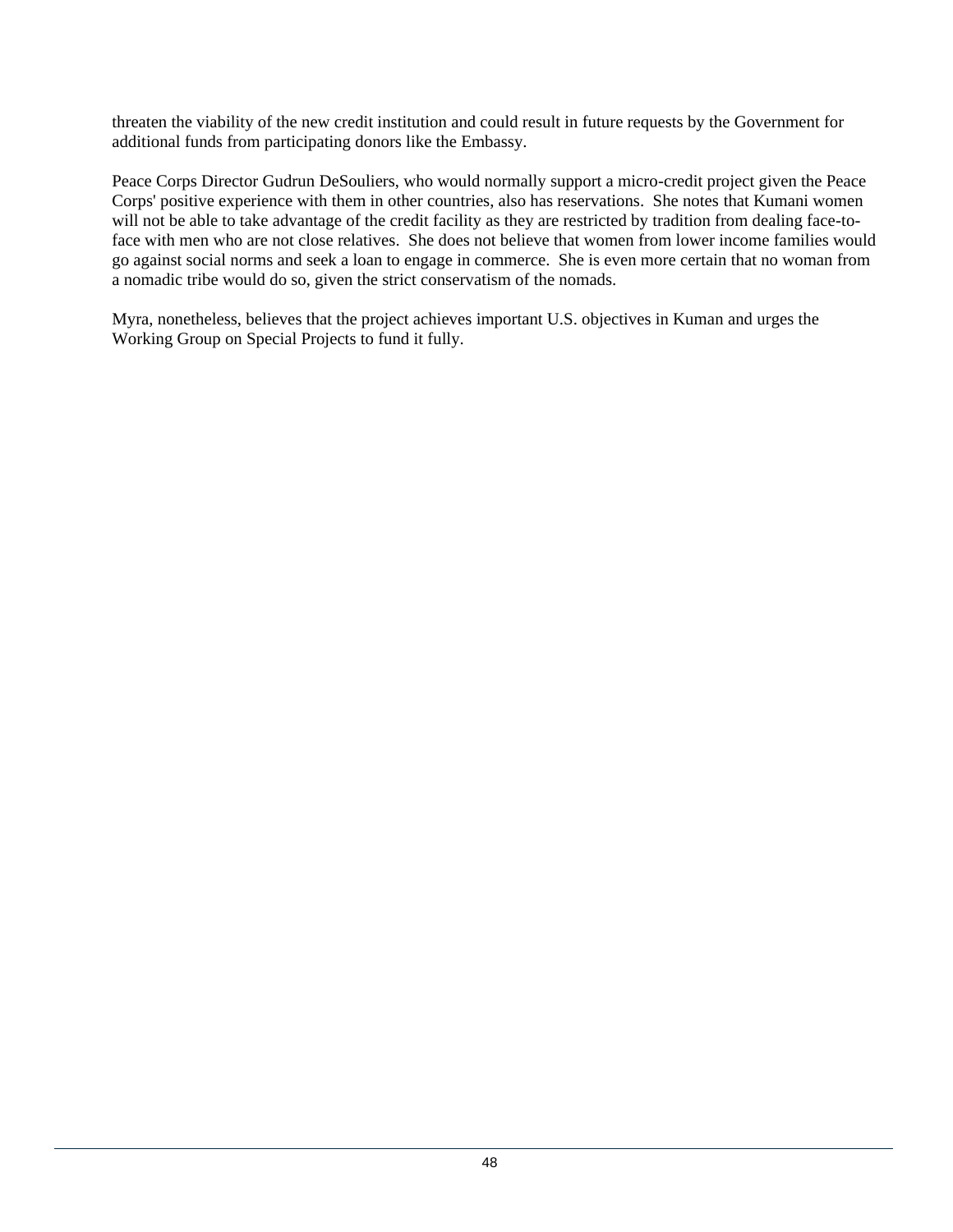threaten the viability of the new credit institution and could result in future requests by the Government for additional funds from participating donors like the Embassy.

Peace Corps Director Gudrun DeSouliers, who would normally support a micro-credit project given the Peace Corps' positive experience with them in other countries, also has reservations. She notes that Kumani women will not be able to take advantage of the credit facility as they are restricted by tradition from dealing face-toface with men who are not close relatives. She does not believe that women from lower income families would go against social norms and seek a loan to engage in commerce. She is even more certain that no woman from a nomadic tribe would do so, given the strict conservatism of the nomads.

Myra, nonetheless, believes that the project achieves important U.S. objectives in Kuman and urges the Working Group on Special Projects to fund it fully.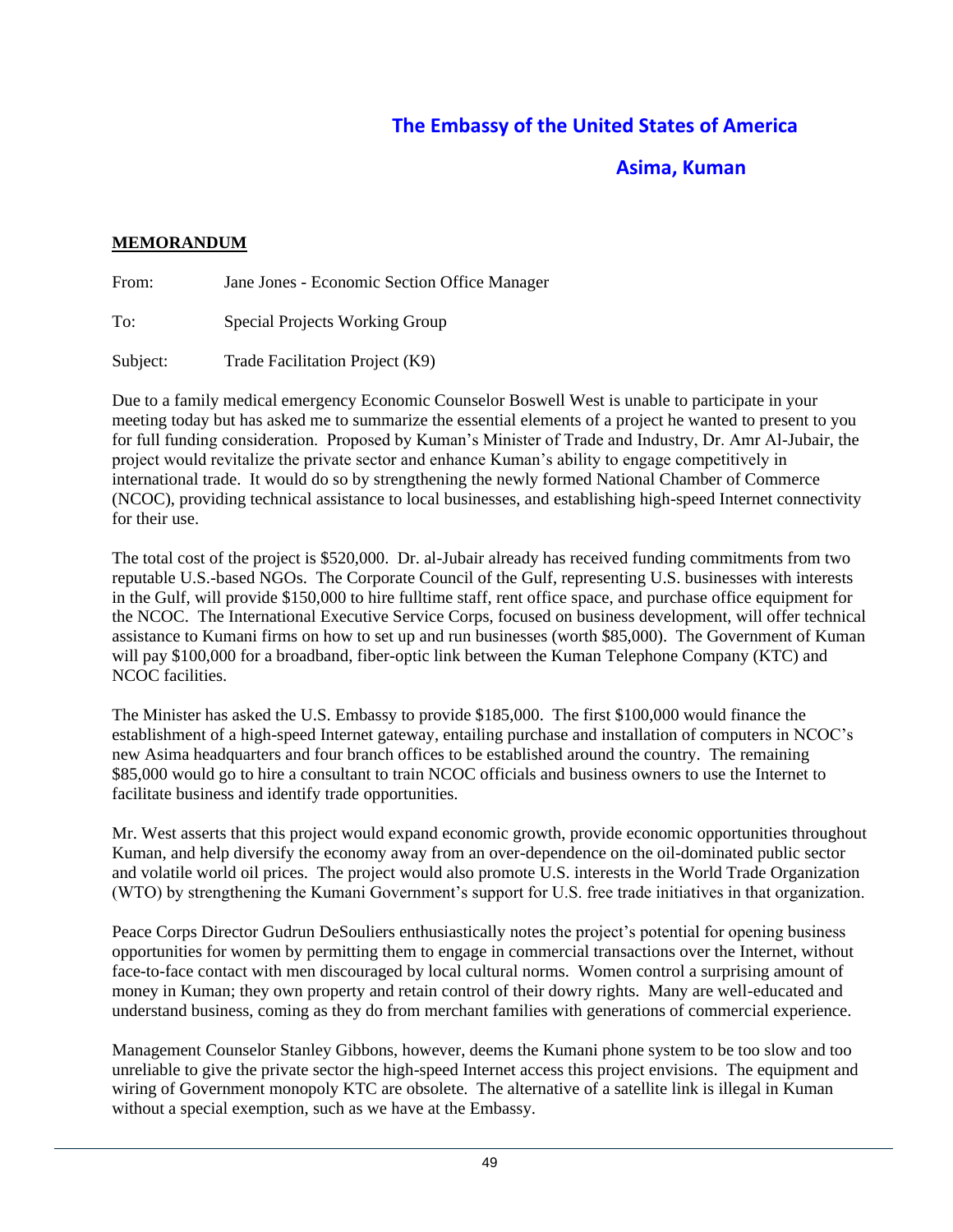## **Asima, Kuman**

## **MEMORANDUM**

From: Jane Jones - Economic Section Office Manager

To: Special Projects Working Group

Subject: Trade Facilitation Project (K9)

Due to a family medical emergency Economic Counselor Boswell West is unable to participate in your meeting today but has asked me to summarize the essential elements of a project he wanted to present to you for full funding consideration. Proposed by Kuman's Minister of Trade and Industry, Dr. Amr Al-Jubair, the project would revitalize the private sector and enhance Kuman's ability to engage competitively in international trade. It would do so by strengthening the newly formed National Chamber of Commerce (NCOC), providing technical assistance to local businesses, and establishing high-speed Internet connectivity for their use.

The total cost of the project is \$520,000. Dr. al-Jubair already has received funding commitments from two reputable U.S.-based NGOs. The Corporate Council of the Gulf, representing U.S. businesses with interests in the Gulf, will provide \$150,000 to hire fulltime staff, rent office space, and purchase office equipment for the NCOC. The International Executive Service Corps, focused on business development, will offer technical assistance to Kumani firms on how to set up and run businesses (worth \$85,000). The Government of Kuman will pay \$100,000 for a broadband, fiber-optic link between the Kuman Telephone Company (KTC) and NCOC facilities.

The Minister has asked the U.S. Embassy to provide \$185,000. The first \$100,000 would finance the establishment of a high-speed Internet gateway, entailing purchase and installation of computers in NCOC's new Asima headquarters and four branch offices to be established around the country. The remaining \$85,000 would go to hire a consultant to train NCOC officials and business owners to use the Internet to facilitate business and identify trade opportunities.

Mr. West asserts that this project would expand economic growth, provide economic opportunities throughout Kuman, and help diversify the economy away from an over-dependence on the oil-dominated public sector and volatile world oil prices. The project would also promote U.S. interests in the World Trade Organization (WTO) by strengthening the Kumani Government's support for U.S. free trade initiatives in that organization.

Peace Corps Director Gudrun DeSouliers enthusiastically notes the project's potential for opening business opportunities for women by permitting them to engage in commercial transactions over the Internet, without face-to-face contact with men discouraged by local cultural norms. Women control a surprising amount of money in Kuman; they own property and retain control of their dowry rights. Many are well-educated and understand business, coming as they do from merchant families with generations of commercial experience.

Management Counselor Stanley Gibbons, however, deems the Kumani phone system to be too slow and too unreliable to give the private sector the high-speed Internet access this project envisions. The equipment and wiring of Government monopoly KTC are obsolete. The alternative of a satellite link is illegal in Kuman without a special exemption, such as we have at the Embassy.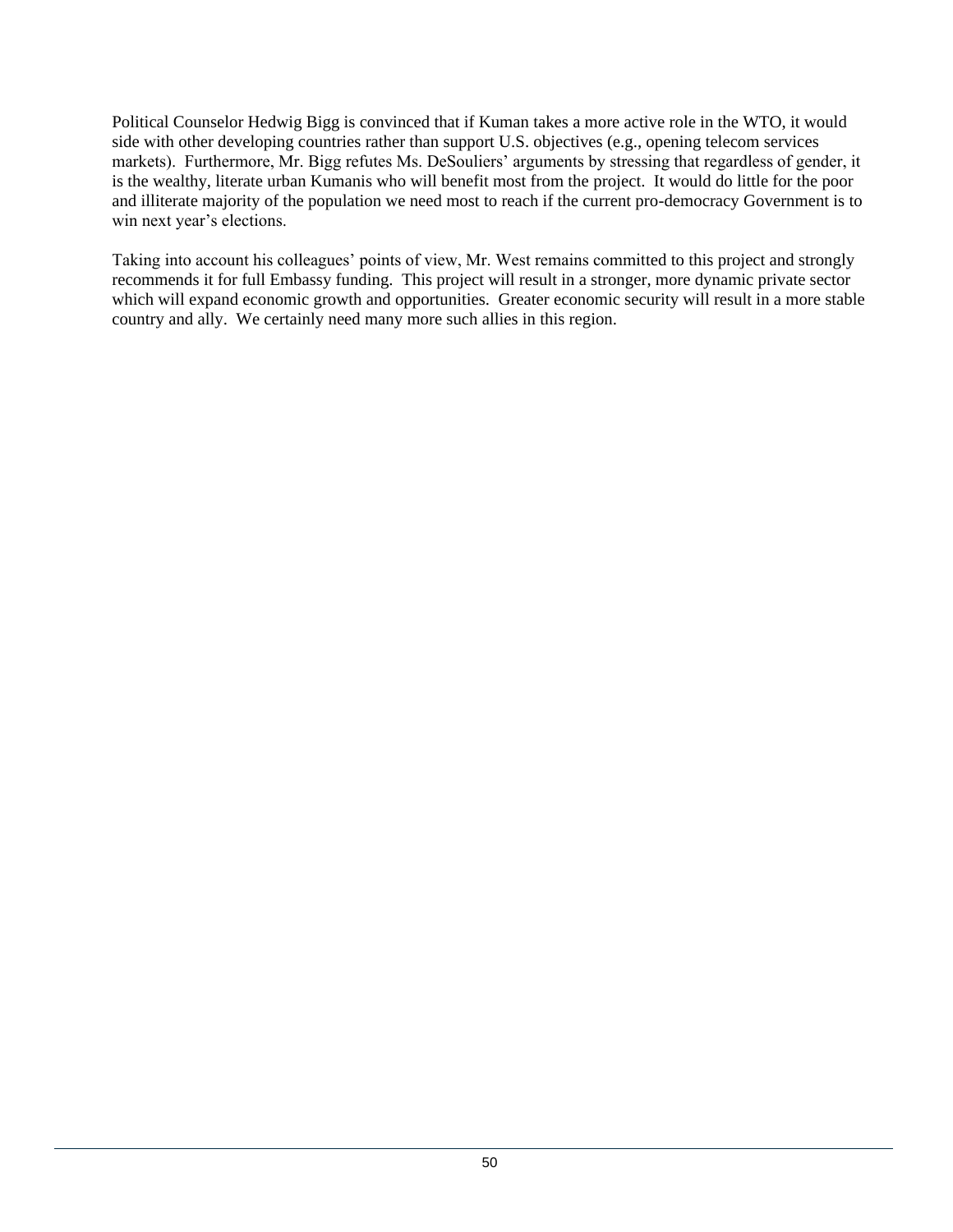Political Counselor Hedwig Bigg is convinced that if Kuman takes a more active role in the WTO, it would side with other developing countries rather than support U.S. objectives (e.g., opening telecom services markets). Furthermore, Mr. Bigg refutes Ms. DeSouliers' arguments by stressing that regardless of gender, it is the wealthy, literate urban Kumanis who will benefit most from the project. It would do little for the poor and illiterate majority of the population we need most to reach if the current pro-democracy Government is to win next year's elections.

Taking into account his colleagues' points of view, Mr. West remains committed to this project and strongly recommends it for full Embassy funding. This project will result in a stronger, more dynamic private sector which will expand economic growth and opportunities. Greater economic security will result in a more stable country and ally. We certainly need many more such allies in this region.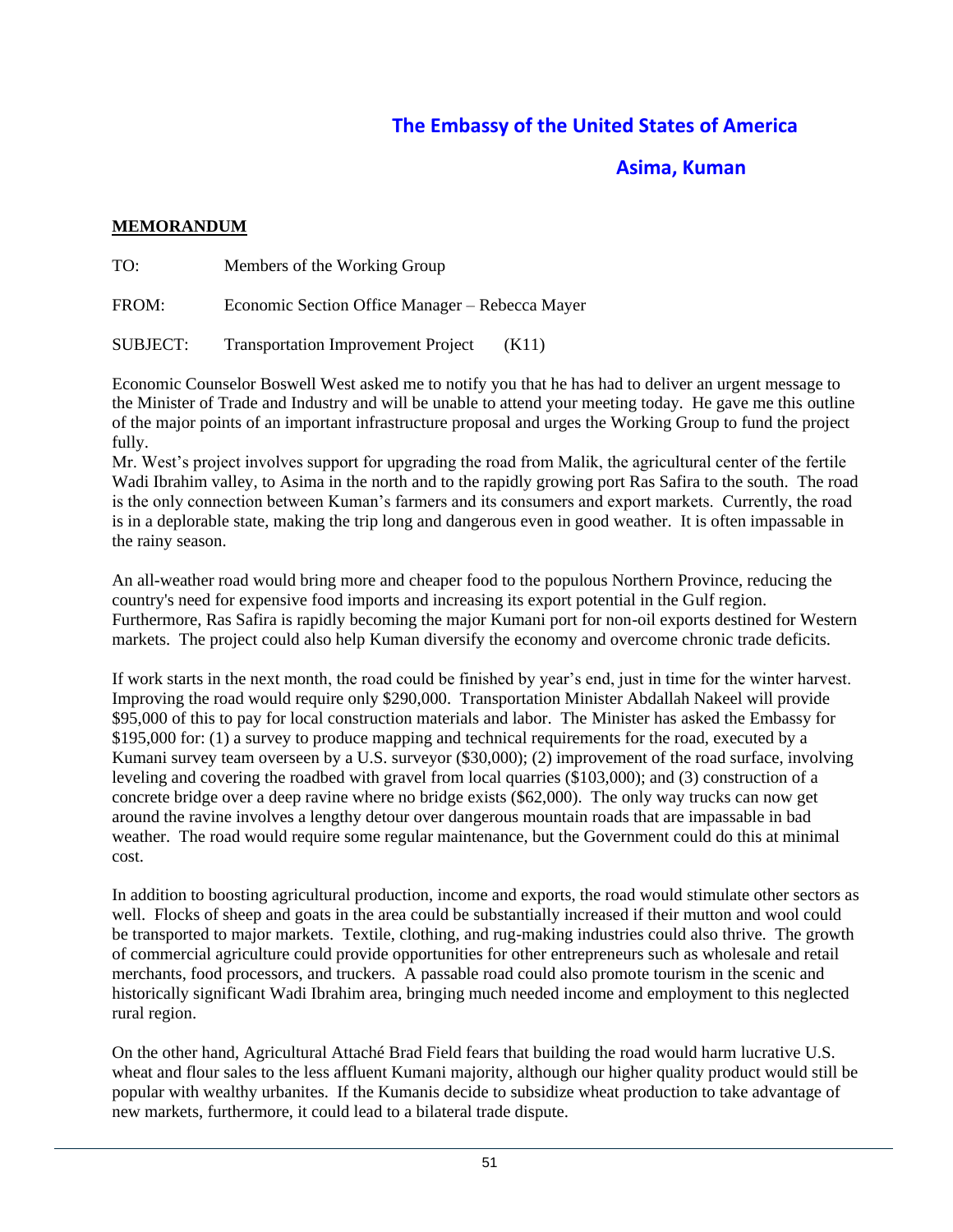## **Asima, Kuman**

## **MEMORANDUM**

| TO:      | Members of the Working Group                       |
|----------|----------------------------------------------------|
| FROM:    | Economic Section Office Manager – Rebecca Mayer    |
| SUBJECT: | <b>Transportation Improvement Project</b><br>(K11) |

Economic Counselor Boswell West asked me to notify you that he has had to deliver an urgent message to the Minister of Trade and Industry and will be unable to attend your meeting today. He gave me this outline of the major points of an important infrastructure proposal and urges the Working Group to fund the project fully.

Mr. West's project involves support for upgrading the road from Malik, the agricultural center of the fertile Wadi Ibrahim valley, to Asima in the north and to the rapidly growing port Ras Safira to the south. The road is the only connection between Kuman's farmers and its consumers and export markets. Currently, the road is in a deplorable state, making the trip long and dangerous even in good weather. It is often impassable in the rainy season.

An all-weather road would bring more and cheaper food to the populous Northern Province, reducing the country's need for expensive food imports and increasing its export potential in the Gulf region. Furthermore, Ras Safira is rapidly becoming the major Kumani port for non-oil exports destined for Western markets. The project could also help Kuman diversify the economy and overcome chronic trade deficits.

If work starts in the next month, the road could be finished by year's end, just in time for the winter harvest. Improving the road would require only \$290,000. Transportation Minister Abdallah Nakeel will provide \$95,000 of this to pay for local construction materials and labor. The Minister has asked the Embassy for \$195,000 for: (1) a survey to produce mapping and technical requirements for the road, executed by a Kumani survey team overseen by a U.S. surveyor (\$30,000); (2) improvement of the road surface, involving leveling and covering the roadbed with gravel from local quarries (\$103,000); and (3) construction of a concrete bridge over a deep ravine where no bridge exists (\$62,000). The only way trucks can now get around the ravine involves a lengthy detour over dangerous mountain roads that are impassable in bad weather. The road would require some regular maintenance, but the Government could do this at minimal cost.

In addition to boosting agricultural production, income and exports, the road would stimulate other sectors as well. Flocks of sheep and goats in the area could be substantially increased if their mutton and wool could be transported to major markets. Textile, clothing, and rug-making industries could also thrive. The growth of commercial agriculture could provide opportunities for other entrepreneurs such as wholesale and retail merchants, food processors, and truckers. A passable road could also promote tourism in the scenic and historically significant Wadi Ibrahim area, bringing much needed income and employment to this neglected rural region.

On the other hand, Agricultural Attaché Brad Field fears that building the road would harm lucrative U.S. wheat and flour sales to the less affluent Kumani majority, although our higher quality product would still be popular with wealthy urbanites. If the Kumanis decide to subsidize wheat production to take advantage of new markets, furthermore, it could lead to a bilateral trade dispute.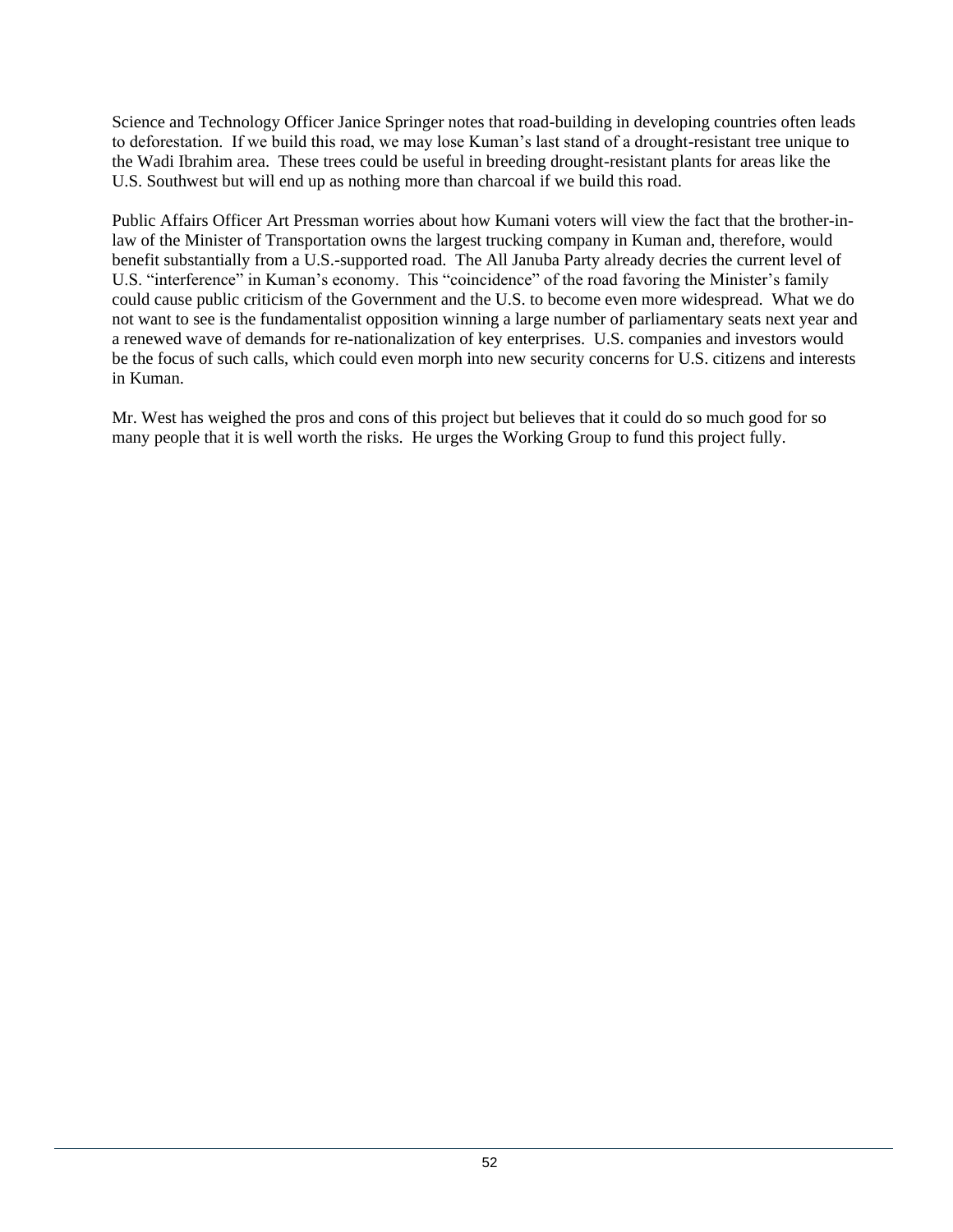Science and Technology Officer Janice Springer notes that road-building in developing countries often leads to deforestation. If we build this road, we may lose Kuman's last stand of a drought-resistant tree unique to the Wadi Ibrahim area. These trees could be useful in breeding drought-resistant plants for areas like the U.S. Southwest but will end up as nothing more than charcoal if we build this road.

Public Affairs Officer Art Pressman worries about how Kumani voters will view the fact that the brother-inlaw of the Minister of Transportation owns the largest trucking company in Kuman and, therefore, would benefit substantially from a U.S.-supported road. The All Januba Party already decries the current level of U.S. "interference" in Kuman's economy. This "coincidence" of the road favoring the Minister's family could cause public criticism of the Government and the U.S. to become even more widespread. What we do not want to see is the fundamentalist opposition winning a large number of parliamentary seats next year and a renewed wave of demands for re-nationalization of key enterprises. U.S. companies and investors would be the focus of such calls, which could even morph into new security concerns for U.S. citizens and interests in Kuman.

Mr. West has weighed the pros and cons of this project but believes that it could do so much good for so many people that it is well worth the risks. He urges the Working Group to fund this project fully.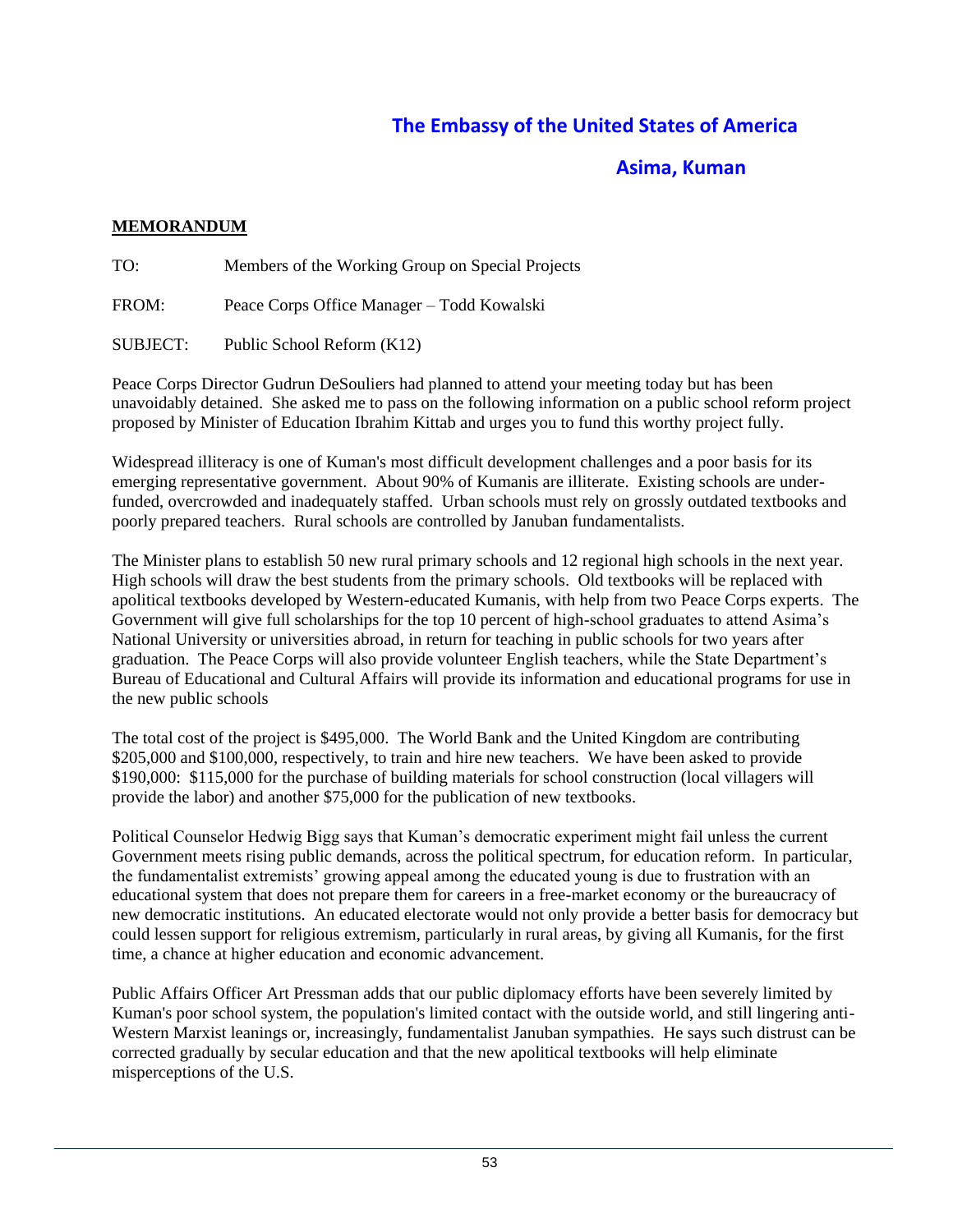## **Asima, Kuman**

## **MEMORANDUM**

TO: Members of the Working Group on Special Projects

FROM: Peace Corps Office Manager – Todd Kowalski

SUBJECT: Public School Reform (K12)

Peace Corps Director Gudrun DeSouliers had planned to attend your meeting today but has been unavoidably detained. She asked me to pass on the following information on a public school reform project proposed by Minister of Education Ibrahim Kittab and urges you to fund this worthy project fully.

Widespread illiteracy is one of Kuman's most difficult development challenges and a poor basis for its emerging representative government. About 90% of Kumanis are illiterate. Existing schools are underfunded, overcrowded and inadequately staffed. Urban schools must rely on grossly outdated textbooks and poorly prepared teachers. Rural schools are controlled by Januban fundamentalists.

The Minister plans to establish 50 new rural primary schools and 12 regional high schools in the next year. High schools will draw the best students from the primary schools. Old textbooks will be replaced with apolitical textbooks developed by Western-educated Kumanis, with help from two Peace Corps experts. The Government will give full scholarships for the top 10 percent of high-school graduates to attend Asima's National University or universities abroad, in return for teaching in public schools for two years after graduation. The Peace Corps will also provide volunteer English teachers, while the State Department's Bureau of Educational and Cultural Affairs will provide its information and educational programs for use in the new public schools

The total cost of the project is \$495,000. The World Bank and the United Kingdom are contributing \$205,000 and \$100,000, respectively, to train and hire new teachers. We have been asked to provide \$190,000: \$115,000 for the purchase of building materials for school construction (local villagers will provide the labor) and another \$75,000 for the publication of new textbooks.

Political Counselor Hedwig Bigg says that Kuman's democratic experiment might fail unless the current Government meets rising public demands, across the political spectrum, for education reform. In particular, the fundamentalist extremists' growing appeal among the educated young is due to frustration with an educational system that does not prepare them for careers in a free-market economy or the bureaucracy of new democratic institutions. An educated electorate would not only provide a better basis for democracy but could lessen support for religious extremism, particularly in rural areas, by giving all Kumanis, for the first time, a chance at higher education and economic advancement.

Public Affairs Officer Art Pressman adds that our public diplomacy efforts have been severely limited by Kuman's poor school system, the population's limited contact with the outside world, and still lingering anti-Western Marxist leanings or, increasingly, fundamentalist Januban sympathies. He says such distrust can be corrected gradually by secular education and that the new apolitical textbooks will help eliminate misperceptions of the U.S.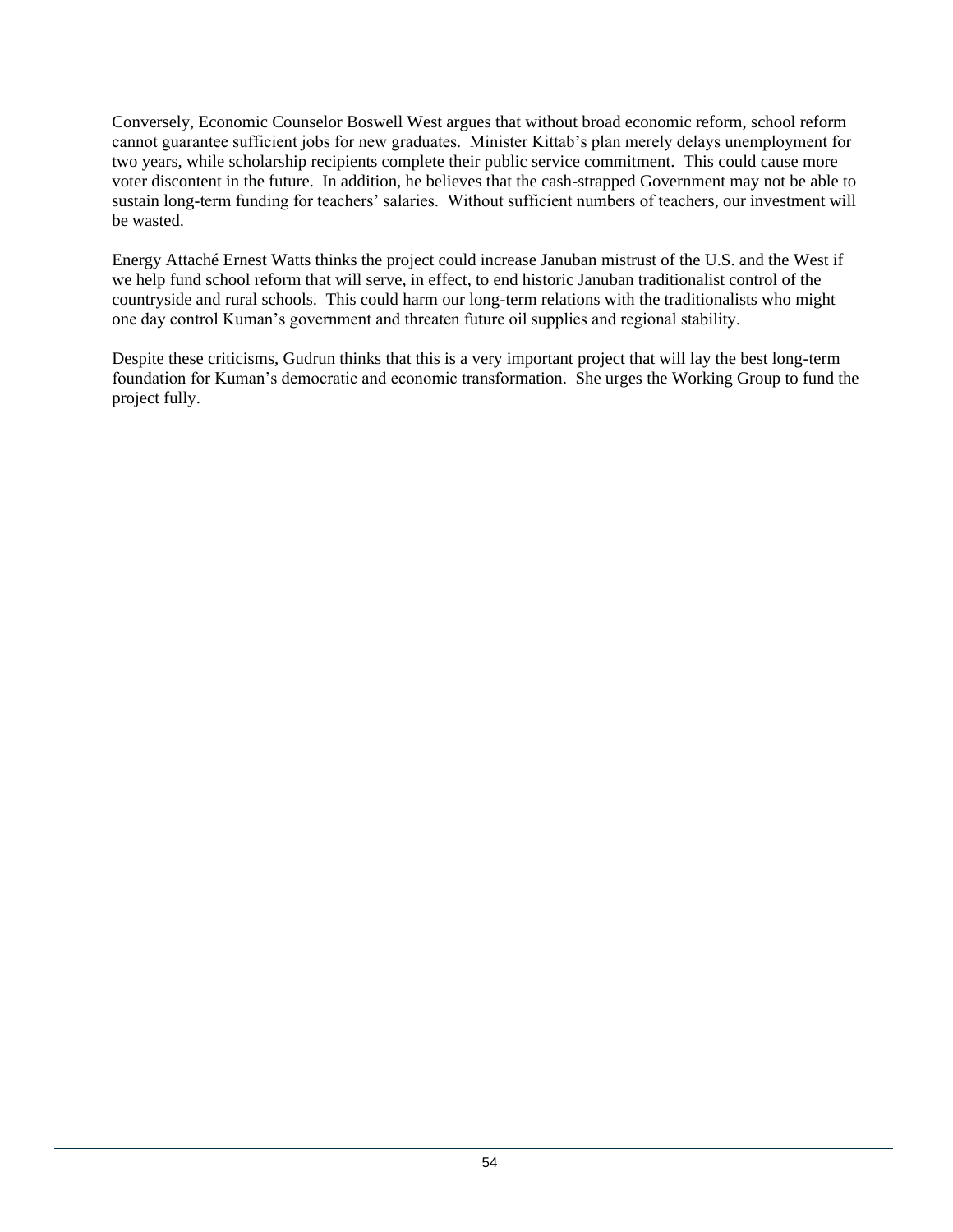Conversely, Economic Counselor Boswell West argues that without broad economic reform, school reform cannot guarantee sufficient jobs for new graduates. Minister Kittab's plan merely delays unemployment for two years, while scholarship recipients complete their public service commitment. This could cause more voter discontent in the future. In addition, he believes that the cash-strapped Government may not be able to sustain long-term funding for teachers' salaries. Without sufficient numbers of teachers, our investment will be wasted.

Energy Attaché Ernest Watts thinks the project could increase Januban mistrust of the U.S. and the West if we help fund school reform that will serve, in effect, to end historic Januban traditionalist control of the countryside and rural schools. This could harm our long-term relations with the traditionalists who might one day control Kuman's government and threaten future oil supplies and regional stability.

Despite these criticisms, Gudrun thinks that this is a very important project that will lay the best long-term foundation for Kuman's democratic and economic transformation. She urges the Working Group to fund the project fully.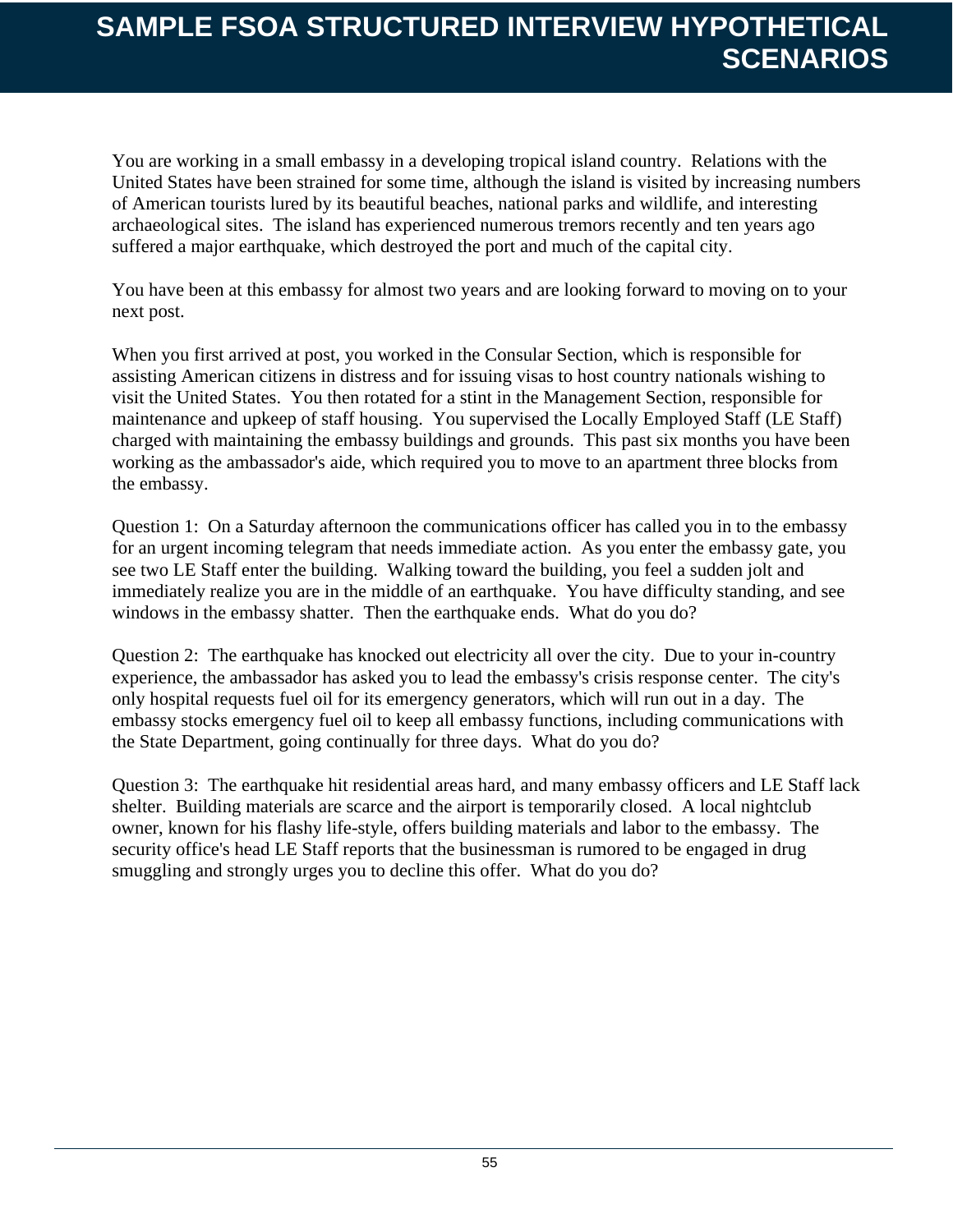# **SAMPLE FSOA STRUCTURED INTERVIEW HYPOTHETICAL SCENARIOS**

**STRUCTURED INTERVIEW HYPOTHETICAL SCENARIOS** You are working in a small embassy in a developing tropical island country. Relations with the United States have been strained for some time, although the island is visited by increasing numbers of American tourists lured by its beautiful beaches, national parks and wildlife, and interesting archaeological sites. The island has experienced numerous tremors recently and ten years ago suffered a major earthquake, which destroyed the port and much of the capital city.

You have been at this embassy for almost two years and are looking forward to moving on to your next post.

When you first arrived at post, you worked in the Consular Section, which is responsible for assisting American citizens in distress and for issuing visas to host country nationals wishing to visit the United States. You then rotated for a stint in the Management Section, responsible for maintenance and upkeep of staff housing. You supervised the Locally Employed Staff (LE Staff) charged with maintaining the embassy buildings and grounds. This past six months you have been working as the ambassador's aide, which required you to move to an apartment three blocks from the embassy.

Question 1: On a Saturday afternoon the communications officer has called you in to the embassy for an urgent incoming telegram that needs immediate action. As you enter the embassy gate, you see two LE Staff enter the building. Walking toward the building, you feel a sudden jolt and immediately realize you are in the middle of an earthquake. You have difficulty standing, and see windows in the embassy shatter. Then the earthquake ends. What do you do?

Question 2: The earthquake has knocked out electricity all over the city. Due to your in-country experience, the ambassador has asked you to lead the embassy's crisis response center. The city's only hospital requests fuel oil for its emergency generators, which will run out in a day. The embassy stocks emergency fuel oil to keep all embassy functions, including communications with the State Department, going continually for three days. What do you do?

Question 3: The earthquake hit residential areas hard, and many embassy officers and LE Staff lack shelter. Building materials are scarce and the airport is temporarily closed. A local nightclub owner, known for his flashy life-style, offers building materials and labor to the embassy. The security office's head LE Staff reports that the businessman is rumored to be engaged in drug smuggling and strongly urges you to decline this offer. What do you do?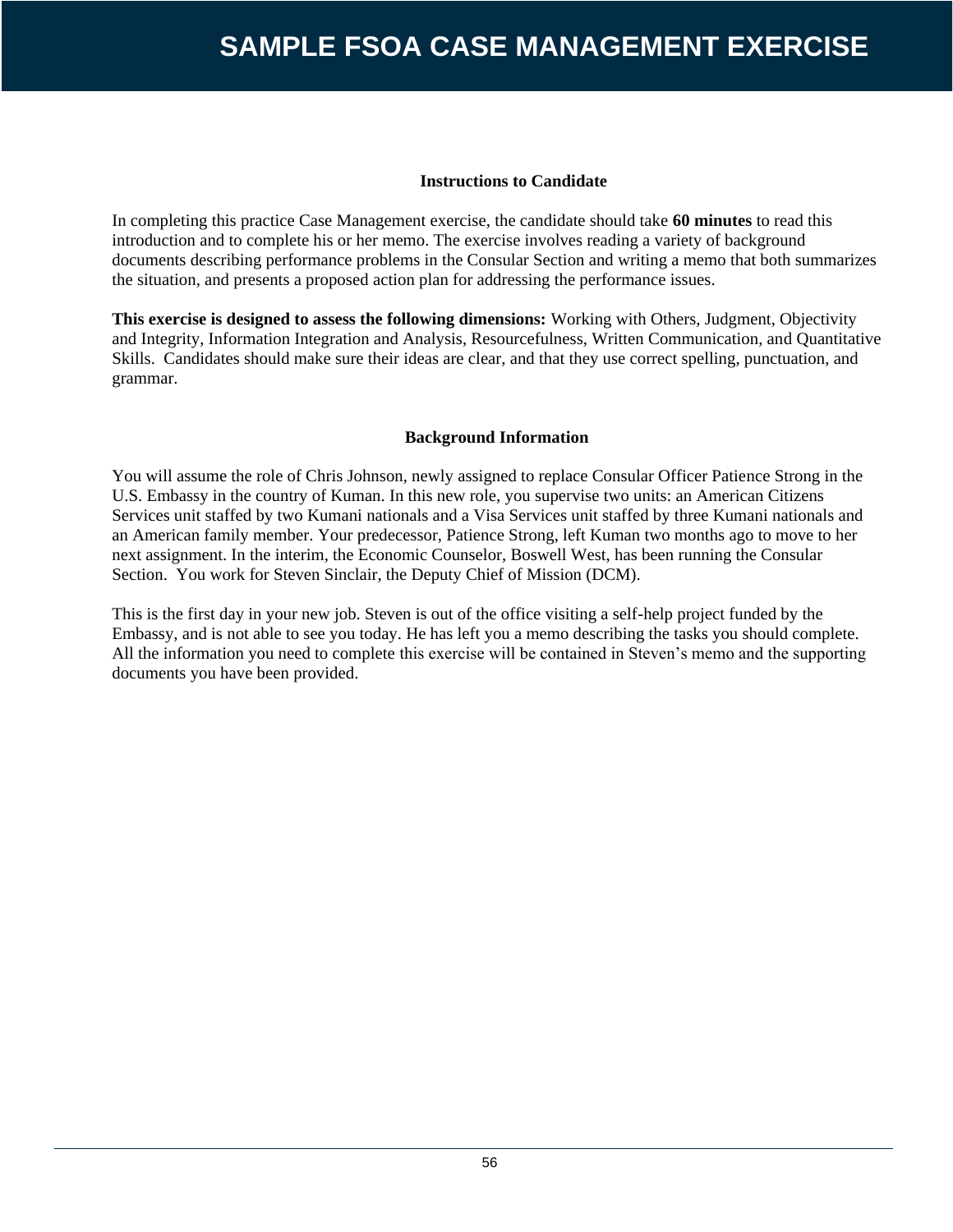# **SAMPLE FSOA CASE MANAGEMENT EXERCISE**

#### **Instructions to Candidate**

In completing this practice Case Management exercise, the candidate should take **60 minutes** to read this introduction and to complete his or her memo. The exercise involves reading a variety of background documents describing performance problems in the Consular Section and writing a memo that both summarizes the situation, and presents a proposed action plan for addressing the performance issues.

**This exercise is designed to assess the following dimensions:** Working with Others, Judgment, Objectivity and Integrity, Information Integration and Analysis, Resourcefulness, Written Communication, and Quantitative Skills. Candidates should make sure their ideas are clear, and that they use correct spelling, punctuation, and grammar.

## **Background Information**

You will assume the role of Chris Johnson, newly assigned to replace Consular Officer Patience Strong in the U.S. Embassy in the country of Kuman. In this new role, you supervise two units: an American Citizens Services unit staffed by two Kumani nationals and a Visa Services unit staffed by three Kumani nationals and an American family member. Your predecessor, Patience Strong, left Kuman two months ago to move to her next assignment. In the interim, the Economic Counselor, Boswell West, has been running the Consular Section. You work for Steven Sinclair, the Deputy Chief of Mission (DCM).

This is the first day in your new job. Steven is out of the office visiting a self-help project funded by the Embassy, and is not able to see you today. He has left you a memo describing the tasks you should complete. All the information you need to complete this exercise will be contained in Steven's memo and the supporting documents you have been provided.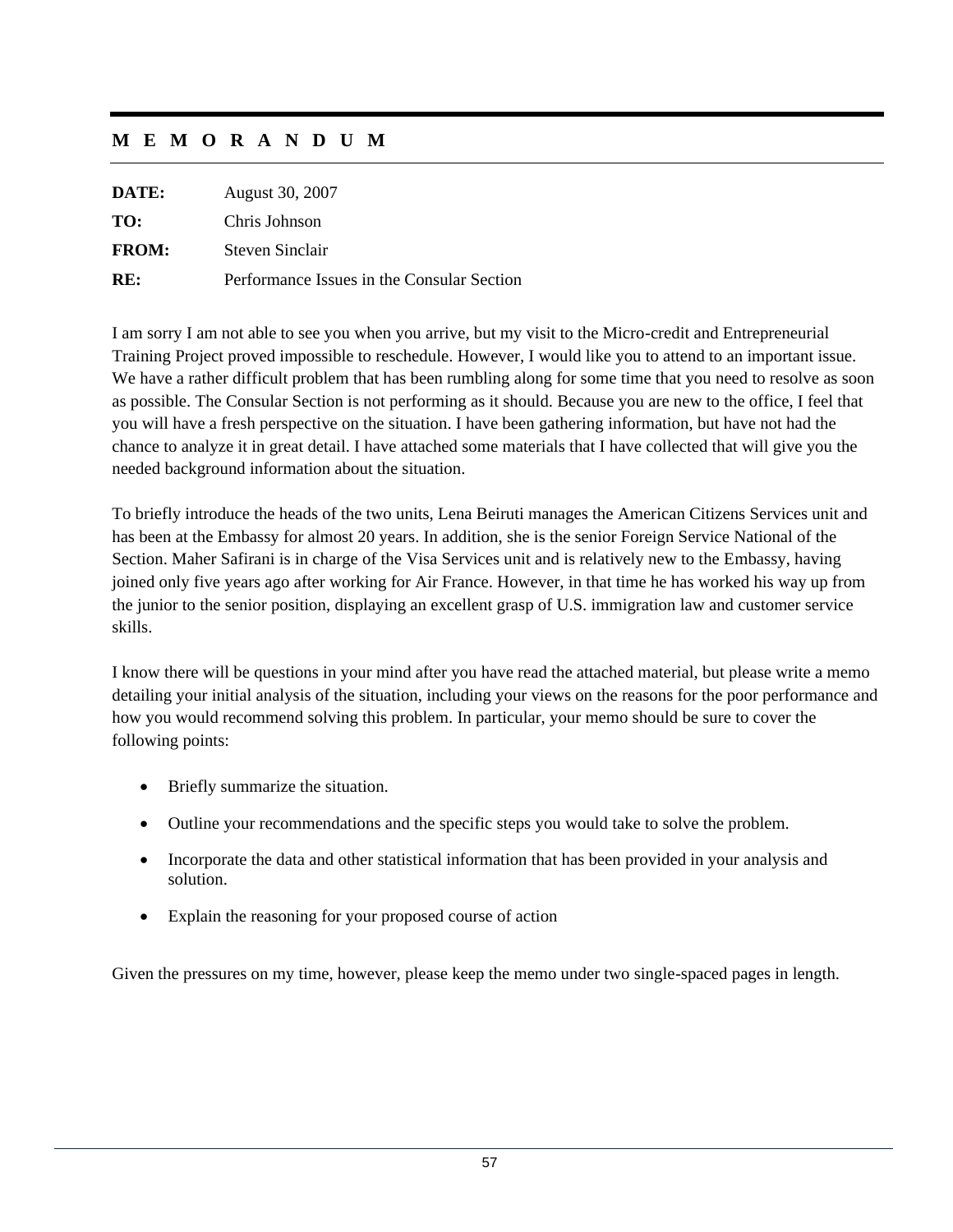## **M E M O R A N D U M**

| DATE:        | August 30, 2007                            |
|--------------|--------------------------------------------|
| TO:          | Chris Johnson                              |
| <b>FROM:</b> | Steven Sinclair                            |
| RE:          | Performance Issues in the Consular Section |

I am sorry I am not able to see you when you arrive, but my visit to the Micro-credit and Entrepreneurial Training Project proved impossible to reschedule. However, I would like you to attend to an important issue. We have a rather difficult problem that has been rumbling along for some time that you need to resolve as soon as possible. The Consular Section is not performing as it should. Because you are new to the office, I feel that you will have a fresh perspective on the situation. I have been gathering information, but have not had the chance to analyze it in great detail. I have attached some materials that I have collected that will give you the needed background information about the situation.

To briefly introduce the heads of the two units, Lena Beiruti manages the American Citizens Services unit and has been at the Embassy for almost 20 years. In addition, she is the senior Foreign Service National of the Section. Maher Safirani is in charge of the Visa Services unit and is relatively new to the Embassy, having joined only five years ago after working for Air France. However, in that time he has worked his way up from the junior to the senior position, displaying an excellent grasp of U.S. immigration law and customer service skills.

I know there will be questions in your mind after you have read the attached material, but please write a memo detailing your initial analysis of the situation, including your views on the reasons for the poor performance and how you would recommend solving this problem. In particular, your memo should be sure to cover the following points:

- Briefly summarize the situation.
- Outline your recommendations and the specific steps you would take to solve the problem.
- Incorporate the data and other statistical information that has been provided in your analysis and solution.
- Explain the reasoning for your proposed course of action

Given the pressures on my time, however, please keep the memo under two single-spaced pages in length.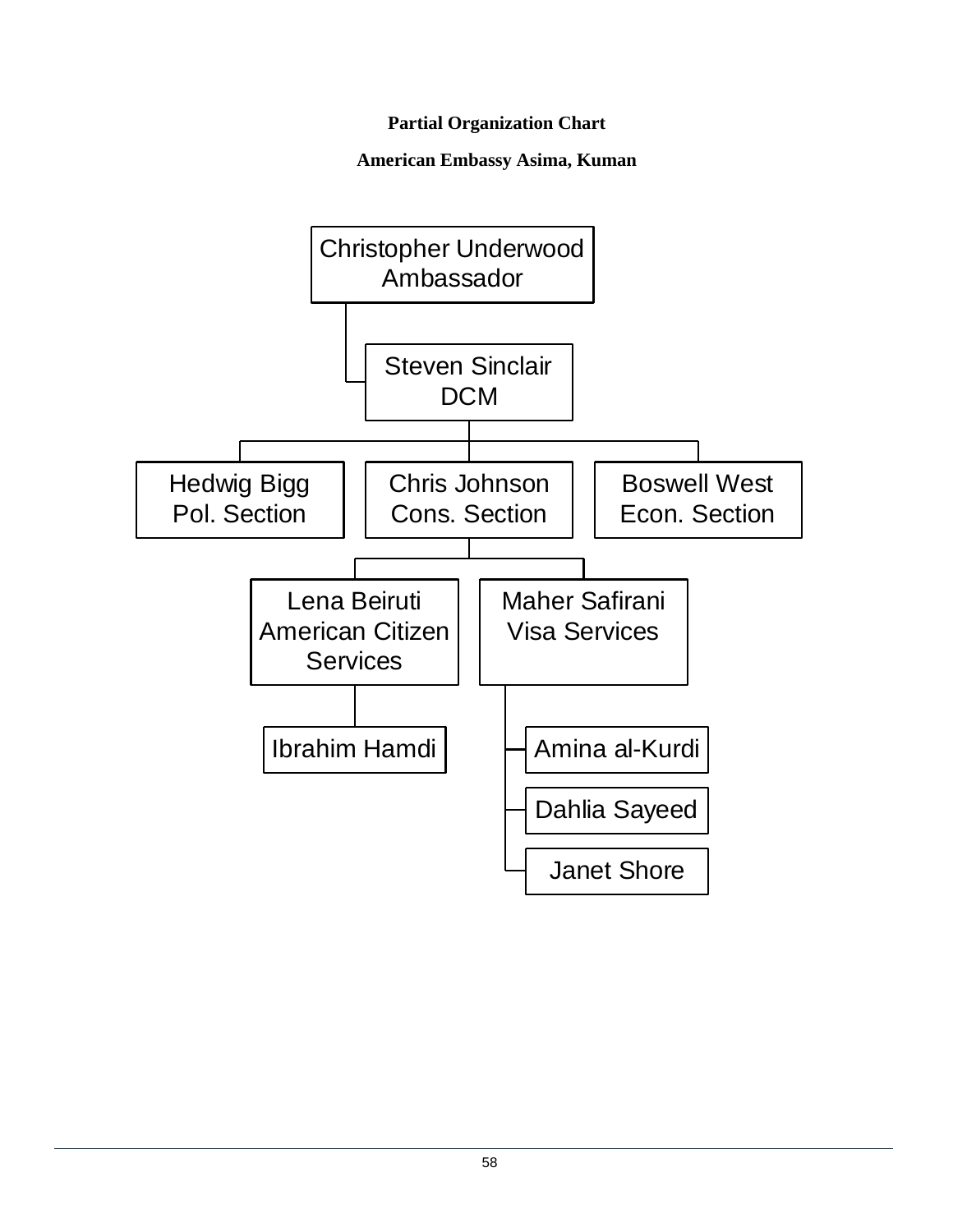**Partial Organization Chart**

**American Embassy Asima, Kuman**

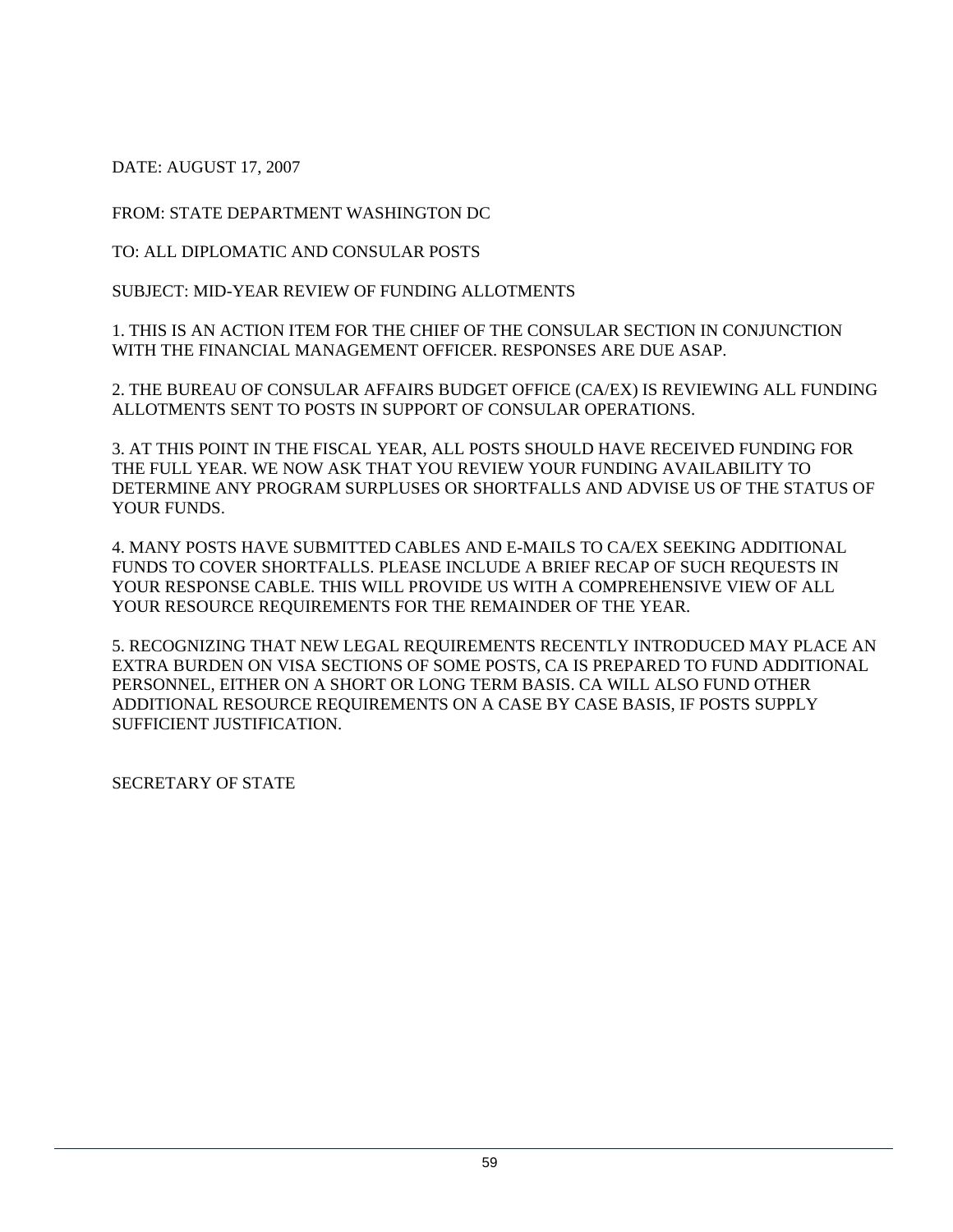DATE: AUGUST 17, 2007

FROM: STATE DEPARTMENT WASHINGTON DC

TO: ALL DIPLOMATIC AND CONSULAR POSTS

SUBJECT: MID-YEAR REVIEW OF FUNDING ALLOTMENTS

1. THIS IS AN ACTION ITEM FOR THE CHIEF OF THE CONSULAR SECTION IN CONJUNCTION WITH THE FINANCIAL MANAGEMENT OFFICER. RESPONSES ARE DUE ASAP.

2. THE BUREAU OF CONSULAR AFFAIRS BUDGET OFFICE (CA/EX) IS REVIEWING ALL FUNDING ALLOTMENTS SENT TO POSTS IN SUPPORT OF CONSULAR OPERATIONS.

3. AT THIS POINT IN THE FISCAL YEAR, ALL POSTS SHOULD HAVE RECEIVED FUNDING FOR THE FULL YEAR. WE NOW ASK THAT YOU REVIEW YOUR FUNDING AVAILABILITY TO DETERMINE ANY PROGRAM SURPLUSES OR SHORTFALLS AND ADVISE US OF THE STATUS OF YOUR FUNDS.

4. MANY POSTS HAVE SUBMITTED CABLES AND E-MAILS TO CA/EX SEEKING ADDITIONAL FUNDS TO COVER SHORTFALLS. PLEASE INCLUDE A BRIEF RECAP OF SUCH REQUESTS IN YOUR RESPONSE CABLE. THIS WILL PROVIDE US WITH A COMPREHENSIVE VIEW OF ALL YOUR RESOURCE REQUIREMENTS FOR THE REMAINDER OF THE YEAR.

5. RECOGNIZING THAT NEW LEGAL REQUIREMENTS RECENTLY INTRODUCED MAY PLACE AN EXTRA BURDEN ON VISA SECTIONS OF SOME POSTS, CA IS PREPARED TO FUND ADDITIONAL PERSONNEL, EITHER ON A SHORT OR LONG TERM BASIS. CA WILL ALSO FUND OTHER ADDITIONAL RESOURCE REQUIREMENTS ON A CASE BY CASE BASIS, IF POSTS SUPPLY SUFFICIENT JUSTIFICATION.

SECRETARY OF STATE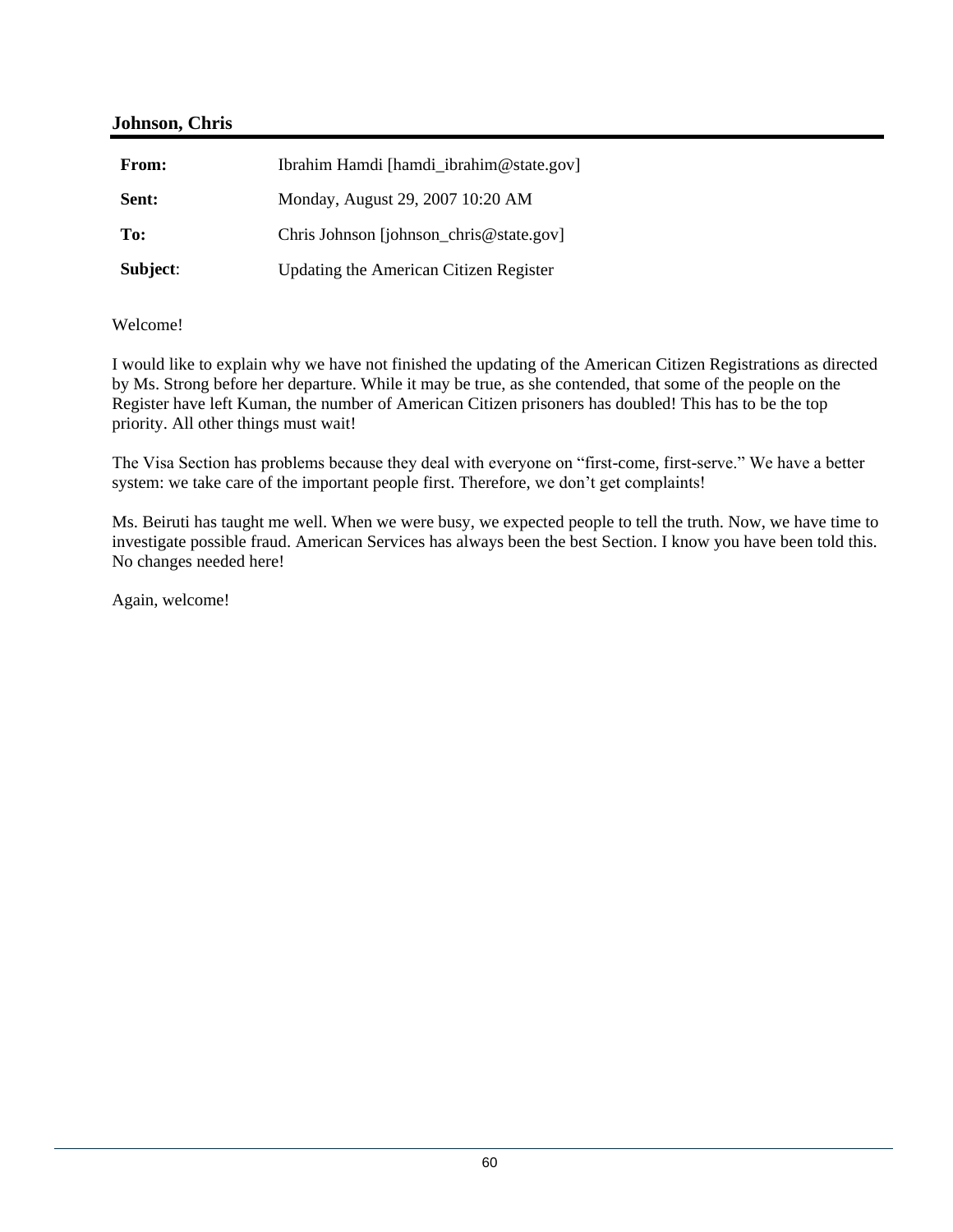## **Johnson, Chris**

| <b>From:</b> | Ibrahim Hamdi [hamdi_ibrahim@state.gov]       |  |  |
|--------------|-----------------------------------------------|--|--|
| Sent:        | Monday, August 29, 2007 10:20 AM              |  |  |
| To:          | Chris Johnson [johnson_chris@state.gov]       |  |  |
| Subject:     | <b>Updating the American Citizen Register</b> |  |  |

#### Welcome!

I would like to explain why we have not finished the updating of the American Citizen Registrations as directed by Ms. Strong before her departure. While it may be true, as she contended, that some of the people on the Register have left Kuman, the number of American Citizen prisoners has doubled! This has to be the top priority. All other things must wait!

The Visa Section has problems because they deal with everyone on "first-come, first-serve." We have a better system: we take care of the important people first. Therefore, we don't get complaints!

Ms. Beiruti has taught me well. When we were busy, we expected people to tell the truth. Now, we have time to investigate possible fraud. American Services has always been the best Section. I know you have been told this. No changes needed here!

Again, welcome!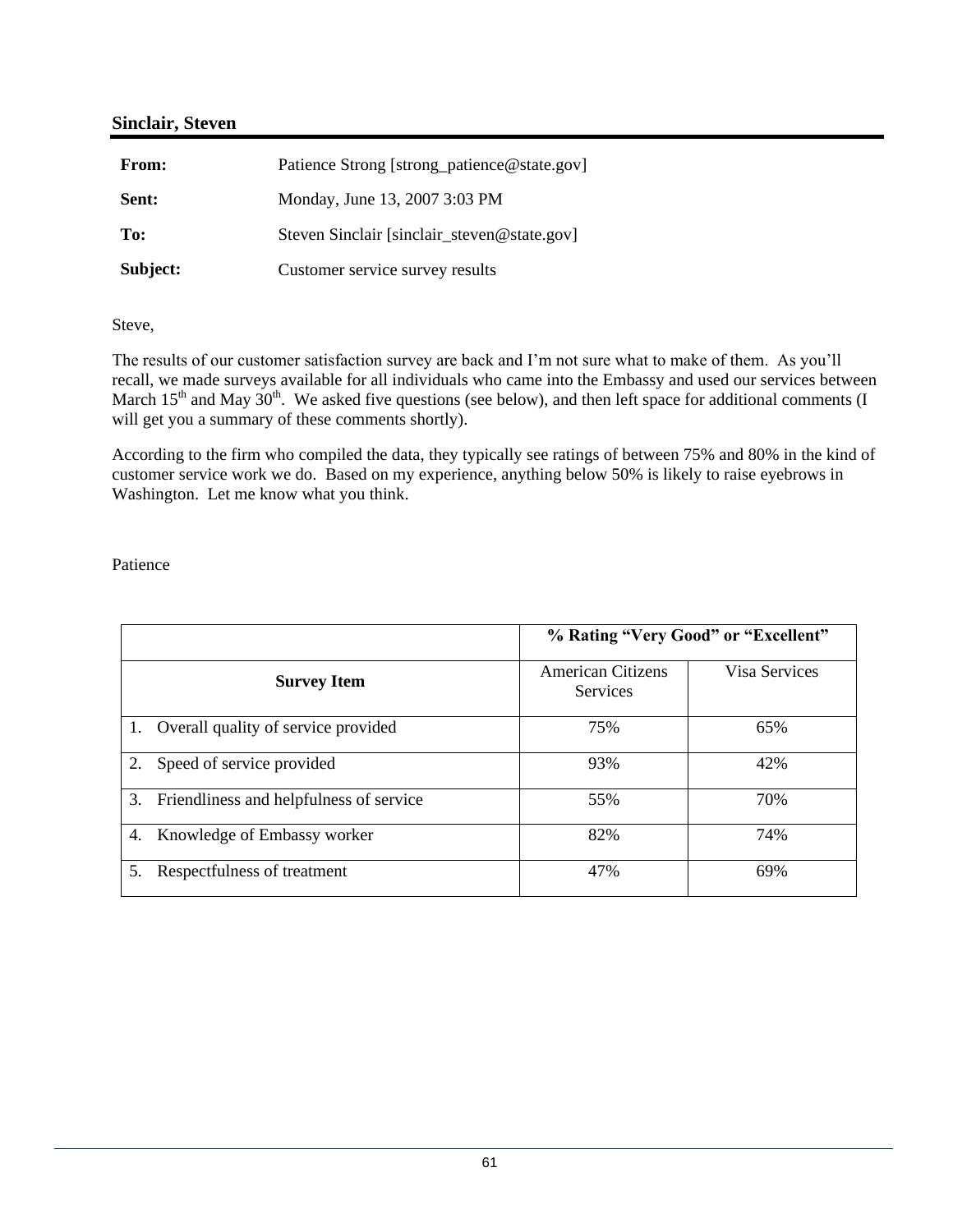| From:    | Patience Strong [strong_patience@state.gov] |  |  |
|----------|---------------------------------------------|--|--|
| Sent:    | Monday, June 13, 2007 3:03 PM               |  |  |
| To:      | Steven Sinclair [sinclair_steven@state.gov] |  |  |
| Subject: | Customer service survey results             |  |  |

Steve,

The results of our customer satisfaction survey are back and I'm not sure what to make of them. As you'll recall, we made surveys available for all individuals who came into the Embassy and used our services between March 15<sup>th</sup> and May 30<sup>th</sup>. We asked five questions (see below), and then left space for additional comments (I will get you a summary of these comments shortly).

According to the firm who compiled the data, they typically see ratings of between 75% and 80% in the kind of customer service work we do. Based on my experience, anything below 50% is likely to raise eyebrows in Washington. Let me know what you think.

Patience

|    |                                         |                                             | % Rating "Very Good" or "Excellent" |  |  |
|----|-----------------------------------------|---------------------------------------------|-------------------------------------|--|--|
|    | <b>Survey Item</b>                      | <b>American Citizens</b><br><b>Services</b> | Visa Services                       |  |  |
|    | 1. Overall quality of service provided  | 75%                                         | 65%                                 |  |  |
| 2. | Speed of service provided               | 93%                                         | 42%                                 |  |  |
| 3. | Friendliness and helpfulness of service | 55%                                         | 70%                                 |  |  |
| 4. | Knowledge of Embassy worker             | 82%                                         | 74%                                 |  |  |
| 5. | Respectfulness of treatment             | 47%                                         | 69%                                 |  |  |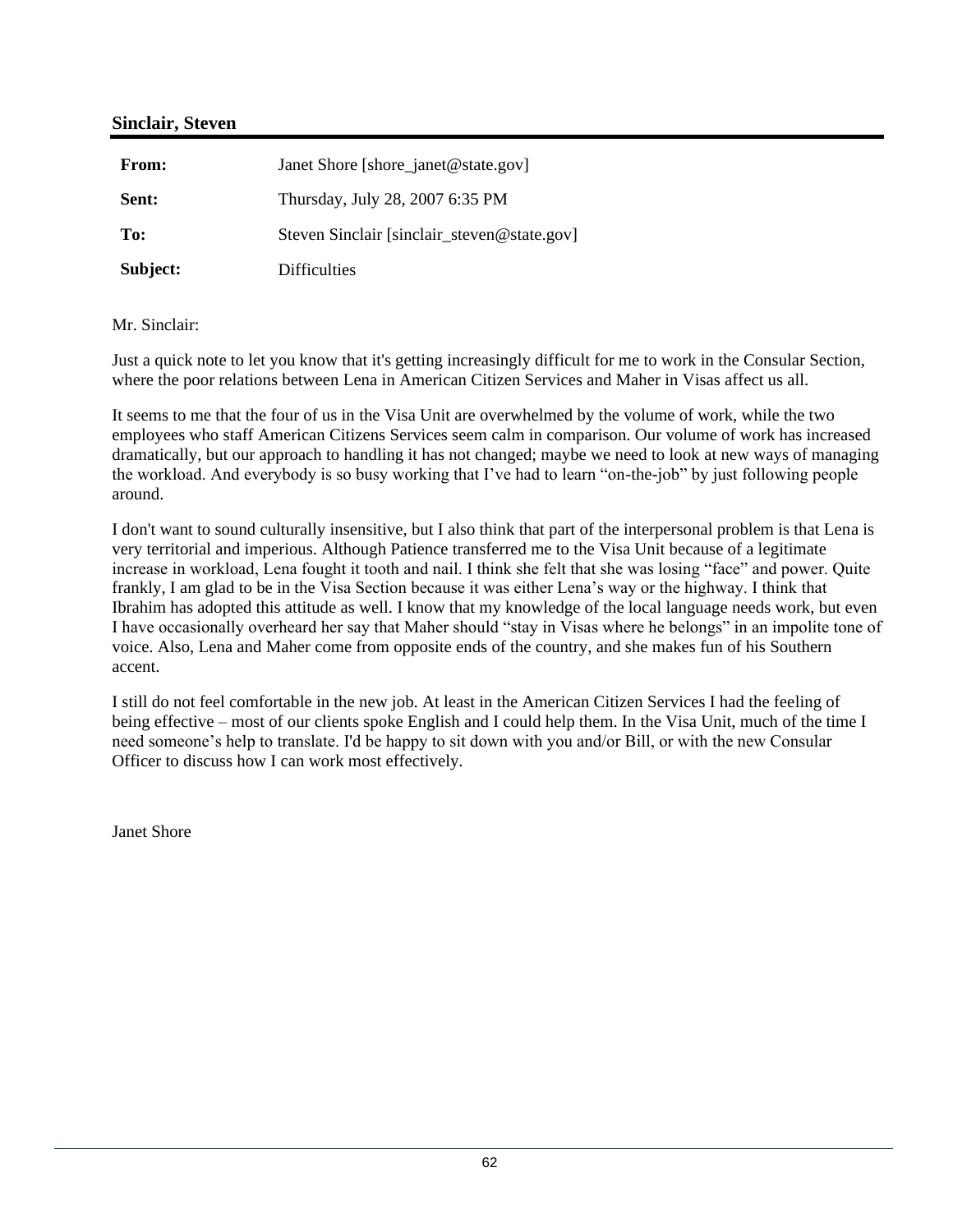| <b>From:</b> | Janet Shore [shore_janet@state.gov]         |  |  |  |
|--------------|---------------------------------------------|--|--|--|
| Sent:        | Thursday, July 28, 2007 6:35 PM             |  |  |  |
| To:          | Steven Sinclair [sinclair_steven@state.gov] |  |  |  |
| Subject:     | <b>Difficulties</b>                         |  |  |  |

Mr. Sinclair:

Just a quick note to let you know that it's getting increasingly difficult for me to work in the Consular Section, where the poor relations between Lena in American Citizen Services and Maher in Visas affect us all.

It seems to me that the four of us in the Visa Unit are overwhelmed by the volume of work, while the two employees who staff American Citizens Services seem calm in comparison. Our volume of work has increased dramatically, but our approach to handling it has not changed; maybe we need to look at new ways of managing the workload. And everybody is so busy working that I've had to learn "on-the-job" by just following people around.

I don't want to sound culturally insensitive, but I also think that part of the interpersonal problem is that Lena is very territorial and imperious. Although Patience transferred me to the Visa Unit because of a legitimate increase in workload, Lena fought it tooth and nail. I think she felt that she was losing "face" and power. Quite frankly, I am glad to be in the Visa Section because it was either Lena's way or the highway. I think that Ibrahim has adopted this attitude as well. I know that my knowledge of the local language needs work, but even I have occasionally overheard her say that Maher should "stay in Visas where he belongs" in an impolite tone of voice. Also, Lena and Maher come from opposite ends of the country, and she makes fun of his Southern accent.

I still do not feel comfortable in the new job. At least in the American Citizen Services I had the feeling of being effective – most of our clients spoke English and I could help them. In the Visa Unit, much of the time I need someone's help to translate. I'd be happy to sit down with you and/or Bill, or with the new Consular Officer to discuss how I can work most effectively.

Janet Shore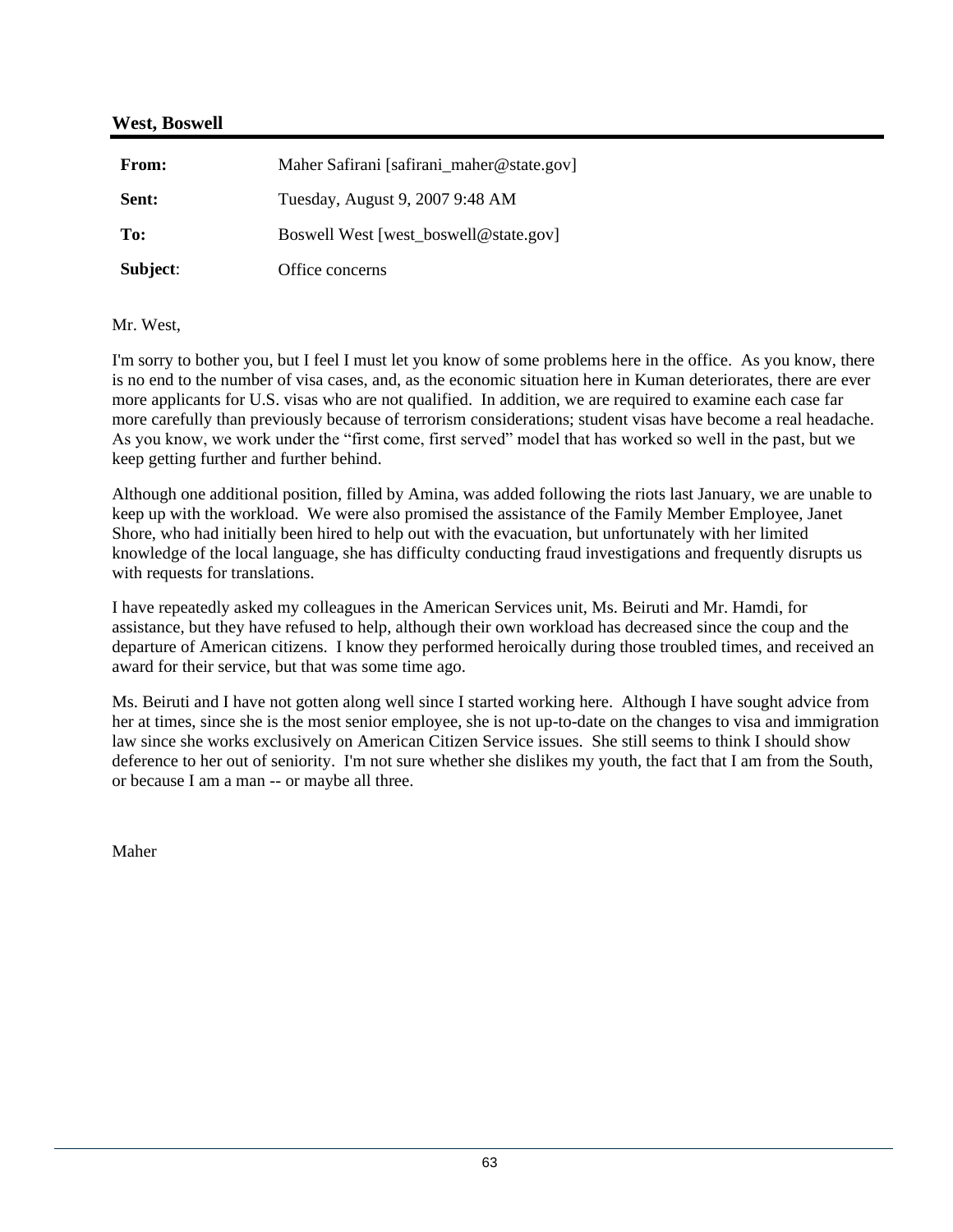## **West, Boswell**

| <b>From:</b> | Maher Safirani [safirani_maher@state.gov] |
|--------------|-------------------------------------------|
| Sent:        | Tuesday, August 9, 2007 9:48 AM           |
| To:          | Boswell West [west_boswell@state.gov]     |
| Subject:     | Office concerns                           |

Mr. West,

I'm sorry to bother you, but I feel I must let you know of some problems here in the office. As you know, there is no end to the number of visa cases, and, as the economic situation here in Kuman deteriorates, there are ever more applicants for U.S. visas who are not qualified. In addition, we are required to examine each case far more carefully than previously because of terrorism considerations; student visas have become a real headache. As you know, we work under the "first come, first served" model that has worked so well in the past, but we keep getting further and further behind.

Although one additional position, filled by Amina, was added following the riots last January, we are unable to keep up with the workload. We were also promised the assistance of the Family Member Employee, Janet Shore, who had initially been hired to help out with the evacuation, but unfortunately with her limited knowledge of the local language, she has difficulty conducting fraud investigations and frequently disrupts us with requests for translations.

I have repeatedly asked my colleagues in the American Services unit, Ms. Beiruti and Mr. Hamdi, for assistance, but they have refused to help, although their own workload has decreased since the coup and the departure of American citizens. I know they performed heroically during those troubled times, and received an award for their service, but that was some time ago.

Ms. Beiruti and I have not gotten along well since I started working here. Although I have sought advice from her at times, since she is the most senior employee, she is not up-to-date on the changes to visa and immigration law since she works exclusively on American Citizen Service issues. She still seems to think I should show deference to her out of seniority. I'm not sure whether she dislikes my youth, the fact that I am from the South, or because I am a man -- or maybe all three.

Maher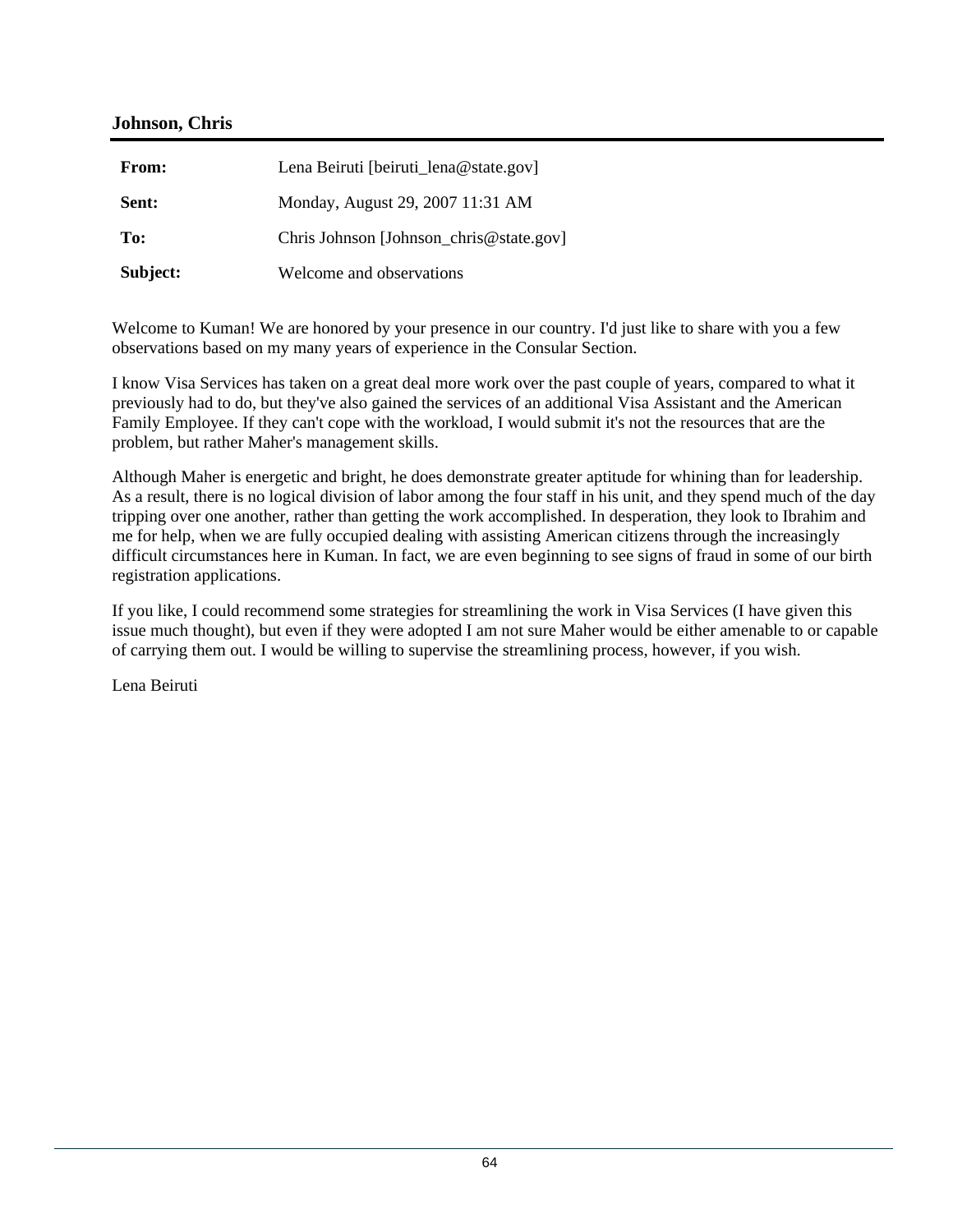## **Johnson, Chris**

| <b>From:</b> | Lena Beiruti [beiruti_lena@state.gov]   |  |  |
|--------------|-----------------------------------------|--|--|
| Sent:        | Monday, August 29, 2007 11:31 AM        |  |  |
| To:          | Chris Johnson [Johnson_chris@state.gov] |  |  |
| Subject:     | Welcome and observations                |  |  |

Welcome to Kuman! We are honored by your presence in our country. I'd just like to share with you a few observations based on my many years of experience in the Consular Section.

I know Visa Services has taken on a great deal more work over the past couple of years, compared to what it previously had to do, but they've also gained the services of an additional Visa Assistant and the American Family Employee. If they can't cope with the workload, I would submit it's not the resources that are the problem, but rather Maher's management skills.

Although Maher is energetic and bright, he does demonstrate greater aptitude for whining than for leadership. As a result, there is no logical division of labor among the four staff in his unit, and they spend much of the day tripping over one another, rather than getting the work accomplished. In desperation, they look to Ibrahim and me for help, when we are fully occupied dealing with assisting American citizens through the increasingly difficult circumstances here in Kuman. In fact, we are even beginning to see signs of fraud in some of our birth registration applications.

If you like, I could recommend some strategies for streamlining the work in Visa Services (I have given this issue much thought), but even if they were adopted I am not sure Maher would be either amenable to or capable of carrying them out. I would be willing to supervise the streamlining process, however, if you wish.

Lena Beiruti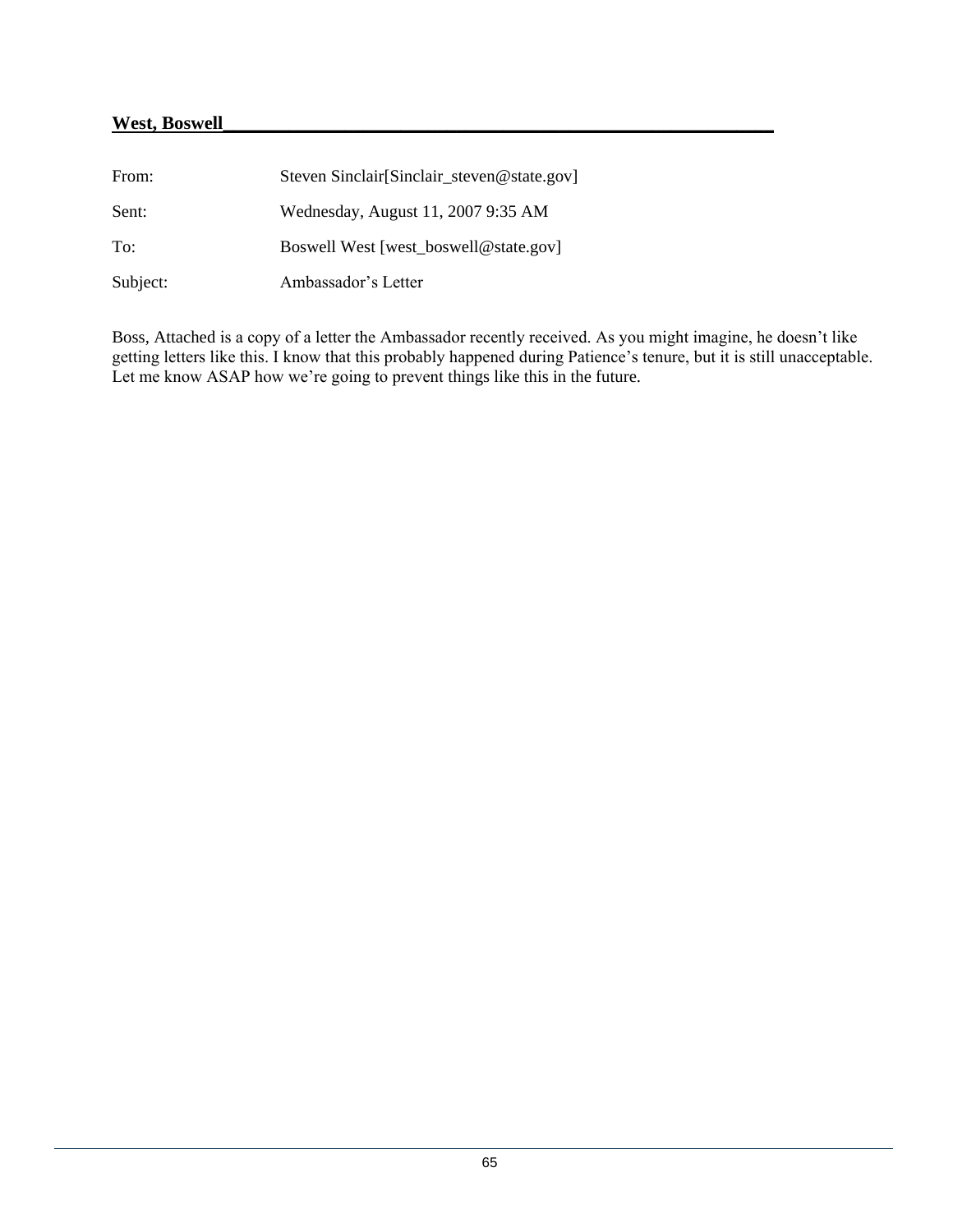## **West, Boswell\_\_\_\_\_\_\_\_\_\_\_\_\_\_\_\_\_\_\_\_\_\_\_\_\_\_\_\_\_\_\_\_\_\_\_\_\_\_\_\_\_\_\_\_\_\_\_\_\_\_\_\_\_\_\_\_\_\_\_**

| From:    | Steven Sinclair[Sinclair_steven@state.gov] |
|----------|--------------------------------------------|
| Sent:    | Wednesday, August 11, 2007 9:35 AM         |
| To:      | Boswell West [west_boswell@state.gov]      |
| Subject: | Ambassador's Letter                        |

Boss, Attached is a copy of a letter the Ambassador recently received. As you might imagine, he doesn't like getting letters like this. I know that this probably happened during Patience's tenure, but it is still unacceptable. Let me know ASAP how we're going to prevent things like this in the future.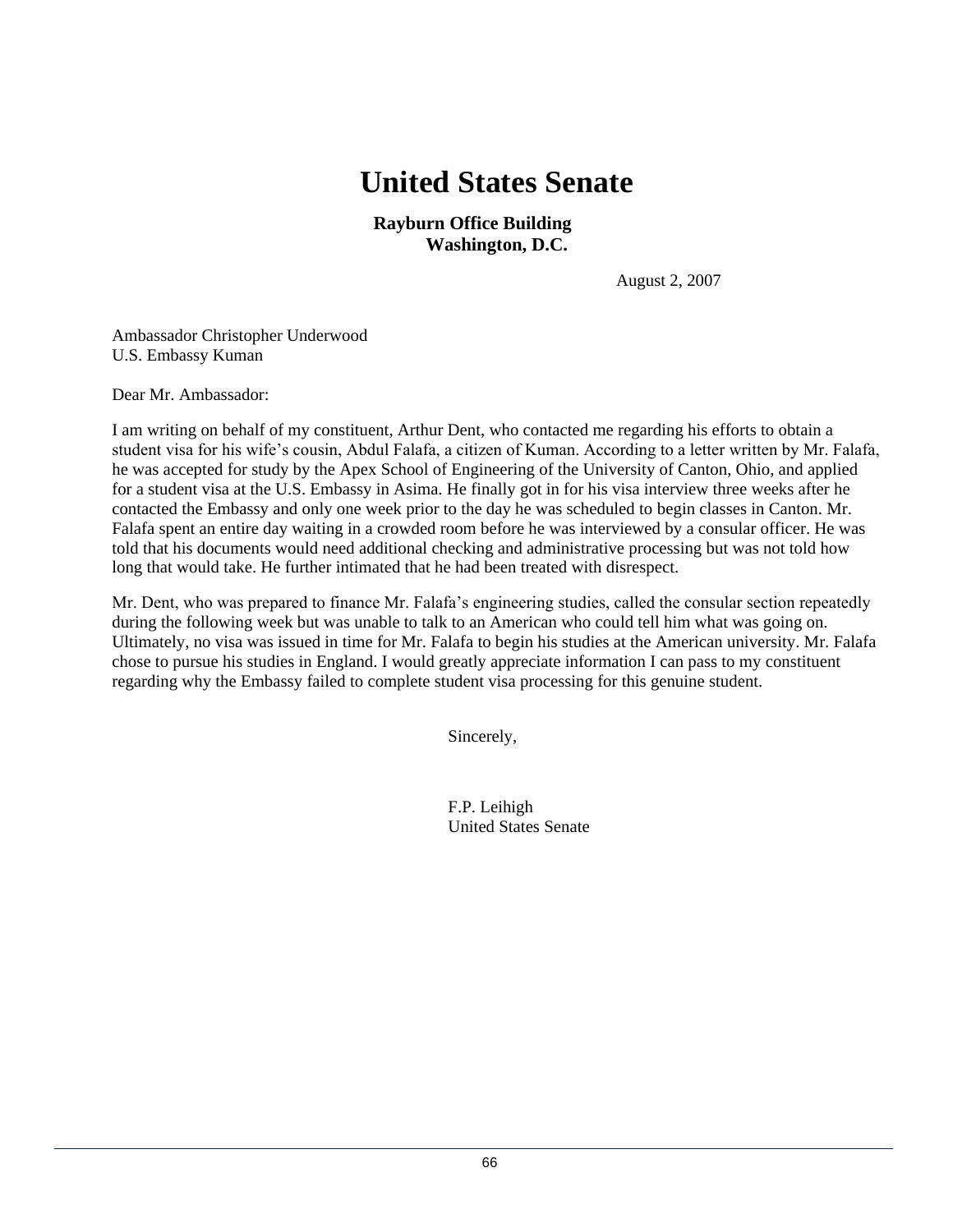# **United States Senate**

 **Rayburn Office Building Washington, D.C.**

August 2, 2007

Ambassador Christopher Underwood U.S. Embassy Kuman

Dear Mr. Ambassador:

I am writing on behalf of my constituent, Arthur Dent, who contacted me regarding his efforts to obtain a student visa for his wife's cousin, Abdul Falafa, a citizen of Kuman. According to a letter written by Mr. Falafa, he was accepted for study by the Apex School of Engineering of the University of Canton, Ohio, and applied for a student visa at the U.S. Embassy in Asima. He finally got in for his visa interview three weeks after he contacted the Embassy and only one week prior to the day he was scheduled to begin classes in Canton. Mr. Falafa spent an entire day waiting in a crowded room before he was interviewed by a consular officer. He was told that his documents would need additional checking and administrative processing but was not told how long that would take. He further intimated that he had been treated with disrespect.

Mr. Dent, who was prepared to finance Mr. Falafa's engineering studies, called the consular section repeatedly during the following week but was unable to talk to an American who could tell him what was going on. Ultimately, no visa was issued in time for Mr. Falafa to begin his studies at the American university. Mr. Falafa chose to pursue his studies in England. I would greatly appreciate information I can pass to my constituent regarding why the Embassy failed to complete student visa processing for this genuine student.

Sincerely,

F.P. Leihigh United States Senate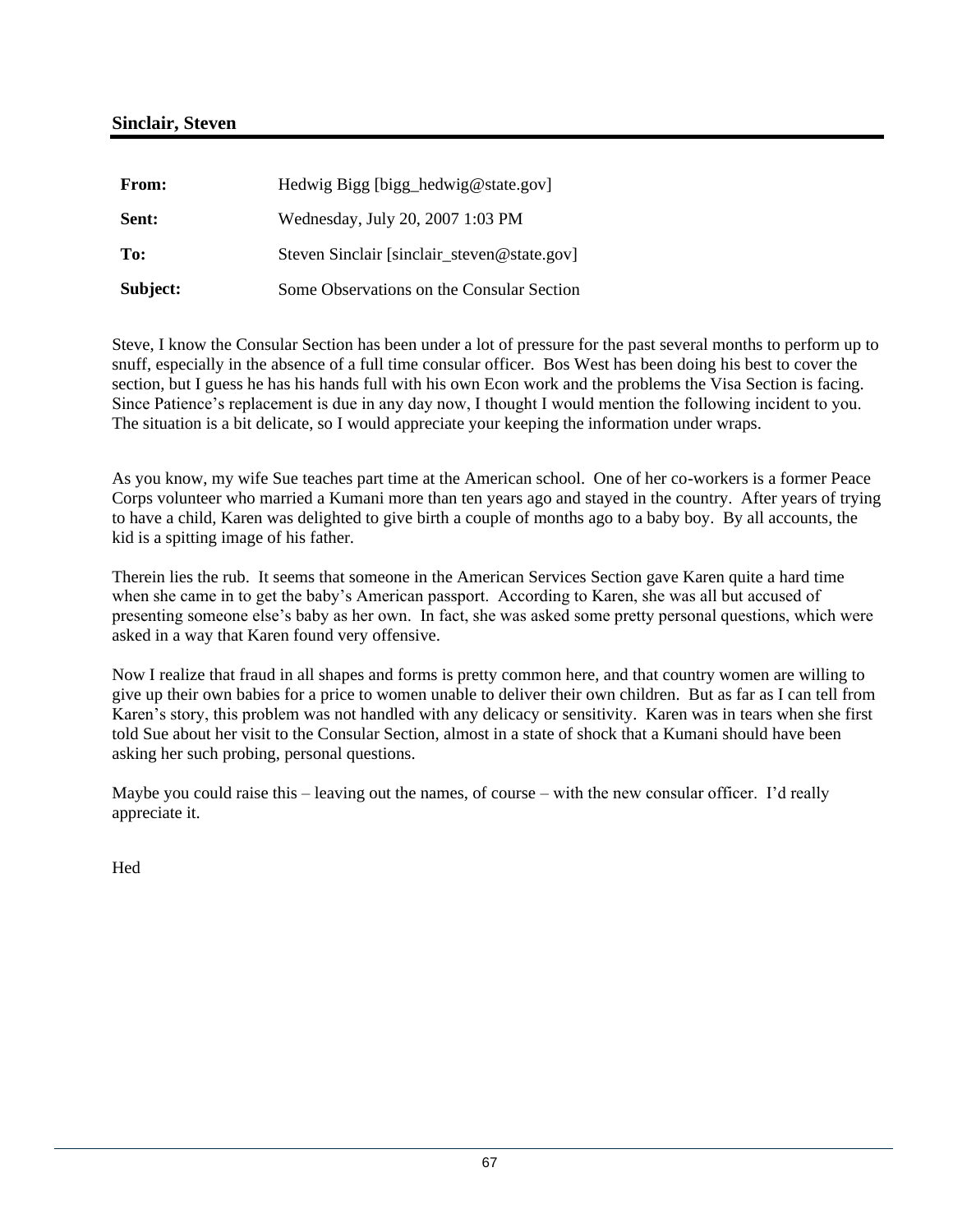| <b>From:</b> | Hedwig Bigg [bigg_hedwig@state.gov]         |  |  |
|--------------|---------------------------------------------|--|--|
| Sent:        | Wednesday, July 20, 2007 1:03 PM            |  |  |
| To:          | Steven Sinclair [sinclair_steven@state.gov] |  |  |
| Subject:     | Some Observations on the Consular Section   |  |  |

Steve, I know the Consular Section has been under a lot of pressure for the past several months to perform up to snuff, especially in the absence of a full time consular officer. Bos West has been doing his best to cover the section, but I guess he has his hands full with his own Econ work and the problems the Visa Section is facing. Since Patience's replacement is due in any day now, I thought I would mention the following incident to you. The situation is a bit delicate, so I would appreciate your keeping the information under wraps.

As you know, my wife Sue teaches part time at the American school. One of her co-workers is a former Peace Corps volunteer who married a Kumani more than ten years ago and stayed in the country. After years of trying to have a child, Karen was delighted to give birth a couple of months ago to a baby boy. By all accounts, the kid is a spitting image of his father.

Therein lies the rub. It seems that someone in the American Services Section gave Karen quite a hard time when she came in to get the baby's American passport. According to Karen, she was all but accused of presenting someone else's baby as her own. In fact, she was asked some pretty personal questions, which were asked in a way that Karen found very offensive.

Now I realize that fraud in all shapes and forms is pretty common here, and that country women are willing to give up their own babies for a price to women unable to deliver their own children. But as far as I can tell from Karen's story, this problem was not handled with any delicacy or sensitivity. Karen was in tears when she first told Sue about her visit to the Consular Section, almost in a state of shock that a Kumani should have been asking her such probing, personal questions.

Maybe you could raise this – leaving out the names, of course – with the new consular officer. I'd really appreciate it.

Hed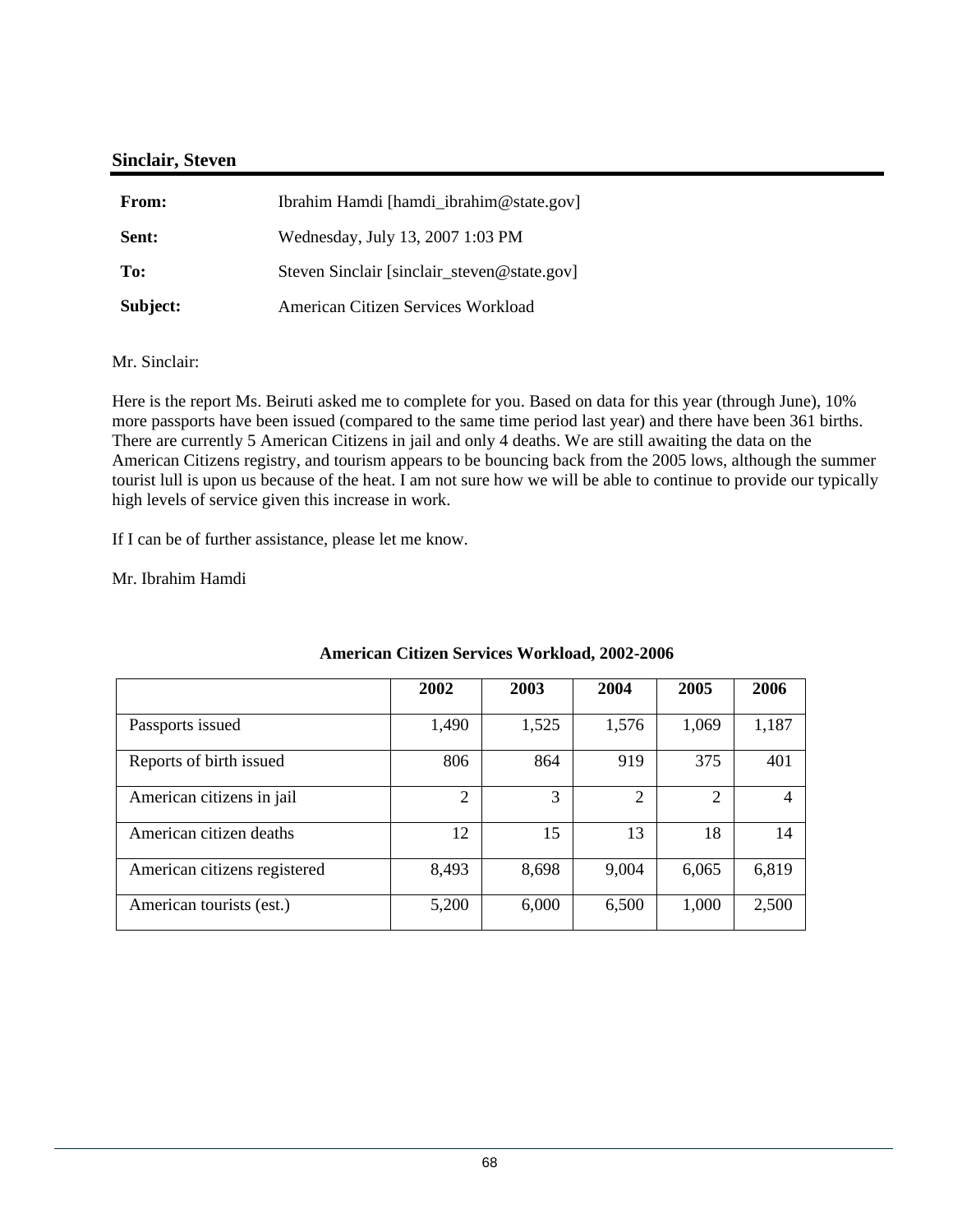| <b>From:</b> | Ibrahim Hamdi [hamdi_ibrahim@state.gov]     |  |  |
|--------------|---------------------------------------------|--|--|
| Sent:        | Wednesday, July 13, 2007 1:03 PM            |  |  |
| To:          | Steven Sinclair [sinclair_steven@state.gov] |  |  |
| Subject:     | American Citizen Services Workload          |  |  |

Mr. Sinclair:

Here is the report Ms. Beiruti asked me to complete for you. Based on data for this year (through June), 10% more passports have been issued (compared to the same time period last year) and there have been 361 births. There are currently 5 American Citizens in jail and only 4 deaths. We are still awaiting the data on the American Citizens registry, and tourism appears to be bouncing back from the 2005 lows, although the summer tourist lull is upon us because of the heat. I am not sure how we will be able to continue to provide our typically high levels of service given this increase in work.

If I can be of further assistance, please let me know.

Mr. Ibrahim Hamdi

|                              | 2002  | 2003  | 2004           | 2005           | 2006           |
|------------------------------|-------|-------|----------------|----------------|----------------|
| Passports issued             | 1,490 | 1,525 | 1,576          | 1,069          | 1,187          |
| Reports of birth issued      | 806   | 864   | 919            | 375            | 401            |
| American citizens in jail    | 2     | 3     | $\overline{2}$ | $\overline{c}$ | $\overline{4}$ |
| American citizen deaths      | 12    | 15    | 13             | 18             | 14             |
| American citizens registered | 8,493 | 8,698 | 9,004          | 6,065          | 6,819          |
| American tourists (est.)     | 5,200 | 6,000 | 6,500          | 1,000          | 2,500          |

## **American Citizen Services Workload, 2002-2006**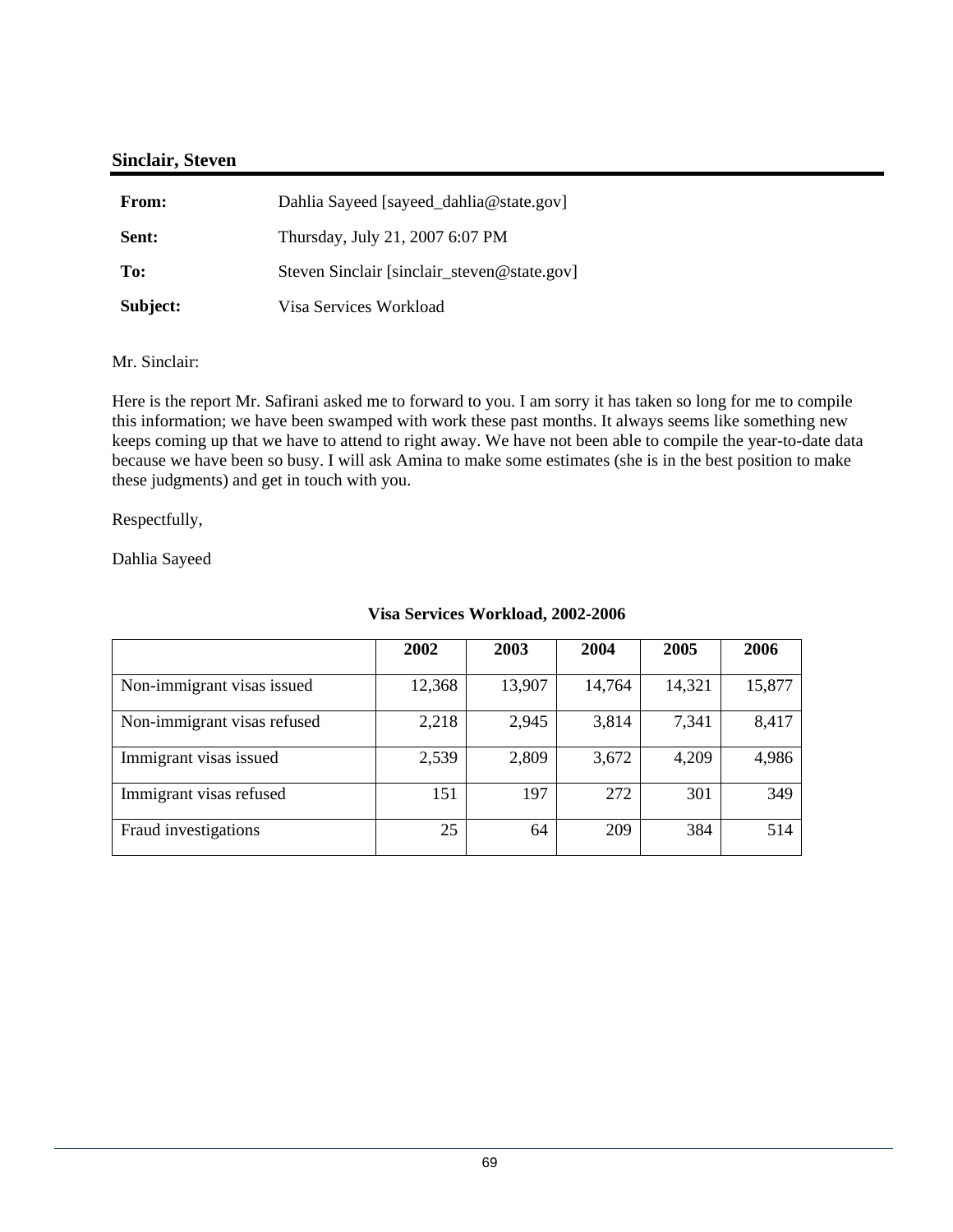| <b>From:</b> | Dahlia Sayeed [sayeed_dahlia@state.gov]     |
|--------------|---------------------------------------------|
| Sent:        | Thursday, July 21, 2007 6:07 PM             |
| To:          | Steven Sinclair [sinclair_steven@state.gov] |
| Subject:     | Visa Services Workload                      |

## Mr. Sinclair:

Here is the report Mr. Safirani asked me to forward to you. I am sorry it has taken so long for me to compile this information; we have been swamped with work these past months. It always seems like something new keeps coming up that we have to attend to right away. We have not been able to compile the year-to-date data because we have been so busy. I will ask Amina to make some estimates (she is in the best position to make these judgments) and get in touch with you.

Respectfully,

Dahlia Sayeed

|                             | 2002   | 2003   | 2004   | 2005   | 2006   |
|-----------------------------|--------|--------|--------|--------|--------|
| Non-immigrant visas issued  | 12,368 | 13,907 | 14,764 | 14,321 | 15,877 |
| Non-immigrant visas refused | 2,218  | 2,945  | 3,814  | 7,341  | 8,417  |
| Immigrant visas issued      | 2,539  | 2,809  | 3,672  | 4,209  | 4,986  |
| Immigrant visas refused     | 151    | 197    | 272    | 301    | 349    |
| Fraud investigations        | 25     | 64     | 209    | 384    | 514    |

## **Visa Services Workload, 2002-2006**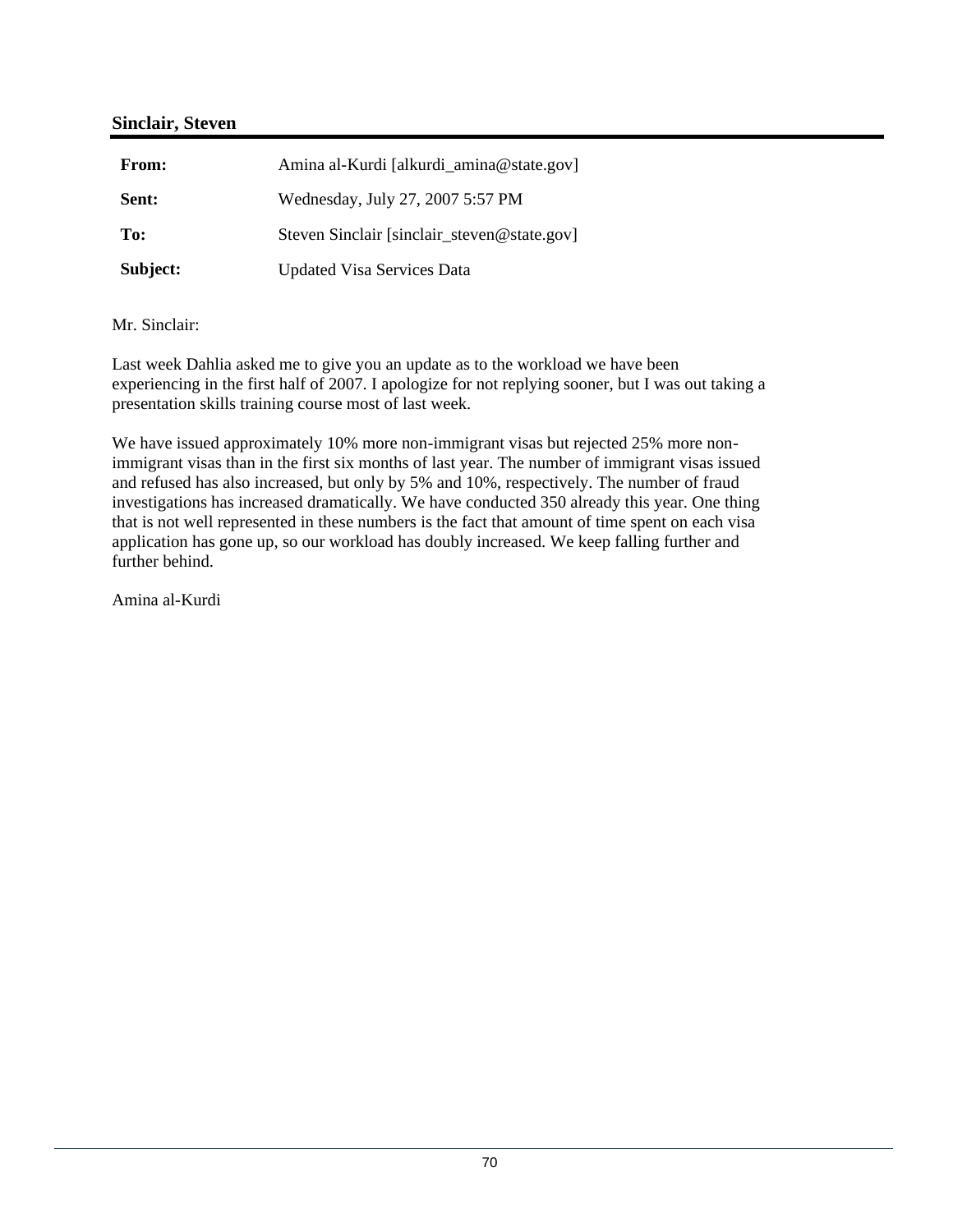### **Sinclair, Steven**

| From:    | Amina al-Kurdi [alkurdi_amina@state.gov]    |
|----------|---------------------------------------------|
| Sent:    | Wednesday, July 27, 2007 5:57 PM            |
| To:      | Steven Sinclair [sinclair_steven@state.gov] |
| Subject: | <b>Updated Visa Services Data</b>           |

Mr. Sinclair:

Last week Dahlia asked me to give you an update as to the workload we have been experiencing in the first half of 2007. I apologize for not replying sooner, but I was out taking a presentation skills training course most of last week.

We have issued approximately 10% more non-immigrant visas but rejected 25% more nonimmigrant visas than in the first six months of last year. The number of immigrant visas issued and refused has also increased, but only by 5% and 10%, respectively. The number of fraud investigations has increased dramatically. We have conducted 350 already this year. One thing that is not well represented in these numbers is the fact that amount of time spent on each visa application has gone up, so our workload has doubly increased. We keep falling further and further behind.

Amina al-Kurdi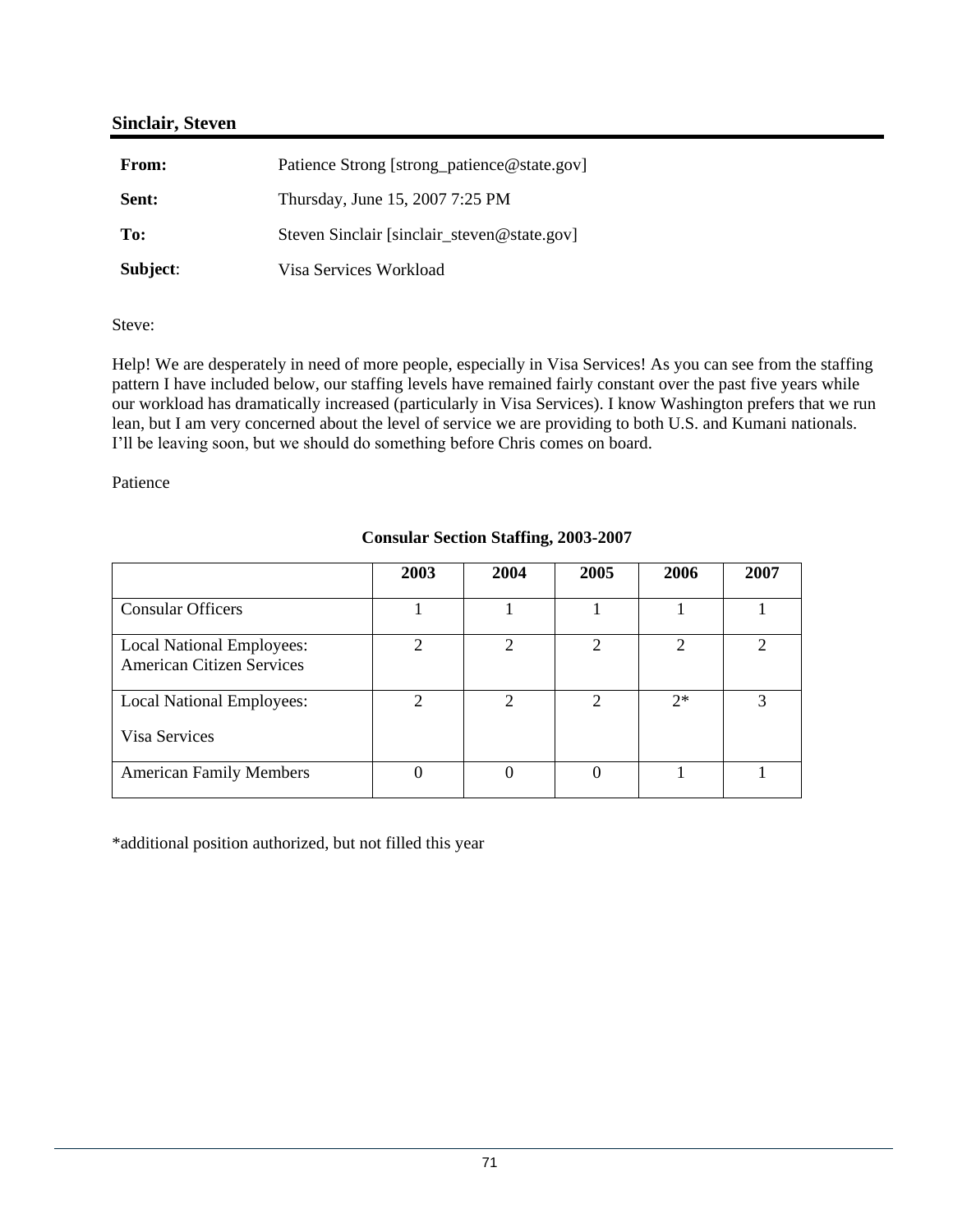### **Sinclair, Steven**

| From:    | Patience Strong [strong_patience@state.gov] |
|----------|---------------------------------------------|
| Sent:    | Thursday, June 15, 2007 7:25 PM             |
| To:      | Steven Sinclair [sinclair_steven@state.gov] |
| Subject: | Visa Services Workload                      |

Steve:

Help! We are desperately in need of more people, especially in Visa Services! As you can see from the staffing pattern I have included below, our staffing levels have remained fairly constant over the past five years while our workload has dramatically increased (particularly in Visa Services). I know Washington prefers that we run lean, but I am very concerned about the level of service we are providing to both U.S. and Kumani nationals. I'll be leaving soon, but we should do something before Chris comes on board.

#### Patience

|                                                                      | 2003          | 2004                        | 2005                        | 2006 | 2007 |
|----------------------------------------------------------------------|---------------|-----------------------------|-----------------------------|------|------|
| <b>Consular Officers</b>                                             |               |                             |                             |      |      |
| <b>Local National Employees:</b><br><b>American Citizen Services</b> | $\mathcal{D}$ | $\mathcal{D}_{\mathcal{A}}$ | $\mathcal{D}_{\mathcal{L}}$ | 2    | ി    |
| <b>Local National Employees:</b><br>Visa Services                    | ◠             | ↑                           | ↑                           | $2*$ | 3    |
| <b>American Family Members</b>                                       |               |                             |                             |      |      |

### **Consular Section Staffing, 2003-2007**

\*additional position authorized, but not filled this year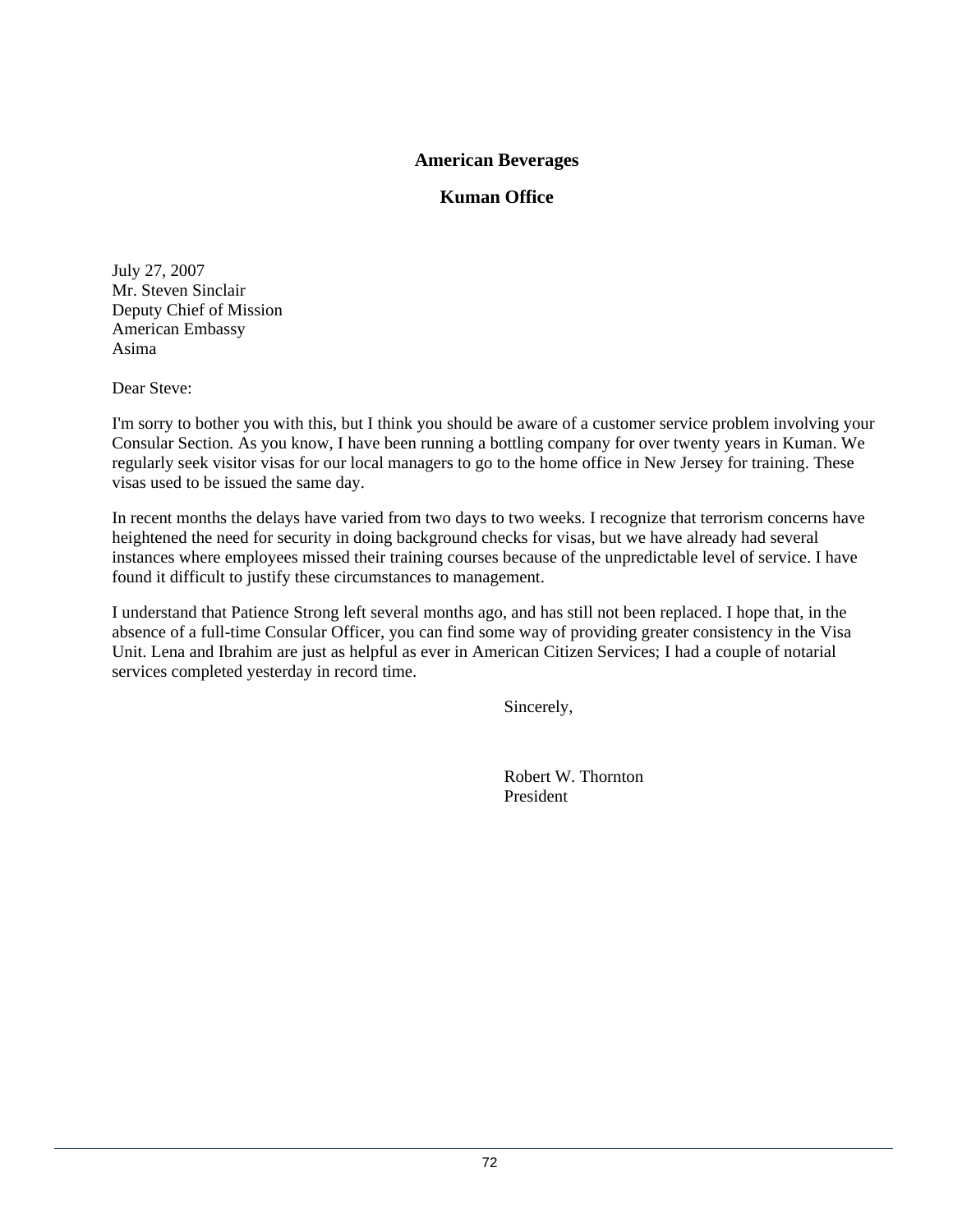### **American Beverages**

### **Kuman Office**

July 27, 2007 Mr. Steven Sinclair Deputy Chief of Mission American Embassy Asima

Dear Steve:

I'm sorry to bother you with this, but I think you should be aware of a customer service problem involving your Consular Section. As you know, I have been running a bottling company for over twenty years in Kuman. We regularly seek visitor visas for our local managers to go to the home office in New Jersey for training. These visas used to be issued the same day.

In recent months the delays have varied from two days to two weeks. I recognize that terrorism concerns have heightened the need for security in doing background checks for visas, but we have already had several instances where employees missed their training courses because of the unpredictable level of service. I have found it difficult to justify these circumstances to management.

I understand that Patience Strong left several months ago, and has still not been replaced. I hope that, in the absence of a full-time Consular Officer, you can find some way of providing greater consistency in the Visa Unit. Lena and Ibrahim are just as helpful as ever in American Citizen Services; I had a couple of notarial services completed yesterday in record time.

Sincerely,

Robert W. Thornton President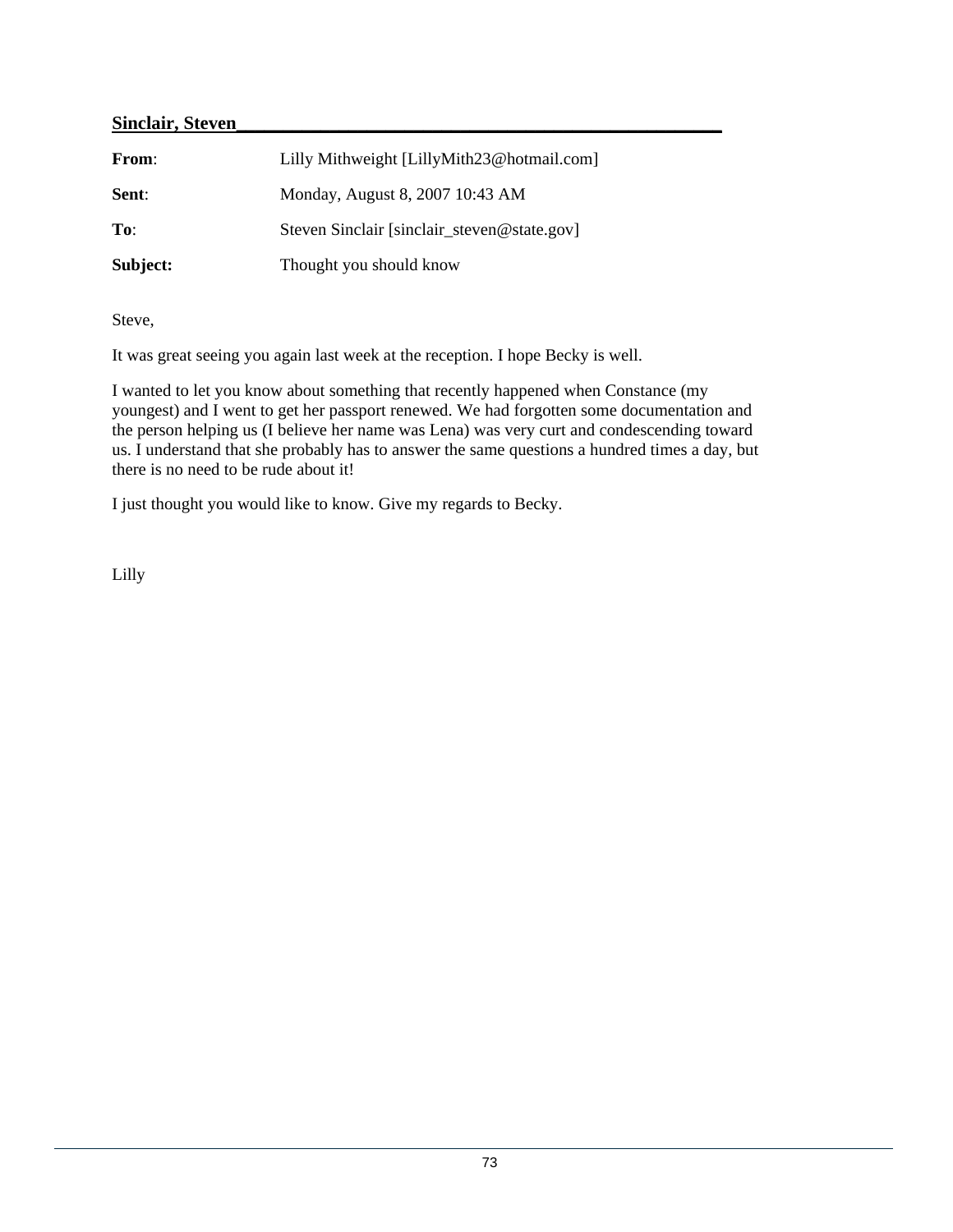### **Sinclair, Steven\_\_\_\_\_\_\_\_\_\_\_\_\_\_\_\_\_\_\_\_\_\_\_\_\_\_\_\_\_\_\_\_\_\_\_\_\_\_\_\_\_\_\_\_\_\_\_\_\_\_\_\_**

| <b>From:</b> | Lilly Mithweight [LillyMith23@hotmail.com]  |
|--------------|---------------------------------------------|
| Sent:        | Monday, August 8, 2007 10:43 AM             |
| To:          | Steven Sinclair [sinclair_steven@state.gov] |
| Subject:     | Thought you should know                     |

Steve,

It was great seeing you again last week at the reception. I hope Becky is well.

I wanted to let you know about something that recently happened when Constance (my youngest) and I went to get her passport renewed. We had forgotten some documentation and the person helping us (I believe her name was Lena) was very curt and condescending toward us. I understand that she probably has to answer the same questions a hundred times a day, but there is no need to be rude about it!

I just thought you would like to know. Give my regards to Becky.

Lilly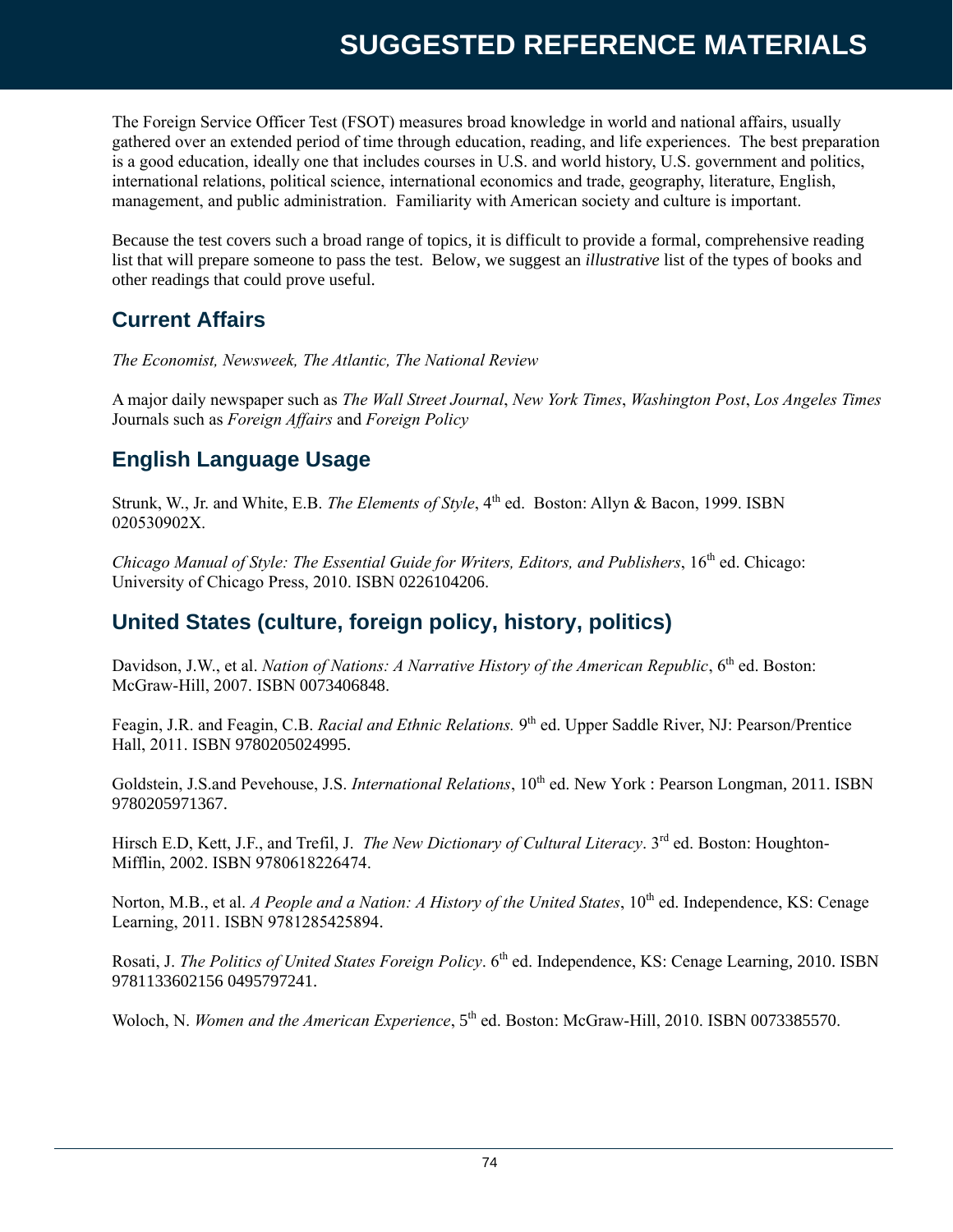# **SUGGESTED REFERENCE MATERIALS**

The Foreign Service Officer Test (FSOT) measures broad knowledge in world and national affairs, usually gathered over an extended period of time through education, reading, and life experiences. The best preparation is a good education, ideally one that includes courses in U.S. and world history, U.S. government and politics, international relations, political science, international economics and trade, geography, literature, English, management, and public administration. Familiarity with American society and culture is important.

Because the test covers such a broad range of topics, it is difficult to provide a formal, comprehensive reading list that will prepare someone to pass the test. Below, we suggest an *illustrative* list of the types of books and other readings that could prove useful.

## **Current Affairs**

*The Economist, Newsweek, The Atlantic, The National Review*

A major daily newspaper such as *The Wall Street Journal*, *New York Times*, *Washington Post*, *Los Angeles Times* Journals such as *Foreign Affairs* and *Foreign Policy*

# **English Language Usage**

Strunk, W., Jr. and White, E.B. *The Elements of Style*, 4<sup>th</sup> ed. Boston: Allyn & Bacon, 1999. ISBN 020530902X.

*Chicago Manual of Style: The Essential Guide for Writers, Editors, and Publishers, 16<sup>th</sup> ed. Chicago:* University of Chicago Press, 2010. ISBN 0226104206.

# **United States (culture, foreign policy, history, politics)**

Davidson, J.W., et al. *Nation of Nations: A Narrative History of the American Republic*, 6<sup>th</sup> ed. Boston: McGraw-Hill, 2007. ISBN 0073406848.

Feagin, J.R. and Feagin, C.B. *Racial and Ethnic Relations*. 9<sup>th</sup> ed. Upper Saddle River, NJ: Pearson/Prentice Hall, 2011. ISBN 9780205024995.

Goldstein, J.S.and Pevehouse, J.S. *International Relations*, 10<sup>th</sup> ed. New York : Pearson Longman, 2011. ISBN 9780205971367.

Hirsch E.D, Kett, J.F., and Trefil, J. *The New Dictionary of Cultural Literacy*. 3<sup>rd</sup> ed. Boston: Houghton-Mifflin, 2002. ISBN 9780618226474.

Norton, M.B., et al. *A People and a Nation: A History of the United States*, 10<sup>th</sup> ed. Independence, KS: Cenage Learning, 2011. ISBN 9781285425894.

Rosati, J. *The Politics of United States Foreign Policy*. 6 th ed. Independence, KS: Cenage Learning, 2010. ISBN 9781133602156 0495797241.

Woloch, N. *Women and the American Experience*, 5<sup>th</sup> ed. Boston: McGraw-Hill, 2010. ISBN 0073385570.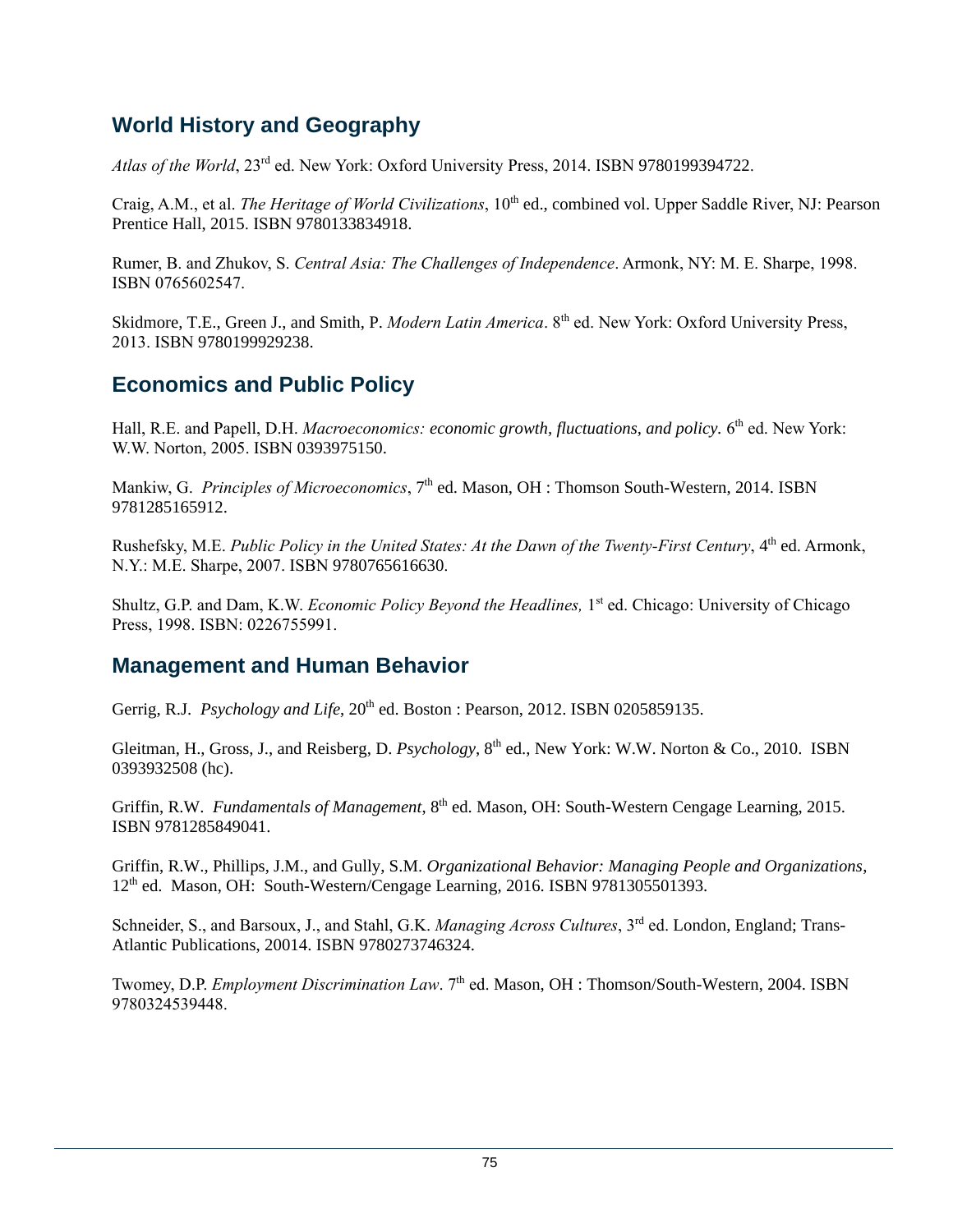# **World History and Geography**

Atlas of the World, 23<sup>rd</sup> ed. New York: Oxford University Press, 2014. ISBN 9780199394722.

Craig, A.M., et al. *The Heritage of World Civilizations*, 10<sup>th</sup> ed., combined vol. Upper Saddle River, NJ: Pearson Prentice Hall, 2015. ISBN 9780133834918.

Rumer, B. and Zhukov, S. *Central Asia: The Challenges of Independence*. Armonk, NY: M. E. Sharpe, 1998. ISBN 0765602547.

Skidmore, T.E., Green J., and Smith, P. *Modern Latin America*. 8<sup>th</sup> ed. New York: Oxford University Press, 2013. ISBN 9780199929238.

### **Economics and Public Policy**

Hall, R.E. and Papell, D.H. *Macroeconomics: economic growth, fluctuations, and policy*. 6<sup>th</sup> ed. New York: W.W. Norton, 2005. ISBN 0393975150.

Mankiw, G. Principles of Microeconomics, 7<sup>th</sup> ed. Mason, OH: Thomson South-Western, 2014. ISBN 9781285165912.

Rushefsky, M.E. Public Policy in the United States: At the Dawn of the Twenty-First Century, 4<sup>th</sup> ed. Armonk, N.Y.: M.E. Sharpe, 2007. ISBN 9780765616630.

Shultz, G.P. and Dam, K.W. *Economic Policy Beyond the Headlines*, 1<sup>st</sup> ed. Chicago: University of Chicago Press, 1998. ISBN: 0226755991.

### **Management and Human Behavior**

Gerrig, R.J. *Psychology and Life*, 20<sup>th</sup> ed. Boston : Pearson, 2012. ISBN 0205859135.

Gleitman, H., Gross, J., and Reisberg, D. *Psychology*, 8<sup>th</sup> ed., New York: W.W. Norton & Co., 2010. ISBN 0393932508 (hc).

Griffin, R.W. Fundamentals of Management, 8<sup>th</sup> ed. Mason, OH: South-Western Cengage Learning, 2015. ISBN 9781285849041.

Griffin, R.W., Phillips, J.M., and Gully, S.M. *Organizational Behavior: Managing People and Organizations*, 12<sup>th</sup> ed. Mason, OH: South-Western/Cengage Learning, 2016. ISBN 9781305501393.

Schneider, S., and Barsoux, J., and Stahl, G.K. *Managing Across Cultures*, 3<sup>rd</sup> ed. London, England; Trans-Atlantic Publications, 20014. ISBN 9780273746324.

Twomey, D.P. *Employment Discrimination Law*. 7<sup>th</sup> ed. Mason, OH : Thomson/South-Western, 2004. ISBN 9780324539448.